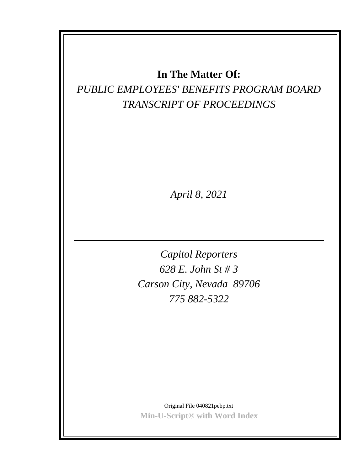## **In The Matter Of:**

## *PUBLIC EMPLOYEES' BENEFITS PROGRAM BOARD TRANSCRIPT OF PROCEEDINGS*

*April 8, 2021*

*Capitol Reporters 628 E. John St # 3 Carson City, Nevada 89706 775 882-5322*

Original File 040821pebp.txt **Min-U-Script® with Word Index**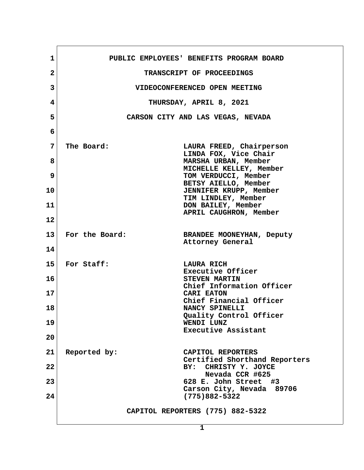| 1               | PUBLIC EMPLOYEES' BENEFITS PROGRAM BOARD           |
|-----------------|----------------------------------------------------|
| $\mathbf{2}$    | TRANSCRIPT OF PROCEEDINGS                          |
| 3               | VIDEOCONFERENCED OPEN MEETING                      |
| 4               | THURSDAY, APRIL 8, 2021                            |
| 5               | CARSON CITY AND LAS VEGAS, NEVADA                  |
| 6               |                                                    |
| 7               | The Board:<br>LAURA FREED, Chairperson             |
| 8               | LINDA FOX, Vice Chair<br>MARSHA URBAN, Member      |
| 9               | MICHELLE KELLEY, Member<br>TOM VERDUCCI, Member    |
| 10              | BETSY AIELLO, Member<br>JENNIFER KRUPP, Member     |
| 11              | TIM LINDLEY, Member<br>DON BAILEY, Member          |
| 12              | APRIL CAUGHRON, Member                             |
| 13 <sub>2</sub> | For the Board:<br>BRANDEE MOONEYHAN, Deputy        |
| 14              | Attorney General                                   |
| 15              | For Staff:<br>LAURA RICH                           |
| 16              | Executive Officer<br><b>STEVEN MARTIN</b>          |
| 17              | Chief Information Officer<br>CARI EATON            |
| 18              | Chief Financial Officer<br>NANCY SPINELLI          |
| 19              | Quality Control Officer<br>WENDI LUNZ              |
| 20              | Executive Assistant                                |
| 21              | Reported by:<br>CAPITOL REPORTERS                  |
|                 | Certified Shorthand Reporters                      |
| 22              | BY: CHRISTY Y. JOYCE<br>Nevada CCR #625            |
| 23              | 628 E. John Street #3<br>Carson City, Nevada 89706 |
| 24              | $(775)882 - 5322$                                  |
|                 | CAPITOL REPORTERS (775) 882-5322                   |
|                 |                                                    |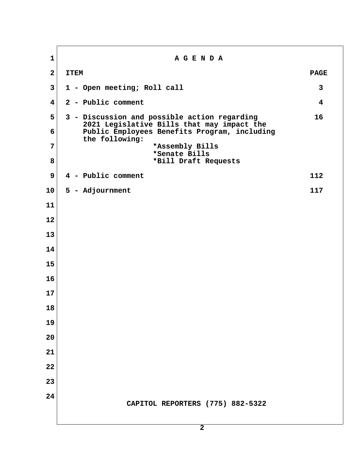| $\mathbf{1}$            | <b>AGENDA</b>                                                                                                                              |                         |
|-------------------------|--------------------------------------------------------------------------------------------------------------------------------------------|-------------------------|
| $\mathbf{2}$            | <b>ITEM</b>                                                                                                                                | <b>PAGE</b>             |
| $\mathbf{3}$            | 1 - Open meeting; Roll call                                                                                                                | 3                       |
| $\overline{\mathbf{4}}$ | 2 - Public comment                                                                                                                         | $\overline{\mathbf{4}}$ |
| 5<br>6                  | 3 - Discussion and possible action regarding<br>2021 Legislative Bills that may impact the<br>Public Employees Benefits Program, including | 16                      |
| $\overline{7}$<br>8     | the following:<br>*Assembly Bills<br>*Senate Bills<br>*Bill Draft Requests                                                                 |                         |
| 9                       | 4 - Public comment                                                                                                                         | 112                     |
| 10 <sub>1</sub>         | 5 - Adjournment                                                                                                                            | 117                     |
| 11                      |                                                                                                                                            |                         |
| 12                      |                                                                                                                                            |                         |
| 13                      |                                                                                                                                            |                         |
| 14                      |                                                                                                                                            |                         |
| 15                      |                                                                                                                                            |                         |
| 16                      |                                                                                                                                            |                         |
| 17                      |                                                                                                                                            |                         |
| 18                      |                                                                                                                                            |                         |
| 19                      |                                                                                                                                            |                         |
| 20                      |                                                                                                                                            |                         |
| 21                      |                                                                                                                                            |                         |
| 22                      |                                                                                                                                            |                         |
| 23                      |                                                                                                                                            |                         |
| 24                      | CAPITOL REPORTERS (775) 882-5322                                                                                                           |                         |
|                         |                                                                                                                                            |                         |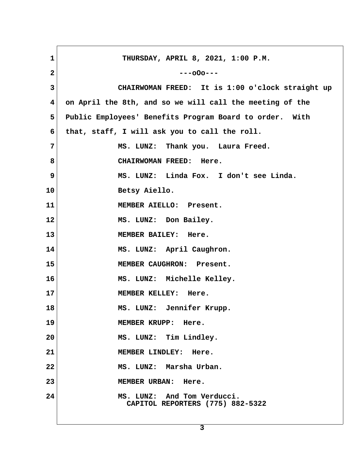**1 THURSDAY, APRIL 8, 2021, 1:00 P.M. 2 ---oOo--- 3 CHAIRWOMAN FREED: It is 1:00 o'clock straight up 4 on April the 8th, and so we will call the meeting of the 5 Public Employees' Benefits Program Board to order. With 6 that, staff, I will ask you to call the roll. 7 MS. LUNZ: Thank you. Laura Freed. 8 CHAIRWOMAN FREED: Here. 9 MS. LUNZ: Linda Fox. I don't see Linda. 10 Betsy Aiello. 11 MEMBER AIELLO: Present. 12 MS. LUNZ: Don Bailey. 13 MEMBER BAILEY: Here. 14 MS. LUNZ: April Caughron. 15 MEMBER CAUGHRON: Present. 16 MS. LUNZ: Michelle Kelley. 17 MEMBER KELLEY: Here. 18 MS. LUNZ: Jennifer Krupp. 19 MEMBER KRUPP: Here. 20 MS. LUNZ: Tim Lindley. 21 MEMBER LINDLEY: Here. 22 MS. LUNZ: Marsha Urban. 23 MEMBER URBAN: Here. 24 MS. LUNZ: And Tom Verducci. CAPITOL REPORTERS (775) 882-5322**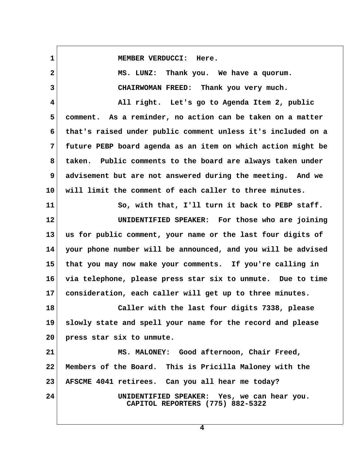| $\mathbf{1}$            | MEMBER VERDUCCI: Here.                                                          |
|-------------------------|---------------------------------------------------------------------------------|
| $\mathbf{2}$            | MS. LUNZ: Thank you. We have a quorum.                                          |
| 3                       | CHAIRWOMAN FREED: Thank you very much.                                          |
| $\overline{\mathbf{4}}$ | All right. Let's go to Agenda Item 2, public                                    |
| 5                       | comment. As a reminder, no action can be taken on a matter                      |
| 6                       | that's raised under public comment unless it's included on a                    |
| 7                       | future PEBP board agenda as an item on which action might be                    |
| 8                       | taken. Public comments to the board are always taken under                      |
| 9                       | advisement but are not answered during the meeting. And we                      |
| 10                      | will limit the comment of each caller to three minutes.                         |
| 11                      | So, with that, I'll turn it back to PEBP staff.                                 |
| 12 <sub>2</sub>         | UNIDENTIFIED SPEAKER: For those who are joining                                 |
| 13                      | us for public comment, your name or the last four digits of                     |
| 14                      | your phone number will be announced, and you will be advised                    |
| 15                      | that you may now make your comments. If you're calling in                       |
| 16                      | via telephone, please press star six to unmute. Due to time                     |
| 17                      | consideration, each caller will get up to three minutes.                        |
| 18                      | Caller with the last four digits 7338, please                                   |
| 19                      | slowly state and spell your name for the record and please                      |
| 20                      | press star six to unmute.                                                       |
| 21                      | MS. MALONEY: Good afternoon, Chair Freed,                                       |
| 22                      | Members of the Board. This is Pricilla Maloney with the                         |
| 23                      | AFSCME 4041 retirees. Can you all hear me today?                                |
| 24                      | UNIDENTIFIED SPEAKER: Yes, we can hear you.<br>CAPITOL REPORTERS (775) 882-5322 |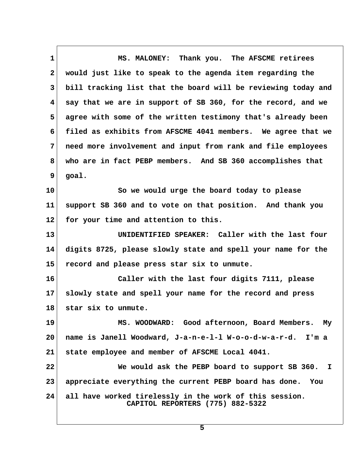**1 MS. MALONEY: Thank you. The AFSCME retirees 2 would just like to speak to the agenda item regarding the 3 bill tracking list that the board will be reviewing today and 4 say that we are in support of SB 360, for the record, and we 5 agree with some of the written testimony that's already been 6 filed as exhibits from AFSCME 4041 members. We agree that we 7 need more involvement and input from rank and file employees 8 who are in fact PEBP members. And SB 360 accomplishes that 9 goal. 10 So we would urge the board today to please 11 support SB 360 and to vote on that position. And thank you 12 for your time and attention to this. 13 UNIDENTIFIED SPEAKER: Caller with the last four 14 digits 8725, please slowly state and spell your name for the 15 record and please press star six to unmute. 16 Caller with the last four digits 7111, please 17 slowly state and spell your name for the record and press 18 star six to unmute. 19 MS. WOODWARD: Good afternoon, Board Members. My 20 name is Janell Woodward, J-a-n-e-l-l W-o-o-d-w-a-r-d. I'm a 21 state employee and member of AFSCME Local 4041. 22 We would ask the PEBP board to support SB 360. I 23 appreciate everything the current PEBP board has done. You 24 all have worked tirelessly in the work of this session. CAPITOL REPORTERS (775) 882-5322**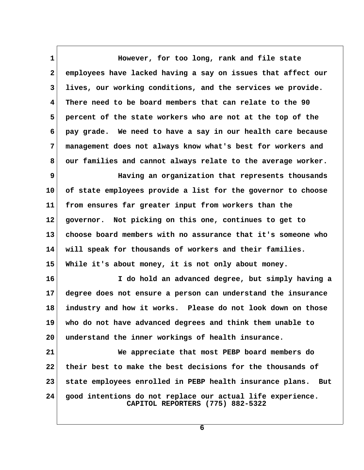1 **However, for too long, rank and file state 2 employees have lacked having a say on issues that affect our 3 lives, our working conditions, and the services we provide. 4 There need to be board members that can relate to the 90 5 percent of the state workers who are not at the top of the 6 pay grade. We need to have a say in our health care because 7 management does not always know what's best for workers and 8 our families and cannot always relate to the average worker.**

 **9 Having an organization that represents thousands 10 of state employees provide a list for the governor to choose 11 from ensures far greater input from workers than the 12 governor. Not picking on this one, continues to get to 13 choose board members with no assurance that it's someone who 14 will speak for thousands of workers and their families. 15 While it's about money, it is not only about money.**

**16 I do hold an advanced degree, but simply having a 17 degree does not ensure a person can understand the insurance 18 industry and how it works. Please do not look down on those 19 who do not have advanced degrees and think them unable to 20 understand the inner workings of health insurance.**

**21 We appreciate that most PEBP board members do 22 their best to make the best decisions for the thousands of 23 state employees enrolled in PEBP health insurance plans. But 24 good intentions do not replace our actual life experience. CAPITOL REPORTERS (775) 882-5322**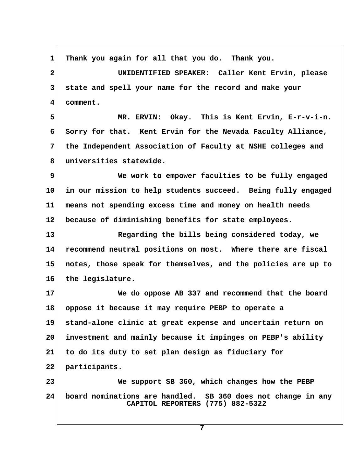**1 Thank you again for all that you do. Thank you.**

 **2 UNIDENTIFIED SPEAKER: Caller Kent Ervin, please 3 state and spell your name for the record and make your 4 comment.**

 **5 MR. ERVIN: Okay. This is Kent Ervin, E-r-v-i-n. 6 Sorry for that. Kent Ervin for the Nevada Faculty Alliance, 7 the Independent Association of Faculty at NSHE colleges and 8 universities statewide.**

 **9 We work to empower faculties to be fully engaged 10 in our mission to help students succeed. Being fully engaged 11 means not spending excess time and money on health needs 12 because of diminishing benefits for state employees.**

**13 Regarding the bills being considered today, we 14 recommend neutral positions on most. Where there are fiscal 15 notes, those speak for themselves, and the policies are up to 16 the legislature.**

**17 We do oppose AB 337 and recommend that the board 18 oppose it because it may require PEBP to operate a 19 stand-alone clinic at great expense and uncertain return on 20 investment and mainly because it impinges on PEBP's ability 21 to do its duty to set plan design as fiduciary for 22 participants. 23 We support SB 360, which changes how the PEBP 24 board nominations are handled. SB 360 does not change in any CAPITOL REPORTERS (775) 882-5322**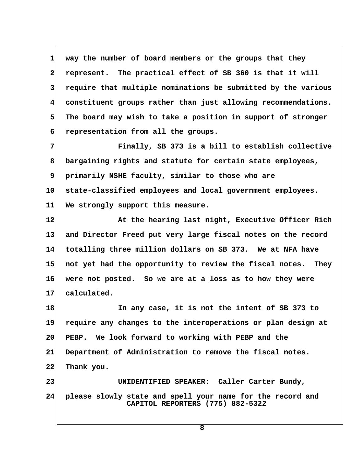**1 way the number of board members or the groups that they 2 represent. The practical effect of SB 360 is that it will 3 require that multiple nominations be submitted by the various 4 constituent groups rather than just allowing recommendations. 5 The board may wish to take a position in support of stronger 6 representation from all the groups.**

 **7 Finally, SB 373 is a bill to establish collective 8 bargaining rights and statute for certain state employees, 9 primarily NSHE faculty, similar to those who are 10 state-classified employees and local government employees. 11 We strongly support this measure.**

**12 At the hearing last night, Executive Officer Rich 13 and Director Freed put very large fiscal notes on the record 14 totalling three million dollars on SB 373. We at NFA have 15 not yet had the opportunity to review the fiscal notes. They 16 were not posted. So we are at a loss as to how they were 17 calculated.**

**18 In any case, it is not the intent of SB 373 to 19 require any changes to the interoperations or plan design at 20 PEBP. We look forward to working with PEBP and the 21 Department of Administration to remove the fiscal notes. 22 Thank you. 23 UNIDENTIFIED SPEAKER: Caller Carter Bundy,**

**24 please slowly state and spell your name for the record and CAPITOL REPORTERS (775) 882-5322**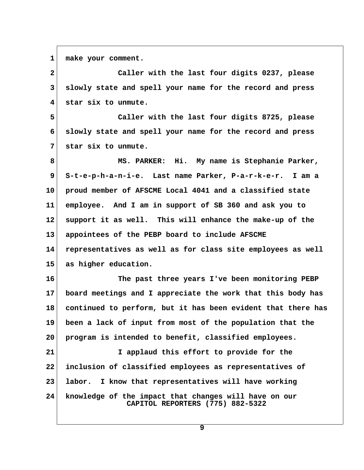1 make your comment.

 **2 Caller with the last four digits 0237, please 3 slowly state and spell your name for the record and press 4 star six to unmute.**

 **5 Caller with the last four digits 8725, please 6 slowly state and spell your name for the record and press 7 star six to unmute.**

 **8 MS. PARKER: Hi. My name is Stephanie Parker, 9 S-t-e-p-h-a-n-i-e. Last name Parker, P-a-r-k-e-r. I am a 10 proud member of AFSCME Local 4041 and a classified state 11 employee. And I am in support of SB 360 and ask you to 12 support it as well. This will enhance the make-up of the 13 appointees of the PEBP board to include AFSCME 14 representatives as well as for class site employees as well 15 as higher education.**

**16 The past three years I've been monitoring PEBP 17 board meetings and I appreciate the work that this body has 18 continued to perform, but it has been evident that there has 19 been a lack of input from most of the population that the 20 program is intended to benefit, classified employees. 21 I applaud this effort to provide for the**

**22 inclusion of classified employees as representatives of 23 labor. I know that representatives will have working 24 knowledge of the impact that changes will have on our CAPITOL REPORTERS (775) 882-5322**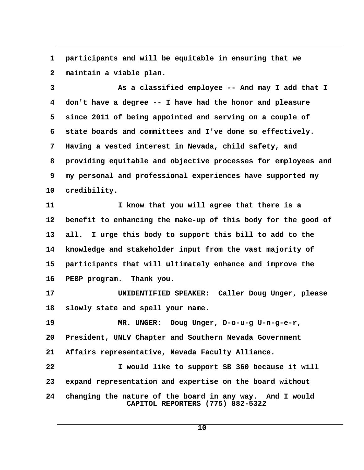**1 participants and will be equitable in ensuring that we 2 maintain a viable plan.**

 **3 As a classified employee -- And may I add that I 4 don't have a degree -- I have had the honor and pleasure 5 since 2011 of being appointed and serving on a couple of 6 state boards and committees and I've done so effectively. 7 Having a vested interest in Nevada, child safety, and 8 providing equitable and objective processes for employees and 9 my personal and professional experiences have supported my 10 credibility.**

**11 I know that you will agree that there is a 12 benefit to enhancing the make-up of this body for the good of 13 all. I urge this body to support this bill to add to the 14 knowledge and stakeholder input from the vast majority of 15 participants that will ultimately enhance and improve the 16 PEBP program. Thank you.**

**17 UNIDENTIFIED SPEAKER: Caller Doug Unger, please 18 slowly state and spell your name.**

**19 MR. UNGER: Doug Unger, D-o-u-g U-n-g-e-r, 20 President, UNLV Chapter and Southern Nevada Government 21 Affairs representative, Nevada Faculty Alliance. 22 I would like to support SB 360 because it will**

**23 expand representation and expertise on the board without 24 changing the nature of the board in any way. And I would CAPITOL REPORTERS (775) 882-5322**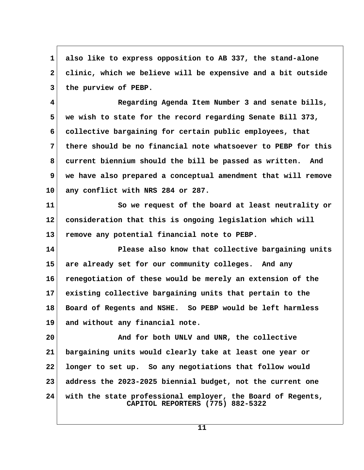**1 also like to express opposition to AB 337, the stand-alone 2 clinic, which we believe will be expensive and a bit outside 3 the purview of PEBP.**

 **4 Regarding Agenda Item Number 3 and senate bills, 5 we wish to state for the record regarding Senate Bill 373, 6 collective bargaining for certain public employees, that 7 there should be no financial note whatsoever to PEBP for this 8 current biennium should the bill be passed as written. And 9 we have also prepared a conceptual amendment that will remove 10 any conflict with NRS 284 or 287.**

**11 So we request of the board at least neutrality or 12 consideration that this is ongoing legislation which will 13 remove any potential financial note to PEBP.**

**14 Please also know that collective bargaining units 15 are already set for our community colleges. And any 16 renegotiation of these would be merely an extension of the 17 existing collective bargaining units that pertain to the 18 Board of Regents and NSHE. So PEBP would be left harmless 19 and without any financial note.**

**20 And for both UNLV and UNR, the collective 21 bargaining units would clearly take at least one year or 22 longer to set up. So any negotiations that follow would 23 address the 2023-2025 biennial budget, not the current one 24 with the state professional employer, the Board of Regents, CAPITOL REPORTERS (775) 882-5322**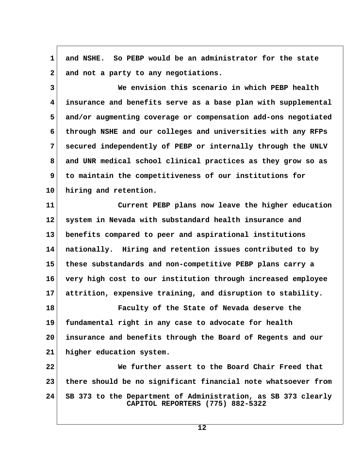**1 and NSHE. So PEBP would be an administrator for the state** 2 and not a party to any negotiations.

 **3 We envision this scenario in which PEBP health 4 insurance and benefits serve as a base plan with supplemental 5 and/or augmenting coverage or compensation add-ons negotiated 6 through NSHE and our colleges and universities with any RFPs 7 secured independently of PEBP or internally through the UNLV 8 and UNR medical school clinical practices as they grow so as 9 to maintain the competitiveness of our institutions for 10 hiring and retention.**

**11 Current PEBP plans now leave the higher education 12 system in Nevada with substandard health insurance and 13 benefits compared to peer and aspirational institutions 14 nationally. Hiring and retention issues contributed to by 15 these substandards and non-competitive PEBP plans carry a 16 very high cost to our institution through increased employee 17 attrition, expensive training, and disruption to stability.**

**18 Faculty of the State of Nevada deserve the 19 fundamental right in any case to advocate for health 20 insurance and benefits through the Board of Regents and our 21 higher education system.**

**22 We further assert to the Board Chair Freed that 23 there should be no significant financial note whatsoever from 24 SB 373 to the Department of Administration, as SB 373 clearly CAPITOL REPORTERS (775) 882-5322**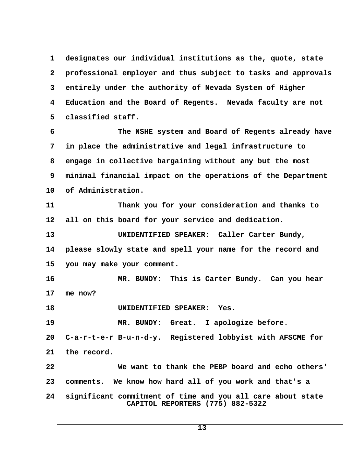**1 designates our individual institutions as the, quote, state 2 professional employer and thus subject to tasks and approvals 3 entirely under the authority of Nevada System of Higher 4 Education and the Board of Regents. Nevada faculty are not 5 classified staff. 6 The NSHE system and Board of Regents already have 7 in place the administrative and legal infrastructure to 8 engage in collective bargaining without any but the most 9 minimal financial impact on the operations of the Department 10 of Administration. 11 Thank you for your consideration and thanks to 12 all on this board for your service and dedication. 13 UNIDENTIFIED SPEAKER: Caller Carter Bundy, 14 please slowly state and spell your name for the record and 15 you may make your comment. 16 MR. BUNDY: This is Carter Bundy. Can you hear 17 me now? 18 UNIDENTIFIED SPEAKER: Yes. 19 MR. BUNDY: Great. I apologize before. 20 C-a-r-t-e-r B-u-n-d-y. Registered lobbyist with AFSCME for 21 the record. 22 We want to thank the PEBP board and echo others' 23 comments. We know how hard all of you work and that's a 24 significant commitment of time and you all care about state CAPITOL REPORTERS (775) 882-5322**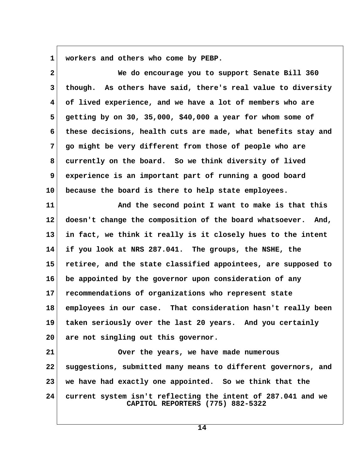**1 workers and others who come by PEBP.**

| $\mathbf{2}$            | We do encourage you to support Senate Bill 360                                                   |
|-------------------------|--------------------------------------------------------------------------------------------------|
| $\mathbf{3}$            | though. As others have said, there's real value to diversity                                     |
| $\overline{\mathbf{4}}$ | of lived experience, and we have a lot of members who are                                        |
| 5                       | getting by on 30, 35,000, \$40,000 a year for whom some of                                       |
| 6                       | these decisions, health cuts are made, what benefits stay and                                    |
| 7                       | go might be very different from those of people who are                                          |
| 8                       | currently on the board. So we think diversity of lived                                           |
| 9                       | experience is an important part of running a good board                                          |
| 10                      | because the board is there to help state employees.                                              |
| 11                      | And the second point I want to make is that this                                                 |
| $12 \overline{ }$       | doesn't change the composition of the board whatsoever. And,                                     |
| 13                      | in fact, we think it really is it closely hues to the intent                                     |
| 14                      | if you look at NRS 287.041. The groups, the NSHE, the                                            |
| 15                      | retiree, and the state classified appointees, are supposed to                                    |
| 16                      | be appointed by the governor upon consideration of any                                           |
| 17                      | recommendations of organizations who represent state                                             |
| 18                      | employees in our case. That consideration hasn't really been                                     |
| 19                      | taken seriously over the last 20 years. And you certainly                                        |
| 20                      | are not singling out this governor.                                                              |
| 21                      | Over the years, we have made numerous                                                            |
| 22                      | suggestions, submitted many means to different governors, and                                    |
| 23                      | we have had exactly one appointed. So we think that the                                          |
| 24                      | current system isn't reflecting the intent of 287.041 and we<br>CAPITOL REPORTERS (775) 882-5322 |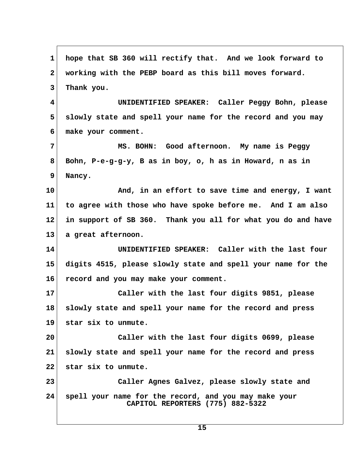**1 hope that SB 360 will rectify that. And we look forward to 2 working with the PEBP board as this bill moves forward. 3 Thank you. 4 UNIDENTIFIED SPEAKER: Caller Peggy Bohn, please 5 slowly state and spell your name for the record and you may 6 make your comment. 7 MS. BOHN: Good afternoon. My name is Peggy 8 Bohn, P-e-g-g-y, B as in boy, o, h as in Howard, n as in 9 Nancy. 10 And, in an effort to save time and energy, I want 11 to agree with those who have spoke before me. And I am also 12 in support of SB 360. Thank you all for what you do and have 13 a great afternoon. 14 UNIDENTIFIED SPEAKER: Caller with the last four 15 digits 4515, please slowly state and spell your name for the 16 record and you may make your comment. 17 Caller with the last four digits 9851, please 18 slowly state and spell your name for the record and press 19 star six to unmute. 20 Caller with the last four digits 0699, please 21 slowly state and spell your name for the record and press 22 star six to unmute. 23 Caller Agnes Galvez, please slowly state and 24 spell your name for the record, and you may make your CAPITOL REPORTERS (775) 882-5322**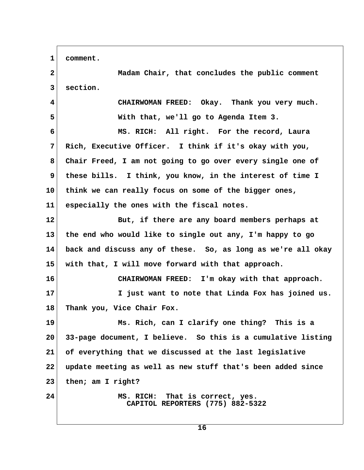**1 comment.**

 **2 Madam Chair, that concludes the public comment 3 section.**

 **4 CHAIRWOMAN FREED: Okay. Thank you very much.**

 **5 With that, we'll go to Agenda Item 3.**

 **6 MS. RICH: All right. For the record, Laura 7 Rich, Executive Officer. I think if it's okay with you, 8 Chair Freed, I am not going to go over every single one of 9 these bills. I think, you know, in the interest of time I 10 think we can really focus on some of the bigger ones, 11 especially the ones with the fiscal notes.**

**12 But, if there are any board members perhaps at 13 the end who would like to single out any, I'm happy to go 14 back and discuss any of these. So, as long as we're all okay 15 with that, I will move forward with that approach.**

**16 CHAIRWOMAN FREED: I'm okay with that approach. 17 I just want to note that Linda Fox has joined us. 18 Thank you, Vice Chair Fox.**

**19 Ms. Rich, can I clarify one thing? This is a 20 33-page document, I believe. So this is a cumulative listing 21 of everything that we discussed at the last legislative 22 update meeting as well as new stuff that's been added since 23 then; am I right?**

**24 MS. RICH: That is correct, yes. CAPITOL REPORTERS (775) 882-5322**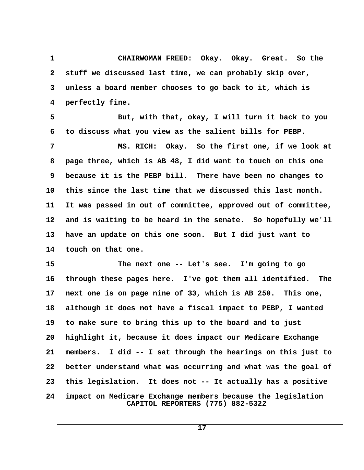**1 CHAIRWOMAN FREED: Okay. Okay. Great. So the 2 stuff we discussed last time, we can probably skip over, 3 unless a board member chooses to go back to it, which is 4 perfectly fine.**

 **5 But, with that, okay, I will turn it back to you 6 to discuss what you view as the salient bills for PEBP.**

 **7 MS. RICH: Okay. So the first one, if we look at 8 page three, which is AB 48, I did want to touch on this one 9 because it is the PEBP bill. There have been no changes to 10 this since the last time that we discussed this last month. 11 It was passed in out of committee, approved out of committee, 12 and is waiting to be heard in the senate. So hopefully we'll 13 have an update on this one soon. But I did just want to 14 touch on that one.**

**15 The next one -- Let's see. I'm going to go 16 through these pages here. I've got them all identified. The 17 next one is on page nine of 33, which is AB 250. This one, 18 although it does not have a fiscal impact to PEBP, I wanted 19 to make sure to bring this up to the board and to just 20 highlight it, because it does impact our Medicare Exchange 21 members. I did -- I sat through the hearings on this just to 22 better understand what was occurring and what was the goal of 23 this legislation. It does not -- It actually has a positive 24 impact on Medicare Exchange members because the legislation CAPITOL REPORTERS (775) 882-5322**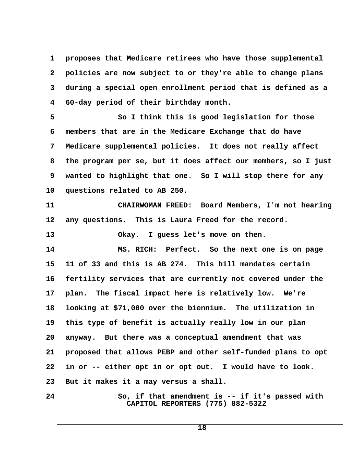**1 proposes that Medicare retirees who have those supplemental 2 policies are now subject to or they're able to change plans 3 during a special open enrollment period that is defined as a 4 60-day period of their birthday month.**

 **5 So I think this is good legislation for those 6 members that are in the Medicare Exchange that do have 7 Medicare supplemental policies. It does not really affect 8 the program per se, but it does affect our members, so I just 9 wanted to highlight that one. So I will stop there for any 10 questions related to AB 250.**

**11 CHAIRWOMAN FREED: Board Members, I'm not hearing 12 any questions. This is Laura Freed for the record. 13 Okay. I guess let's move on then.**

**14 MS. RICH: Perfect. So the next one is on page 15 11 of 33 and this is AB 274. This bill mandates certain 16 fertility services that are currently not covered under the 17 plan. The fiscal impact here is relatively low. We're 18 looking at \$71,000 over the biennium. The utilization in 19 this type of benefit is actually really low in our plan 20 anyway. But there was a conceptual amendment that was 21 proposed that allows PEBP and other self-funded plans to opt 22 in or -- either opt in or opt out. I would have to look. 23 But it makes it a may versus a shall.**

**24** So, if that amendment is -- if it's passed with  **CAPITOL REPORTERS (775) 882-5322**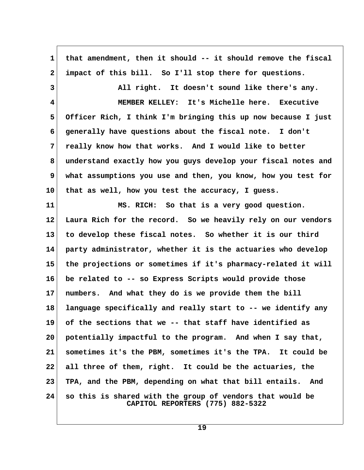| $\mathbf{1}$ | that amendment, then it should -- it should remove the fiscal                                 |  |
|--------------|-----------------------------------------------------------------------------------------------|--|
| $\mathbf{2}$ | impact of this bill. So I'll stop there for questions.                                        |  |
| $\mathbf{3}$ | All right. It doesn't sound like there's any.                                                 |  |
| 4            | MEMBER KELLEY: It's Michelle here. Executive                                                  |  |
| 5            | Officer Rich, I think I'm bringing this up now because I just                                 |  |
| 6            | generally have questions about the fiscal note. I don't                                       |  |
| 7            | really know how that works. And I would like to better                                        |  |
| 8            | understand exactly how you guys develop your fiscal notes and                                 |  |
| 9            | what assumptions you use and then, you know, how you test for                                 |  |
| 10           | that as well, how you test the accuracy, I guess.                                             |  |
| 11           | MS. RICH: So that is a very good question.                                                    |  |
| 12           | Laura Rich for the record. So we heavily rely on our vendors                                  |  |
| 13           | to develop these fiscal notes. So whether it is our third                                     |  |
| 14           | party administrator, whether it is the actuaries who develop                                  |  |
| 15           | the projections or sometimes if it's pharmacy-related it will                                 |  |
| 16           | be related to -- so Express Scripts would provide those                                       |  |
| $17 \,$      | numbers. And what they do is we provide them the bill                                         |  |
| 18           | language specifically and really start to -- we identify any                                  |  |
| 19           | of the sections that we -- that staff have identified as                                      |  |
| 20           | potentially impactful to the program. And when I say that,                                    |  |
| 21           | sometimes it's the PBM, sometimes it's the TPA. It could be                                   |  |
| 22           | all three of them, right. It could be the actuaries, the                                      |  |
| 23           | TPA, and the PBM, depending on what that bill entails. And                                    |  |
| 24           | so this is shared with the group of vendors that would be<br>CAPITOL REPORTERS (775) 882-5322 |  |

 $\overline{\phantom{a}}$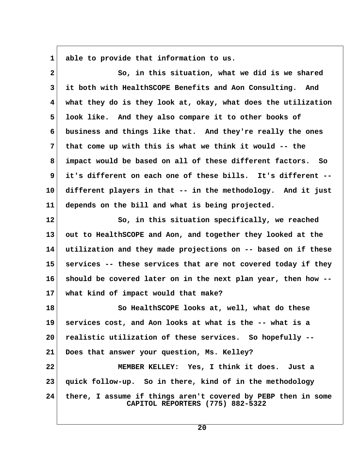**1 able to provide that information to us.**

 **2 So, in this situation, what we did is we shared 3 it both with HealthSCOPE Benefits and Aon Consulting. And 4 what they do is they look at, okay, what does the utilization 5 look like. And they also compare it to other books of 6 business and things like that. And they're really the ones 7 that come up with this is what we think it would -- the 8 impact would be based on all of these different factors. So 9 it's different on each one of these bills. It's different -- 10 different players in that -- in the methodology. And it just 11 depends on the bill and what is being projected.**

**12 So, in this situation specifically, we reached 13 out to HealthSCOPE and Aon, and together they looked at the 14 utilization and they made projections on -- based on if these 15 services -- these services that are not covered today if they 16 should be covered later on in the next plan year, then how -- 17 what kind of impact would that make?**

**18 So HealthSCOPE looks at, well, what do these 19 services cost, and Aon looks at what is the -- what is a 20 realistic utilization of these services. So hopefully -- 21 Does that answer your question, Ms. Kelley? 22 MEMBER KELLEY: Yes, I think it does. Just a 23 quick follow-up. So in there, kind of in the methodology**

**24 there, I assume if things aren't covered by PEBP then in some CAPITOL REPORTERS (775) 882-5322**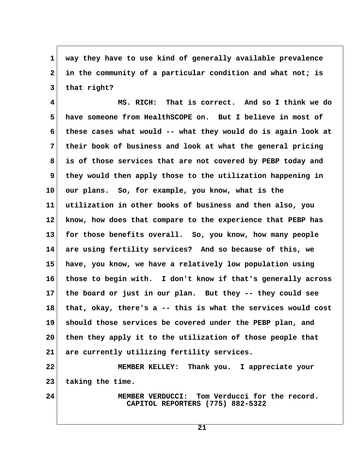**1 way they have to use kind of generally available prevalence 2 in the community of a particular condition and what not; is 3 that right?**

 **4 MS. RICH: That is correct. And so I think we do 5 have someone from HealthSCOPE on. But I believe in most of 6 these cases what would -- what they would do is again look at 7 their book of business and look at what the general pricing 8 is of those services that are not covered by PEBP today and 9 they would then apply those to the utilization happening in 10 our plans. So, for example, you know, what is the 11 utilization in other books of business and then also, you 12 know, how does that compare to the experience that PEBP has 13 for those benefits overall. So, you know, how many people 14 are using fertility services? And so because of this, we 15 have, you know, we have a relatively low population using 16 those to begin with. I don't know if that's generally across 17 the board or just in our plan. But they -- they could see 18 that, okay, there's a -- this is what the services would cost 19 should those services be covered under the PEBP plan, and 20 then they apply it to the utilization of those people that 21 are currently utilizing fertility services.**

**22 MEMBER KELLEY: Thank you. I appreciate your 23 taking the time.**

**24 MEMBER VERDUCCI: Tom Verducci for the record. CAPITOL REPORTERS (775) 882-5322**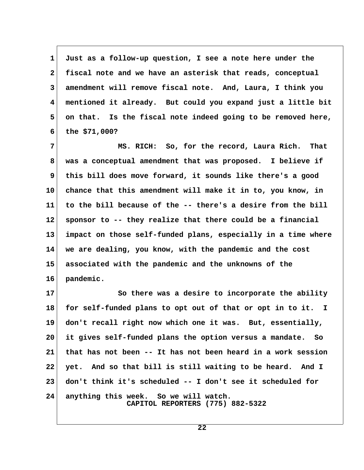**1 Just as a follow-up question, I see a note here under the 2 fiscal note and we have an asterisk that reads, conceptual 3 amendment will remove fiscal note. And, Laura, I think you 4 mentioned it already. But could you expand just a little bit 5 on that. Is the fiscal note indeed going to be removed here, 6 the \$71,000?**

 **7 MS. RICH: So, for the record, Laura Rich. That 8 was a conceptual amendment that was proposed. I believe if 9 this bill does move forward, it sounds like there's a good 10 chance that this amendment will make it in to, you know, in 11 to the bill because of the -- there's a desire from the bill 12 sponsor to -- they realize that there could be a financial 13 impact on those self-funded plans, especially in a time where 14 we are dealing, you know, with the pandemic and the cost 15 associated with the pandemic and the unknowns of the 16 pandemic.**

**17 So there was a desire to incorporate the ability 18 for self-funded plans to opt out of that or opt in to it. I 19 don't recall right now which one it was. But, essentially, 20 it gives self-funded plans the option versus a mandate. So 21 that has not been -- It has not been heard in a work session 22 yet. And so that bill is still waiting to be heard. And I 23 don't think it's scheduled -- I don't see it scheduled for 24 anything this week. So we will watch. CAPITOL REPORTERS (775) 882-5322**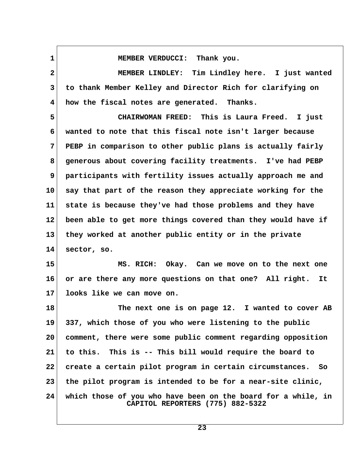1 MEMBER VERDUCCI: Thank you.

 **2 MEMBER LINDLEY: Tim Lindley here. I just wanted 3 to thank Member Kelley and Director Rich for clarifying on 4 how the fiscal notes are generated. Thanks.**

 **5 CHAIRWOMAN FREED: This is Laura Freed. I just 6 wanted to note that this fiscal note isn't larger because 7 PEBP in comparison to other public plans is actually fairly 8 generous about covering facility treatments. I've had PEBP 9 participants with fertility issues actually approach me and 10 say that part of the reason they appreciate working for the 11 state is because they've had those problems and they have 12 been able to get more things covered than they would have if 13 they worked at another public entity or in the private 14 sector, so.**

**15 MS. RICH: Okay. Can we move on to the next one 16 or are there any more questions on that one? All right. It 17 looks like we can move on.**

**18 The next one is on page 12. I wanted to cover AB 19 337, which those of you who were listening to the public 20 comment, there were some public comment regarding opposition 21 to this. This is -- This bill would require the board to 22 create a certain pilot program in certain circumstances. So 23 the pilot program is intended to be for a near-site clinic, 24 which those of you who have been on the board for a while, in CAPITOL REPORTERS (775) 882-5322**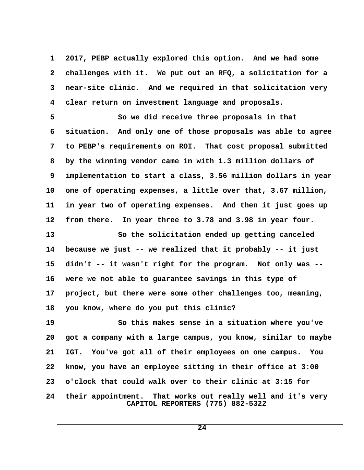**1 2017, PEBP actually explored this option. And we had some 2 challenges with it. We put out an RFQ, a solicitation for a 3 near-site clinic. And we required in that solicitation very 4 clear return on investment language and proposals.**

 **5 So we did receive three proposals in that 6 situation. And only one of those proposals was able to agree 7 to PEBP's requirements on ROI. That cost proposal submitted 8 by the winning vendor came in with 1.3 million dollars of 9 implementation to start a class, 3.56 million dollars in year 10 one of operating expenses, a little over that, 3.67 million, 11 in year two of operating expenses. And then it just goes up 12 from there. In year three to 3.78 and 3.98 in year four.**

**13 So the solicitation ended up getting canceled 14 because we just -- we realized that it probably -- it just 15 didn't -- it wasn't right for the program. Not only was -- 16 were we not able to guarantee savings in this type of 17 project, but there were some other challenges too, meaning, 18 you know, where do you put this clinic?**

**19 So this makes sense in a situation where you've 20 got a company with a large campus, you know, similar to maybe 21 IGT. You've got all of their employees on one campus. You 22 know, you have an employee sitting in their office at 3:00 23 o'clock that could walk over to their clinic at 3:15 for 24 their appointment. That works out really well and it's very CAPITOL REPORTERS (775) 882-5322**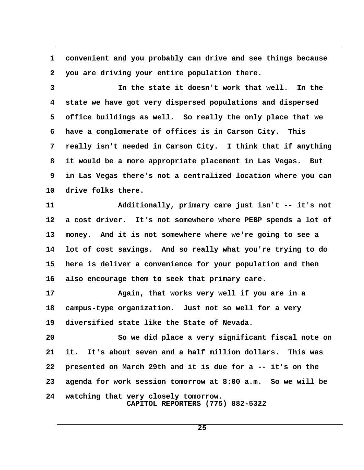**1 convenient and you probably can drive and see things because 2 you are driving your entire population there.**

 **3 In the state it doesn't work that well. In the 4 state we have got very dispersed populations and dispersed 5 office buildings as well. So really the only place that we 6 have a conglomerate of offices is in Carson City. This 7 really isn't needed in Carson City. I think that if anything 8 it would be a more appropriate placement in Las Vegas. But 9 in Las Vegas there's not a centralized location where you can 10 drive folks there.**

**11 Additionally, primary care just isn't -- it's not 12 a cost driver. It's not somewhere where PEBP spends a lot of 13 money. And it is not somewhere where we're going to see a 14 lot of cost savings. And so really what you're trying to do 15 here is deliver a convenience for your population and then 16 also encourage them to seek that primary care.**

**17 Again, that works very well if you are in a 18 campus-type organization. Just not so well for a very 19 diversified state like the State of Nevada.**

**20 So we did place a very significant fiscal note on 21 it. It's about seven and a half million dollars. This was 22 presented on March 29th and it is due for a -- it's on the 23 agenda for work session tomorrow at 8:00 a.m. So we will be 24 watching that very closely tomorrow. CAPITOL REPORTERS (775) 882-5322**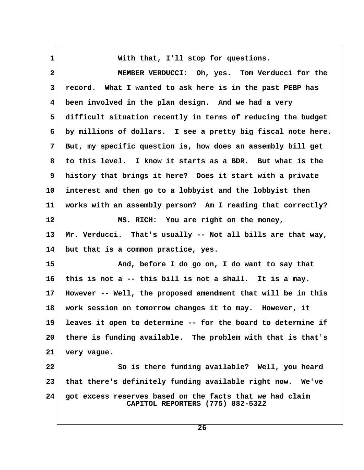1 With that, I'll stop for questions.  **2 MEMBER VERDUCCI: Oh, yes. Tom Verducci for the 3 record. What I wanted to ask here is in the past PEBP has 4 been involved in the plan design. And we had a very 5 difficult situation recently in terms of reducing the budget 6 by millions of dollars. I see a pretty big fiscal note here. 7 But, my specific question is, how does an assembly bill get 8 to this level. I know it starts as a BDR. But what is the 9 history that brings it here? Does it start with a private 10 interest and then go to a lobbyist and the lobbyist then 11 works with an assembly person? Am I reading that correctly? 12 MS. RICH: You are right on the money, 13 Mr. Verducci. That's usually -- Not all bills are that way, 14 but that is a common practice, yes. 15 And, before I do go on, I do want to say that 16 this is not a -- this bill is not a shall. It is a may. 17 However -- Well, the proposed amendment that will be in this 18 work session on tomorrow changes it to may. However, it 19 leaves it open to determine -- for the board to determine if 20 there is funding available. The problem with that is that's 21 very vague. 22 So is there funding available? Well, you heard 23 that there's definitely funding available right now. We've 24 got excess reserves based on the facts that we had claim CAPITOL REPORTERS (775) 882-5322**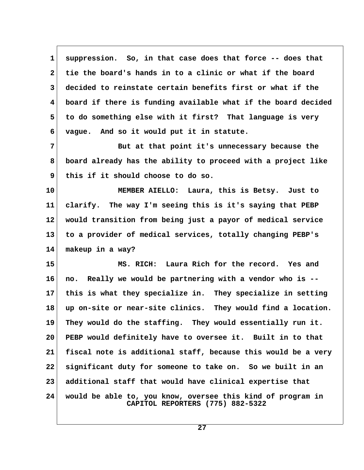**1 suppression. So, in that case does that force -- does that 2 tie the board's hands in to a clinic or what if the board 3 decided to reinstate certain benefits first or what if the 4 board if there is funding available what if the board decided 5 to do something else with it first? That language is very 6 vague. And so it would put it in statute.**

**7** But at that point it's unnecessary because the  **8 board already has the ability to proceed with a project like 9 this if it should choose to do so.**

**10 MEMBER AIELLO: Laura, this is Betsy. Just to 11 clarify. The way I'm seeing this is it's saying that PEBP 12 would transition from being just a payor of medical service 13 to a provider of medical services, totally changing PEBP's 14 makeup in a way?**

**15 MS. RICH: Laura Rich for the record. Yes and 16 no. Really we would be partnering with a vendor who is -- 17 this is what they specialize in. They specialize in setting 18 up on-site or near-site clinics. They would find a location. 19 They would do the staffing. They would essentially run it. 20 PEBP would definitely have to oversee it. Built in to that 21 fiscal note is additional staff, because this would be a very 22 significant duty for someone to take on. So we built in an 23 additional staff that would have clinical expertise that 24 would be able to, you know, oversee this kind of program in CAPITOL REPORTERS (775) 882-5322**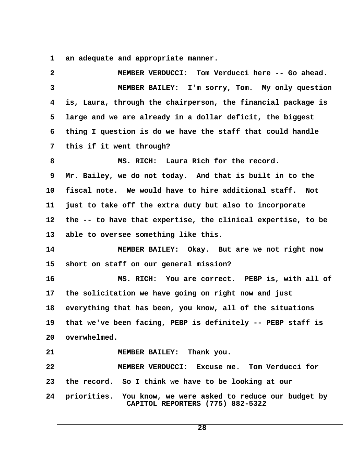1 an adequate and appropriate manner.

| $\mathbf{2}$ | MEMBER VERDUCCI: Tom Verducci here -- Go ahead.                                                 |
|--------------|-------------------------------------------------------------------------------------------------|
| 3            | MEMBER BAILEY: I'm sorry, Tom. My only question                                                 |
| 4            | is, Laura, through the chairperson, the financial package is                                    |
| 5            | large and we are already in a dollar deficit, the biggest                                       |
| 6            | thing I question is do we have the staff that could handle                                      |
| 7            | this if it went through?                                                                        |
| 8            | MS. RICH: Laura Rich for the record.                                                            |
| 9            | Mr. Bailey, we do not today. And that is built in to the                                        |
| 10           | fiscal note. We would have to hire additional staff. Not                                        |
| 11           | just to take off the extra duty but also to incorporate                                         |
| $12 \,$      | the -- to have that expertise, the clinical expertise, to be                                    |
| 13           | able to oversee something like this.                                                            |
| 14           | MEMBER BAILEY: Okay. But are we not right now                                                   |
| 15           | short on staff on our general mission?                                                          |
| 16           | MS. RICH: You are correct. PEBP is, with all of                                                 |
| 17           | the solicitation we have going on right now and just                                            |
| 18           | everything that has been, you know, all of the situations                                       |
| 19           | that we've been facing, PEBP is definitely -- PEBP staff is                                     |
| 20           | overwhelmed.                                                                                    |
| 21           | MEMBER BAILEY: Thank you.                                                                       |
| 22           | MEMBER VERDUCCI: Excuse me. Tom Verducci for                                                    |
| 23           | the record. So I think we have to be looking at our                                             |
| 24           | priorities. You know, we were asked to reduce our budget by<br>CAPITOL REPORTERS (775) 882-5322 |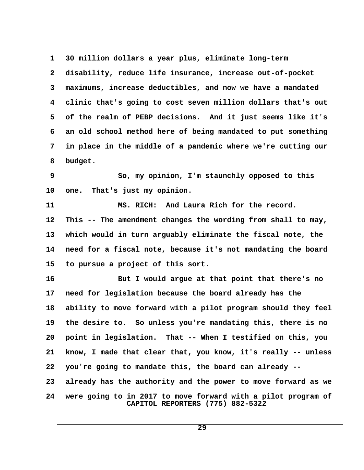| 1            | 30 million dollars a year plus, eliminate long-term                                               |  |
|--------------|---------------------------------------------------------------------------------------------------|--|
| $\mathbf{2}$ | disability, reduce life insurance, increase out-of-pocket                                         |  |
| 3            | maximums, increase deductibles, and now we have a mandated                                        |  |
| 4            | clinic that's going to cost seven million dollars that's out                                      |  |
| 5            | of the realm of PEBP decisions. And it just seems like it's                                       |  |
| 6            | an old school method here of being mandated to put something                                      |  |
| 7            | in place in the middle of a pandemic where we're cutting our                                      |  |
| 8            | budget.                                                                                           |  |
| 9            | So, my opinion, I'm staunchly opposed to this                                                     |  |
| 10           | That's just my opinion.<br>one.                                                                   |  |
| 11           | MS. RICH: And Laura Rich for the record.                                                          |  |
| 12           | This -- The amendment changes the wording from shall to may,                                      |  |
| 13           | which would in turn arguably eliminate the fiscal note, the                                       |  |
| 14           | need for a fiscal note, because it's not mandating the board                                      |  |
| 15           | to pursue a project of this sort.                                                                 |  |
| 16           | But I would argue at that point that there's no                                                   |  |
| 17           | need for legislation because the board already has the                                            |  |
| 18           | ability to move forward with a pilot program should they feel                                     |  |
| 19           | the desire to. So unless you're mandating this, there is no                                       |  |
| 20           | point in legislation. That -- When I testified on this, you                                       |  |
| 21           | know, I made that clear that, you know, it's really -- unless                                     |  |
| 22           | you're going to mandate this, the board can already --                                            |  |
| 23           | already has the authority and the power to move forward as we                                     |  |
| 24           | were going to in 2017 to move forward with a pilot program of<br>CAPITOL REPORTERS (775) 882-5322 |  |

 $\overline{\phantom{a}}$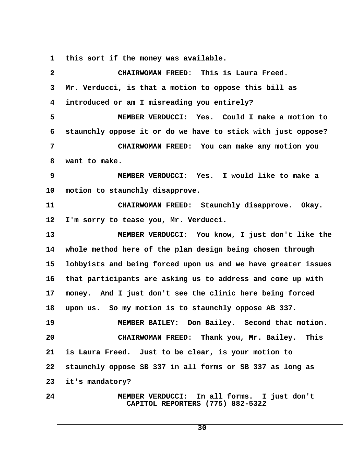**1 this sort if the money was available. 2 CHAIRWOMAN FREED: This is Laura Freed. 3 Mr. Verducci, is that a motion to oppose this bill as 4 introduced or am I misreading you entirely? 5 MEMBER VERDUCCI: Yes. Could I make a motion to 6 staunchly oppose it or do we have to stick with just oppose? 7 CHAIRWOMAN FREED: You can make any motion you 8 want to make. 9 MEMBER VERDUCCI: Yes. I would like to make a 10 motion to staunchly disapprove. 11 CHAIRWOMAN FREED: Staunchly disapprove. Okay. 12 I'm sorry to tease you, Mr. Verducci. 13 MEMBER VERDUCCI: You know, I just don't like the 14 whole method here of the plan design being chosen through 15 lobbyists and being forced upon us and we have greater issues 16 that participants are asking us to address and come up with 17 money. And I just don't see the clinic here being forced 18 upon us. So my motion is to staunchly oppose AB 337. 19 MEMBER BAILEY: Don Bailey. Second that motion. 20 CHAIRWOMAN FREED: Thank you, Mr. Bailey. This 21 is Laura Freed. Just to be clear, is your motion to 22 staunchly oppose SB 337 in all forms or SB 337 as long as 23 it's mandatory? 24 MEMBER VERDUCCI: In all forms. I just don't CAPITOL REPORTERS (775) 882-5322**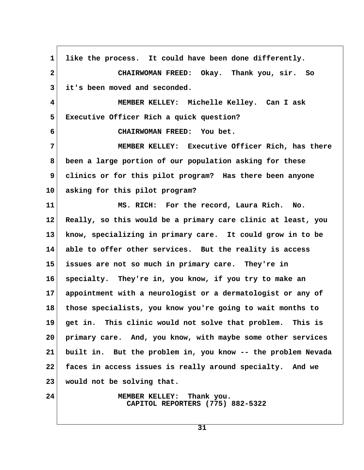1 like the process. It could have been done differently.  **2 CHAIRWOMAN FREED: Okay. Thank you, sir. So 3 it's been moved and seconded. 4 MEMBER KELLEY: Michelle Kelley. Can I ask 5 Executive Officer Rich a quick question? 6 CHAIRWOMAN FREED: You bet. 7 MEMBER KELLEY: Executive Officer Rich, has there 8 been a large portion of our population asking for these 9 clinics or for this pilot program? Has there been anyone 10 asking for this pilot program? 11 MS. RICH: For the record, Laura Rich. No. 12 Really, so this would be a primary care clinic at least, you 13 know, specializing in primary care. It could grow in to be 14 able to offer other services. But the reality is access 15 issues are not so much in primary care. They're in 16 specialty. They're in, you know, if you try to make an 17 appointment with a neurologist or a dermatologist or any of 18 those specialists, you know you're going to wait months to 19 get in. This clinic would not solve that problem. This is 20 primary care. And, you know, with maybe some other services 21 built in. But the problem in, you know -- the problem Nevada 22 faces in access issues is really around specialty. And we 23 would not be solving that. 24 MEMBER KELLEY: Thank you.**

 **CAPITOL REPORTERS (775) 882-5322**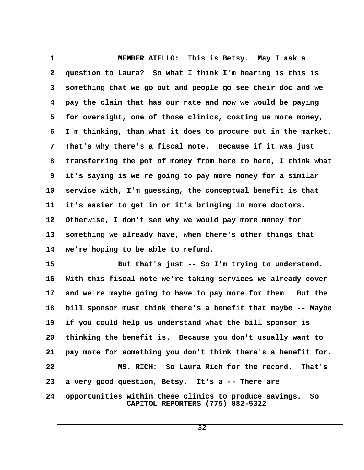**1 MEMBER AIELLO: This is Betsy. May I ask a 2 question to Laura? So what I think I'm hearing is this is 3 something that we go out and people go see their doc and we 4 pay the claim that has our rate and now we would be paying 5 for oversight, one of those clinics, costing us more money, 6 I'm thinking, than what it does to procure out in the market. 7 That's why there's a fiscal note. Because if it was just 8 transferring the pot of money from here to here, I think what 9 it's saying is we're going to pay more money for a similar 10 service with, I'm guessing, the conceptual benefit is that 11 it's easier to get in or it's bringing in more doctors. 12 Otherwise, I don't see why we would pay more money for 13 something we already have, when there's other things that 14 we're hoping to be able to refund.**

15 But that's just -- So I'm trying to understand. **16 With this fiscal note we're taking services we already cover 17 and we're maybe going to have to pay more for them. But the 18 bill sponsor must think there's a benefit that maybe -- Maybe 19 if you could help us understand what the bill sponsor is 20 thinking the benefit is. Because you don't usually want to 21 pay more for something you don't think there's a benefit for. 22 MS. RICH: So Laura Rich for the record. That's 23 a very good question, Betsy. It's a -- There are 24 opportunities within these clinics to produce savings. So CAPITOL REPORTERS (775) 882-5322**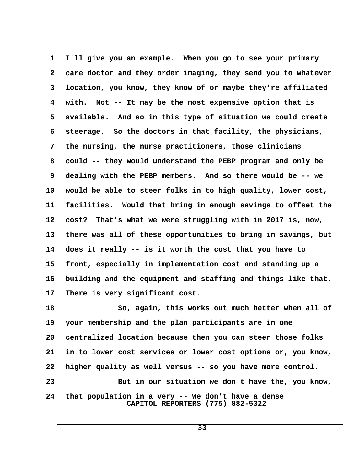**1 I'll give you an example. When you go to see your primary 2 care doctor and they order imaging, they send you to whatever 3 location, you know, they know of or maybe they're affiliated 4 with. Not -- It may be the most expensive option that is 5 available. And so in this type of situation we could create 6 steerage. So the doctors in that facility, the physicians, 7 the nursing, the nurse practitioners, those clinicians 8 could -- they would understand the PEBP program and only be 9 dealing with the PEBP members. And so there would be -- we 10 would be able to steer folks in to high quality, lower cost, 11 facilities. Would that bring in enough savings to offset the 12 cost? That's what we were struggling with in 2017 is, now, 13 there was all of these opportunities to bring in savings, but 14 does it really -- is it worth the cost that you have to 15 front, especially in implementation cost and standing up a 16 building and the equipment and staffing and things like that. 17 There is very significant cost.** 18 So, again, this works out much better when all of

**19 your membership and the plan participants are in one 20 centralized location because then you can steer those folks 21 in to lower cost services or lower cost options or, you know, 22 higher quality as well versus -- so you have more control. 23** But in our situation we don't have the, you know, **24 that population in a very -- We don't have a dense CAPITOL REPORTERS (775) 882-5322**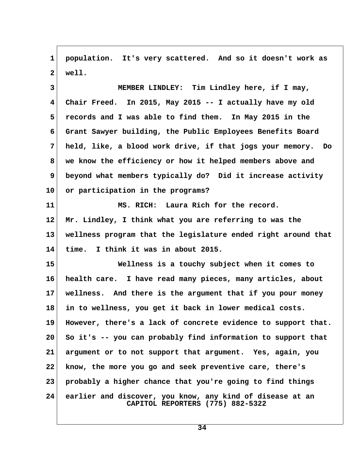**1 population. It's very scattered. And so it doesn't work as 2 well.**

 **3 MEMBER LINDLEY: Tim Lindley here, if I may, 4 Chair Freed. In 2015, May 2015 -- I actually have my old 5 records and I was able to find them. In May 2015 in the 6 Grant Sawyer building, the Public Employees Benefits Board 7 held, like, a blood work drive, if that jogs your memory. Do 8 we know the efficiency or how it helped members above and 9 beyond what members typically do? Did it increase activity 10 or participation in the programs?**

**11 MS. RICH: Laura Rich for the record. 12 Mr. Lindley, I think what you are referring to was the 13 wellness program that the legislature ended right around that 14 time. I think it was in about 2015.**

**15 Wellness is a touchy subject when it comes to 16 health care. I have read many pieces, many articles, about 17 wellness. And there is the argument that if you pour money 18 in to wellness, you get it back in lower medical costs. 19 However, there's a lack of concrete evidence to support that. 20 So it's -- you can probably find information to support that 21 argument or to not support that argument. Yes, again, you 22 know, the more you go and seek preventive care, there's 23 probably a higher chance that you're going to find things 24 earlier and discover, you know, any kind of disease at an CAPITOL REPORTERS (775) 882-5322**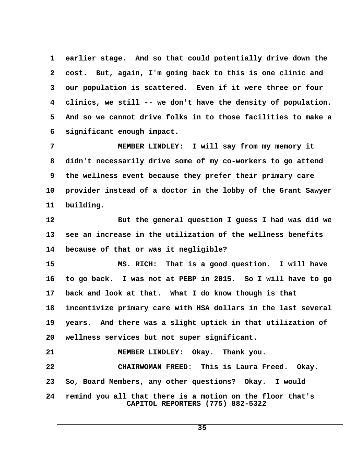**1 earlier stage. And so that could potentially drive down the 2 cost. But, again, I'm going back to this is one clinic and 3 our population is scattered. Even if it were three or four 4 clinics, we still -- we don't have the density of population. 5 And so we cannot drive folks in to those facilities to make a 6 significant enough impact.**

 **7 MEMBER LINDLEY: I will say from my memory it 8 didn't necessarily drive some of my co-workers to go attend 9 the wellness event because they prefer their primary care 10 provider instead of a doctor in the lobby of the Grant Sawyer 11 building.**

**12 But the general question I guess I had was did we 13 see an increase in the utilization of the wellness benefits 14 because of that or was it negligible?**

**15 MS. RICH: That is a good question. I will have 16 to go back. I was not at PEBP in 2015. So I will have to go 17 back and look at that. What I do know though is that 18 incentivize primary care with HSA dollars in the last several 19 years. And there was a slight uptick in that utilization of 20 wellness services but not super significant.**

**21 MEMBER LINDLEY: Okay. Thank you. 22 CHAIRWOMAN FREED: This is Laura Freed. Okay. 23 So, Board Members, any other questions? Okay. I would 24 remind you all that there is a motion on the floor that's CAPITOL REPORTERS (775) 882-5322**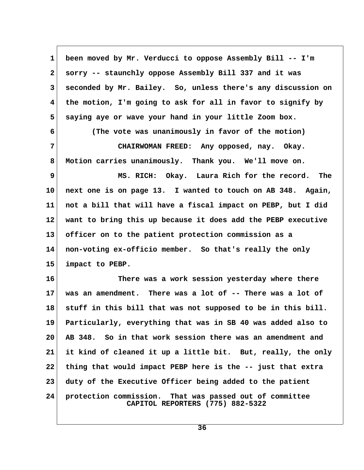**1 been moved by Mr. Verducci to oppose Assembly Bill -- I'm 2 sorry -- staunchly oppose Assembly Bill 337 and it was 3 seconded by Mr. Bailey. So, unless there's any discussion on 4 the motion, I'm going to ask for all in favor to signify by** 5 saying aye or wave your hand in your little Zoom box.  **6 (The vote was unanimously in favor of the motion) 7 CHAIRWOMAN FREED: Any opposed, nay. Okay. 8 Motion carries unanimously. Thank you. We'll move on. 9 MS. RICH: Okay. Laura Rich for the record. The 10 next one is on page 13. I wanted to touch on AB 348. Again, 11 not a bill that will have a fiscal impact on PEBP, but I did 12 want to bring this up because it does add the PEBP executive 13 officer on to the patient protection commission as a 14 non-voting ex-officio member. So that's really the only 15 impact to PEBP. 16 There was a work session yesterday where there 17 was an amendment. There was a lot of -- There was a lot of 18 stuff in this bill that was not supposed to be in this bill. 19 Particularly, everything that was in SB 40 was added also to 20 AB 348. So in that work session there was an amendment and 21 it kind of cleaned it up a little bit. But, really, the only 22 thing that would impact PEBP here is the -- just that extra 23 duty of the Executive Officer being added to the patient 24 protection commission. That was passed out of committee CAPITOL REPORTERS (775) 882-5322**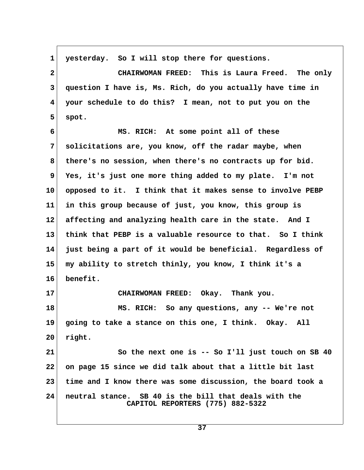**1 yesterday. So I will stop there for questions. 2 CHAIRWOMAN FREED: This is Laura Freed. The only 3 question I have is, Ms. Rich, do you actually have time in 4 your schedule to do this? I mean, not to put you on the 5 spot. 6 MS. RICH: At some point all of these 7 solicitations are, you know, off the radar maybe, when 8 there's no session, when there's no contracts up for bid. 9 Yes, it's just one more thing added to my plate. I'm not 10 opposed to it. I think that it makes sense to involve PEBP 11 in this group because of just, you know, this group is 12 affecting and analyzing health care in the state. And I 13 think that PEBP is a valuable resource to that. So I think 14 just being a part of it would be beneficial. Regardless of 15 my ability to stretch thinly, you know, I think it's a 16 benefit. 17 CHAIRWOMAN FREED: Okay. Thank you. 18 MS. RICH: So any questions, any -- We're not 19 going to take a stance on this one, I think. Okay. All 20 right.** 21 So the next one is -- So I'll just touch on SB 40 **22 on page 15 since we did talk about that a little bit last 23 time and I know there was some discussion, the board took a 24 neutral stance. SB 40 is the bill that deals with the CAPITOL REPORTERS (775) 882-5322**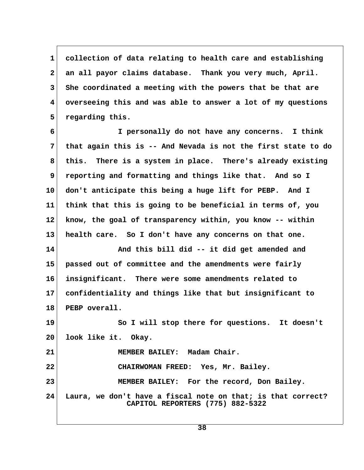**1 collection of data relating to health care and establishing 2 an all payor claims database. Thank you very much, April. 3 She coordinated a meeting with the powers that be that are 4 overseeing this and was able to answer a lot of my questions 5 regarding this.**

 **6 I personally do not have any concerns. I think 7 that again this is -- And Nevada is not the first state to do 8 this. There is a system in place. There's already existing 9 reporting and formatting and things like that. And so I 10 don't anticipate this being a huge lift for PEBP. And I 11 think that this is going to be beneficial in terms of, you 12 know, the goal of transparency within, you know -- within 13 health care. So I don't have any concerns on that one.**

**14 And this bill did -- it did get amended and 15 passed out of committee and the amendments were fairly 16 insignificant. There were some amendments related to 17 confidentiality and things like that but insignificant to 18 PEBP overall.**

**19 So I will stop there for questions. It doesn't 20 look like it. Okay.**

**21 MEMBER BAILEY: Madam Chair.**

**22 CHAIRWOMAN FREED: Yes, Mr. Bailey.**

**23 MEMBER BAILEY: For the record, Don Bailey.**

**24 Laura, we don't have a fiscal note on that; is that correct? CAPITOL REPORTERS (775) 882-5322**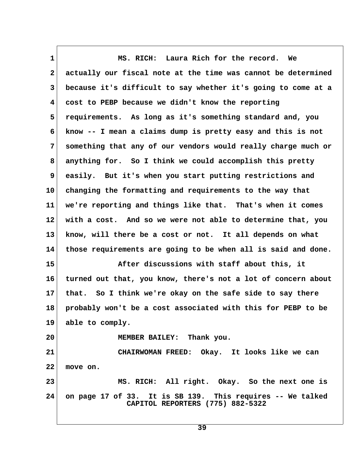**1 MS. RICH: Laura Rich for the record. We 2 actually our fiscal note at the time was cannot be determined 3 because it's difficult to say whether it's going to come at a 4 cost to PEBP because we didn't know the reporting 5 requirements. As long as it's something standard and, you 6 know -- I mean a claims dump is pretty easy and this is not 7 something that any of our vendors would really charge much or 8 anything for. So I think we could accomplish this pretty 9 easily. But it's when you start putting restrictions and 10 changing the formatting and requirements to the way that 11 we're reporting and things like that. That's when it comes 12 with a cost. And so we were not able to determine that, you 13 know, will there be a cost or not. It all depends on what 14 those requirements are going to be when all is said and done. 15 After discussions with staff about this, it 16 turned out that, you know, there's not a lot of concern about 17 that. So I think we're okay on the safe side to say there 18 probably won't be a cost associated with this for PEBP to be 19 able to comply. 20 MEMBER BAILEY: Thank you. 21 CHAIRWOMAN FREED: Okay. It looks like we can 22 move on. 23 MS. RICH: All right. Okay. So the next one is 24 on page 17 of 33. It is SB 139. This requires -- We talked CAPITOL REPORTERS (775) 882-5322**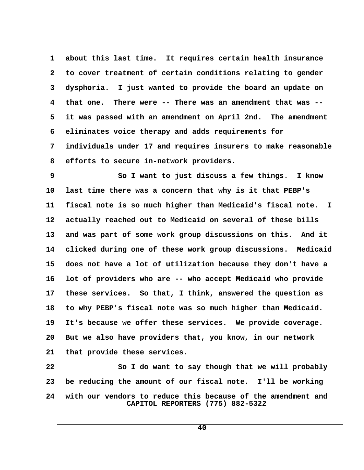**1 about this last time. It requires certain health insurance 2 to cover treatment of certain conditions relating to gender 3 dysphoria. I just wanted to provide the board an update on 4 that one. There were -- There was an amendment that was -- 5 it was passed with an amendment on April 2nd. The amendment 6 eliminates voice therapy and adds requirements for 7 individuals under 17 and requires insurers to make reasonable 8 efforts to secure in-network providers.**

 **9 So I want to just discuss a few things. I know 10 last time there was a concern that why is it that PEBP's 11 fiscal note is so much higher than Medicaid's fiscal note. I 12 actually reached out to Medicaid on several of these bills 13 and was part of some work group discussions on this. And it 14 clicked during one of these work group discussions. Medicaid 15 does not have a lot of utilization because they don't have a 16 lot of providers who are -- who accept Medicaid who provide 17 these services. So that, I think, answered the question as 18 to why PEBP's fiscal note was so much higher than Medicaid. 19 It's because we offer these services. We provide coverage. 20 But we also have providers that, you know, in our network 21 that provide these services.**

**22** So I do want to say though that we will probably **23 be reducing the amount of our fiscal note. I'll be working 24 with our vendors to reduce this because of the amendment and CAPITOL REPORTERS (775) 882-5322**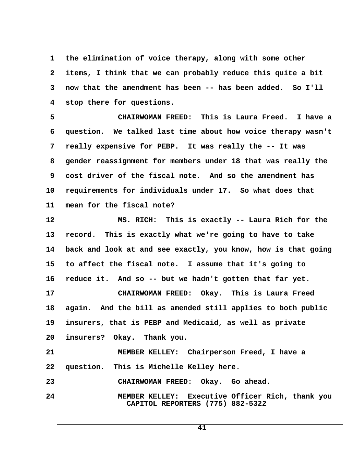1 the elimination of voice therapy, along with some other  **2 items, I think that we can probably reduce this quite a bit 3 now that the amendment has been -- has been added. So I'll 4 stop there for questions.**

 **5 CHAIRWOMAN FREED: This is Laura Freed. I have a 6 question. We talked last time about how voice therapy wasn't 7 really expensive for PEBP. It was really the -- It was 8 gender reassignment for members under 18 that was really the 9 cost driver of the fiscal note. And so the amendment has 10 requirements for individuals under 17. So what does that 11 mean for the fiscal note?**

**12 MS. RICH: This is exactly -- Laura Rich for the 13 record. This is exactly what we're going to have to take 14 back and look at and see exactly, you know, how is that going 15 to affect the fiscal note. I assume that it's going to 16 reduce it. And so -- but we hadn't gotten that far yet. 17 CHAIRWOMAN FREED: Okay. This is Laura Freed 18 again. And the bill as amended still applies to both public 19 insurers, that is PEBP and Medicaid, as well as private 20 insurers? Okay. Thank you. 21 MEMBER KELLEY: Chairperson Freed, I have a 22 question. This is Michelle Kelley here.**

**24 MEMBER KELLEY: Executive Officer Rich, thank you CAPITOL REPORTERS (775) 882-5322**

**23 CHAIRWOMAN FREED: Okay. Go ahead.**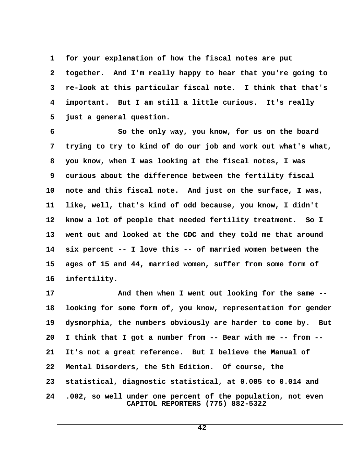1 for your explanation of how the fiscal notes are put  **2 together. And I'm really happy to hear that you're going to 3 re-look at this particular fiscal note. I think that that's 4 important. But I am still a little curious. It's really 5 just a general question.**

 **6 So the only way, you know, for us on the board 7 trying to try to kind of do our job and work out what's what, 8 you know, when I was looking at the fiscal notes, I was 9 curious about the difference between the fertility fiscal 10 note and this fiscal note. And just on the surface, I was, 11 like, well, that's kind of odd because, you know, I didn't 12 know a lot of people that needed fertility treatment. So I 13 went out and looked at the CDC and they told me that around 14 six percent -- I love this -- of married women between the 15 ages of 15 and 44, married women, suffer from some form of 16 infertility.**

**17 And then when I went out looking for the same -- 18 looking for some form of, you know, representation for gender 19 dysmorphia, the numbers obviously are harder to come by. But 20 I think that I got a number from -- Bear with me -- from -- 21 It's not a great reference. But I believe the Manual of 22 Mental Disorders, the 5th Edition. Of course, the 23 statistical, diagnostic statistical, at 0.005 to 0.014 and 24 .002, so well under one percent of the population, not even CAPITOL REPORTERS (775) 882-5322**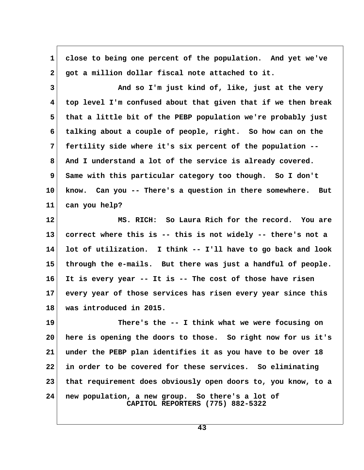**1 close to being one percent of the population. And yet we've 2 got a million dollar fiscal note attached to it. 3 And so I'm just kind of, like, just at the very 4 top level I'm confused about that given that if we then break 5 that a little bit of the PEBP population we're probably just 6 talking about a couple of people, right. So how can on the 7 fertility side where it's six percent of the population -- 8 And I understand a lot of the service is already covered. 9 Same with this particular category too though. So I don't 10 know. Can you -- There's a question in there somewhere. But 11 can you help? 12 MS. RICH: So Laura Rich for the record. You are 13 correct where this is -- this is not widely -- there's not a 14 lot of utilization. I think -- I'll have to go back and look 15 through the e-mails. But there was just a handful of people. 16 It is every year -- It is -- The cost of those have risen 17 every year of those services has risen every year since this 18 was introduced in 2015. 19 There's the -- I think what we were focusing on 20 here is opening the doors to those. So right now for us it's 21 under the PEBP plan identifies it as you have to be over 18 22 in order to be covered for these services. So eliminating 23 that requirement does obviously open doors to, you know, to a 24 new population, a new group. So there's a lot of CAPITOL REPORTERS (775) 882-5322**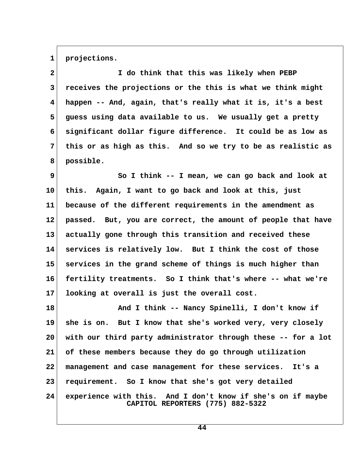**1 projections.**

 **2 I do think that this was likely when PEBP 3 receives the projections or the this is what we think might 4 happen -- And, again, that's really what it is, it's a best 5 guess using data available to us. We usually get a pretty 6 significant dollar figure difference. It could be as low as 7 this or as high as this. And so we try to be as realistic as 8 possible. 9 So I think -- I mean, we can go back and look at 10 this. Again, I want to go back and look at this, just 11 because of the different requirements in the amendment as 12 passed. But, you are correct, the amount of people that have 13 actually gone through this transition and received these 14 services is relatively low. But I think the cost of those 15 services in the grand scheme of things is much higher than 16 fertility treatments. So I think that's where -- what we're 17 looking at overall is just the overall cost. 18 And I think -- Nancy Spinelli, I don't know if**

**19 she is on. But I know that she's worked very, very closely 20 with our third party administrator through these -- for a lot 21 of these members because they do go through utilization 22 management and case management for these services. It's a 23 requirement. So I know that she's got very detailed 24 experience with this. And I don't know if she's on if maybe CAPITOL REPORTERS (775) 882-5322**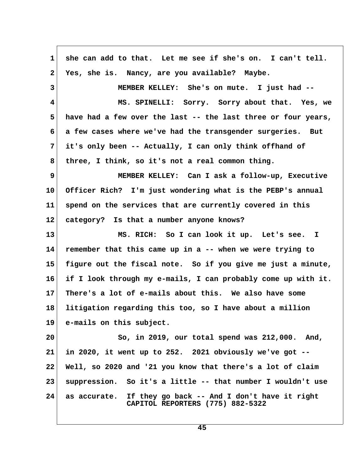| 1            | she can add to that. Let me see if she's on. I can't tell.                                    |  |
|--------------|-----------------------------------------------------------------------------------------------|--|
| $\mathbf{2}$ | Yes, she is. Nancy, are you available? Maybe.                                                 |  |
| 3            | MEMBER KELLEY: She's on mute. I just had --                                                   |  |
| 4            | MS. SPINELLI: Sorry. Sorry about that. Yes, we                                                |  |
| 5            | have had a few over the last -- the last three or four years,                                 |  |
| 6            | a few cases where we've had the transgender surgeries. But                                    |  |
| 7            | it's only been -- Actually, I can only think offhand of                                       |  |
| 8            | three, I think, so it's not a real common thing.                                              |  |
| 9            | MEMBER KELLEY: Can I ask a follow-up, Executive                                               |  |
| 10           | Officer Rich? I'm just wondering what is the PEBP's annual                                    |  |
| 11           | spend on the services that are currently covered in this                                      |  |
| 12           | category? Is that a number anyone knows?                                                      |  |
| 13           | MS. RICH: So I can look it up. Let's see. I                                                   |  |
| 14           | remember that this came up in a -- when we were trying to                                     |  |
| 15           | figure out the fiscal note. So if you give me just a minute,                                  |  |
| 16           | if I look through my e-mails, I can probably come up with it.                                 |  |
| 17           | There's a lot of e-mails about this. We also have some                                        |  |
| 18           | litigation regarding this too, so I have about a million                                      |  |
| 19           | e-mails on this subject.                                                                      |  |
| 20           | So, in 2019, our total spend was $212,000$ . And,                                             |  |
| 21           | in 2020, it went up to 252. 2021 obviously we've got --                                       |  |
| 22           | Well, so 2020 and '21 you know that there's a lot of claim                                    |  |
| 23           | suppression. So it's a little -- that number I wouldn't use                                   |  |
| 24           | as accurate. If they go back -- And I don't have it right<br>CAPITOL REPORTERS (775) 882-5322 |  |

 $\sqrt{2}$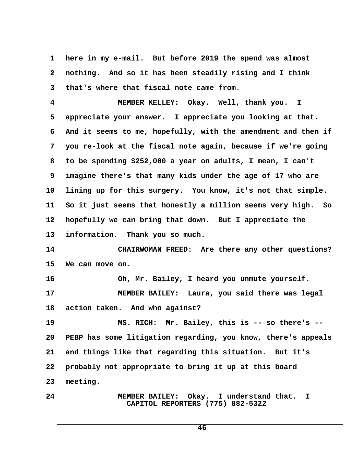| 1               | here in my e-mail. But before 2019 the spend was almost                       |  |
|-----------------|-------------------------------------------------------------------------------|--|
| 2               | nothing. And so it has been steadily rising and I think                       |  |
| 3               | that's where that fiscal note came from.                                      |  |
| 4               | MEMBER KELLEY: Okay. Well, thank you. I                                       |  |
| 5               | appreciate your answer. I appreciate you looking at that.                     |  |
| 6               | And it seems to me, hopefully, with the amendment and then if                 |  |
| 7               | you re-look at the fiscal note again, because if we're going                  |  |
| 8               | to be spending \$252,000 a year on adults, I mean, I can't                    |  |
| 9               | imagine there's that many kids under the age of 17 who are                    |  |
| 10              | lining up for this surgery. You know, it's not that simple.                   |  |
| 11              | So it just seems that honestly a million seems very high. So                  |  |
| 12 <sup>°</sup> | hopefully we can bring that down. But I appreciate the                        |  |
| 13              | information. Thank you so much.                                               |  |
| 14              | CHAIRWOMAN FREED: Are there any other questions?                              |  |
| 15              | We can move on.                                                               |  |
| 16              | Oh, Mr. Bailey, I heard you unmute yourself.                                  |  |
| 17              | MEMBER BAILEY: Laura, you said there was legal                                |  |
| 18              | action taken. And who against?                                                |  |
| 19              | MS. RICH: Mr. Bailey, this is -- so there's --                                |  |
| 20              | PEBP has some litigation regarding, you know, there's appeals                 |  |
| 21              | and things like that regarding this situation. But it's                       |  |
| 22              | probably not appropriate to bring it up at this board                         |  |
| 23              | meeting.                                                                      |  |
| 24              | MEMBER BAILEY: Okay. I understand that. I<br>CAPITOL REPORTERS (775) 882-5322 |  |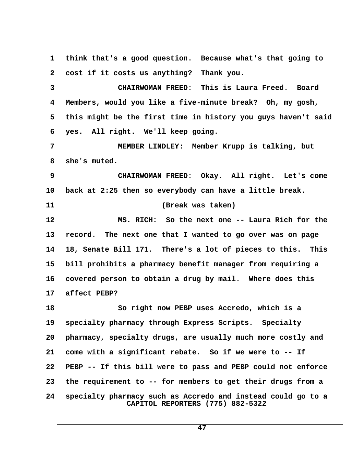**1 think that's a good question. Because what's that going to 2 cost if it costs us anything? Thank you. 3 CHAIRWOMAN FREED: This is Laura Freed. Board 4 Members, would you like a five-minute break? Oh, my gosh, 5 this might be the first time in history you guys haven't said 6 yes. All right. We'll keep going. 7 MEMBER LINDLEY: Member Krupp is talking, but 8 she's muted. 9 CHAIRWOMAN FREED: Okay. All right. Let's come 10 back at 2:25 then so everybody can have a little break. 11 (Break was taken) 12 MS. RICH: So the next one -- Laura Rich for the 13 record. The next one that I wanted to go over was on page 14 18, Senate Bill 171. There's a lot of pieces to this. This 15 bill prohibits a pharmacy benefit manager from requiring a 16 covered person to obtain a drug by mail. Where does this 17 affect PEBP? 18 So right now PEBP uses Accredo, which is a 19 specialty pharmacy through Express Scripts. Specialty 20 pharmacy, specialty drugs, are usually much more costly and 21 come with a significant rebate. So if we were to -- If 22 PEBP -- If this bill were to pass and PEBP could not enforce 23 the requirement to -- for members to get their drugs from a 24 specialty pharmacy such as Accredo and instead could go to a CAPITOL REPORTERS (775) 882-5322**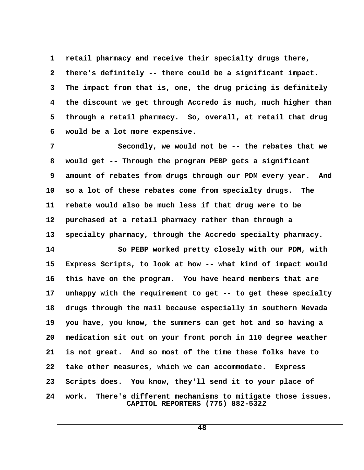**1 retail pharmacy and receive their specialty drugs there, 2 there's definitely -- there could be a significant impact. 3 The impact from that is, one, the drug pricing is definitely 4 the discount we get through Accredo is much, much higher than 5 through a retail pharmacy. So, overall, at retail that drug 6 would be a lot more expensive.**

 **7 Secondly, we would not be -- the rebates that we 8 would get -- Through the program PEBP gets a significant 9 amount of rebates from drugs through our PDM every year. And 10 so a lot of these rebates come from specialty drugs. The 11 rebate would also be much less if that drug were to be 12 purchased at a retail pharmacy rather than through a 13 specialty pharmacy, through the Accredo specialty pharmacy.**

**14 So PEBP worked pretty closely with our PDM, with 15 Express Scripts, to look at how -- what kind of impact would 16 this have on the program. You have heard members that are 17 unhappy with the requirement to get -- to get these specialty 18 drugs through the mail because especially in southern Nevada 19 you have, you know, the summers can get hot and so having a 20 medication sit out on your front porch in 110 degree weather 21 is not great. And so most of the time these folks have to 22 take other measures, which we can accommodate. Express 23 Scripts does. You know, they'll send it to your place of 24 work. There's different mechanisms to mitigate those issues. CAPITOL REPORTERS (775) 882-5322**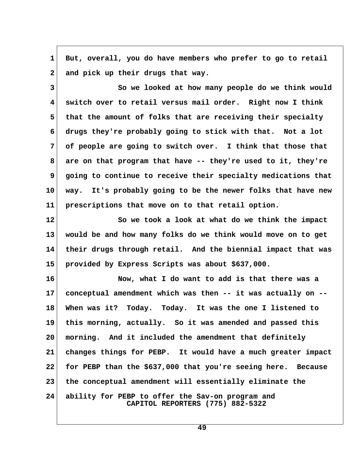1 But, overall, you do have members who prefer to go to retail 2 and pick up their drugs that way.

**3** So we looked at how many people do we think would  **4 switch over to retail versus mail order. Right now I think 5 that the amount of folks that are receiving their specialty 6 drugs they're probably going to stick with that. Not a lot 7 of people are going to switch over. I think that those that 8 are on that program that have -- they're used to it, they're 9 going to continue to receive their specialty medications that 10 way. It's probably going to be the newer folks that have new 11 prescriptions that move on to that retail option.**

**12 So we took a look at what do we think the impact 13 would be and how many folks do we think would move on to get 14 their drugs through retail. And the biennial impact that was 15 provided by Express Scripts was about \$637,000.**

**16 Now, what I do want to add is that there was a 17 conceptual amendment which was then -- it was actually on -- 18 When was it? Today. Today. It was the one I listened to 19 this morning, actually. So it was amended and passed this 20 morning. And it included the amendment that definitely 21 changes things for PEBP. It would have a much greater impact 22 for PEBP than the \$637,000 that you're seeing here. Because 23 the conceptual amendment will essentially eliminate the 24 ability for PEBP to offer the Sav-on program and CAPITOL REPORTERS (775) 882-5322**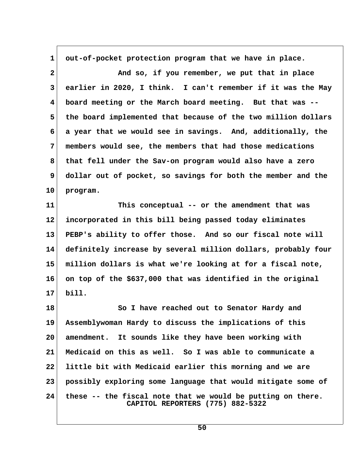**1 out-of-pocket protection program that we have in place. 2 And so, if you remember, we put that in place 3 earlier in 2020, I think. I can't remember if it was the May 4 board meeting or the March board meeting. But that was -- 5 the board implemented that because of the two million dollars 6 a year that we would see in savings. And, additionally, the 7 members would see, the members that had those medications 8 that fell under the Sav-on program would also have a zero 9 dollar out of pocket, so savings for both the member and the 10 program. 11 This conceptual -- or the amendment that was 12 incorporated in this bill being passed today eliminates 13 PEBP's ability to offer those. And so our fiscal note will 14 definitely increase by several million dollars, probably four**

**15 million dollars is what we're looking at for a fiscal note, 16 on top of the \$637,000 that was identified in the original 17 bill.**

**18 So I have reached out to Senator Hardy and 19 Assemblywoman Hardy to discuss the implications of this 20 amendment. It sounds like they have been working with 21 Medicaid on this as well. So I was able to communicate a 22 little bit with Medicaid earlier this morning and we are 23 possibly exploring some language that would mitigate some of 24 these -- the fiscal note that we would be putting on there. CAPITOL REPORTERS (775) 882-5322**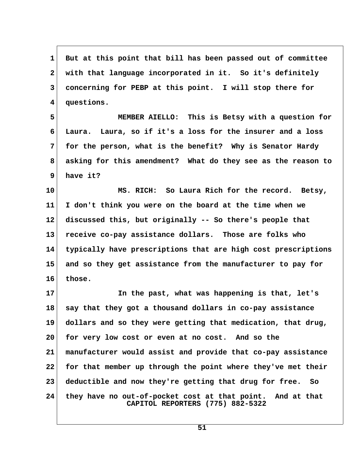**1 But at this point that bill has been passed out of committee 2 with that language incorporated in it. So it's definitely 3 concerning for PEBP at this point. I will stop there for 4 questions.**

 **5 MEMBER AIELLO: This is Betsy with a question for 6 Laura. Laura, so if it's a loss for the insurer and a loss 7 for the person, what is the benefit? Why is Senator Hardy 8 asking for this amendment? What do they see as the reason to 9 have it?**

**10 MS. RICH: So Laura Rich for the record. Betsy, 11 I don't think you were on the board at the time when we 12 discussed this, but originally -- So there's people that 13 receive co-pay assistance dollars. Those are folks who 14 typically have prescriptions that are high cost prescriptions 15 and so they get assistance from the manufacturer to pay for 16 those.**

**17 In the past, what was happening is that, let's 18 say that they got a thousand dollars in co-pay assistance 19 dollars and so they were getting that medication, that drug, 20 for very low cost or even at no cost. And so the 21 manufacturer would assist and provide that co-pay assistance 22 for that member up through the point where they've met their 23 deductible and now they're getting that drug for free. So 24 they have no out-of-pocket cost at that point. And at that CAPITOL REPORTERS (775) 882-5322**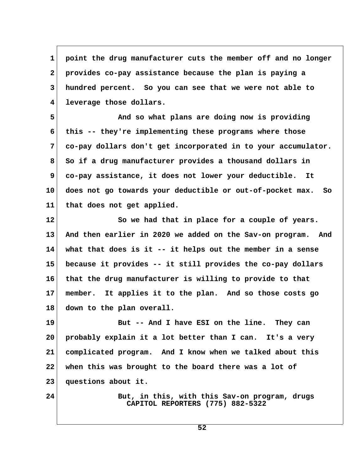**1 point the drug manufacturer cuts the member off and no longer 2 provides co-pay assistance because the plan is paying a 3 hundred percent. So you can see that we were not able to 4 leverage those dollars.**

 **5 And so what plans are doing now is providing 6 this -- they're implementing these programs where those 7 co-pay dollars don't get incorporated in to your accumulator. 8 So if a drug manufacturer provides a thousand dollars in 9 co-pay assistance, it does not lower your deductible. It 10 does not go towards your deductible or out-of-pocket max. So 11 that does not get applied.**

**12 So we had that in place for a couple of years. 13 And then earlier in 2020 we added on the Sav-on program. And 14 what that does is it -- it helps out the member in a sense 15 because it provides -- it still provides the co-pay dollars 16 that the drug manufacturer is willing to provide to that 17 member. It applies it to the plan. And so those costs go 18 down to the plan overall.**

**19 But -- And I have ESI on the line. They can 20 probably explain it a lot better than I can. It's a very 21 complicated program. And I know when we talked about this 22 when this was brought to the board there was a lot of 23 questions about it.**

**24 But, in this, with this Sav-on program, drugs CAPITOL REPORTERS (775) 882-5322**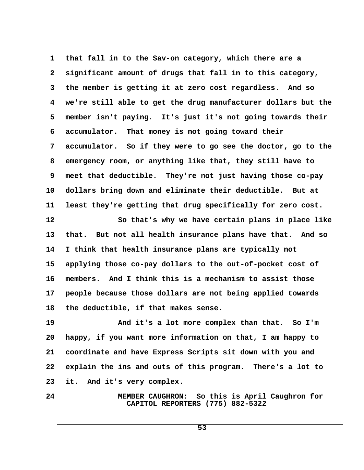**1 that fall in to the Sav-on category, which there are a 2 significant amount of drugs that fall in to this category, 3 the member is getting it at zero cost regardless. And so 4 we're still able to get the drug manufacturer dollars but the 5 member isn't paying. It's just it's not going towards their 6 accumulator. That money is not going toward their 7 accumulator. So if they were to go see the doctor, go to the 8 emergency room, or anything like that, they still have to 9 meet that deductible. They're not just having those co-pay 10 dollars bring down and eliminate their deductible. But at 11 least they're getting that drug specifically for zero cost. 12 So that's why we have certain plans in place like 13 that. But not all health insurance plans have that. And so 14 I think that health insurance plans are typically not 15 applying those co-pay dollars to the out-of-pocket cost of 16 members. And I think this is a mechanism to assist those 17 people because those dollars are not being applied towards 18 the deductible, if that makes sense. 19 And it's a lot more complex than that. So I'm 20 happy, if you want more information on that, I am happy to 21 coordinate and have Express Scripts sit down with you and 22 explain the ins and outs of this program. There's a lot to 23 it. And it's very complex. 24 MEMBER CAUGHRON: So this is April Caughron for CAPITOL REPORTERS (775) 882-5322**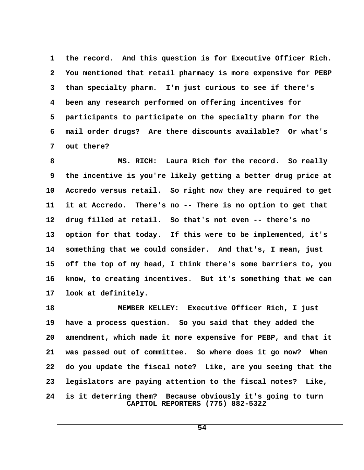**1 the record. And this question is for Executive Officer Rich. 2 You mentioned that retail pharmacy is more expensive for PEBP 3 than specialty pharm. I'm just curious to see if there's 4 been any research performed on offering incentives for 5 participants to participate on the specialty pharm for the 6 mail order drugs? Are there discounts available? Or what's 7 out there?**

 **8 MS. RICH: Laura Rich for the record. So really 9 the incentive is you're likely getting a better drug price at 10 Accredo versus retail. So right now they are required to get 11 it at Accredo. There's no -- There is no option to get that 12 drug filled at retail. So that's not even -- there's no 13 option for that today. If this were to be implemented, it's 14 something that we could consider. And that's, I mean, just 15 off the top of my head, I think there's some barriers to, you 16 know, to creating incentives. But it's something that we can 17 look at definitely.**

**18 MEMBER KELLEY: Executive Officer Rich, I just 19 have a process question. So you said that they added the 20 amendment, which made it more expensive for PEBP, and that it 21 was passed out of committee. So where does it go now? When 22 do you update the fiscal note? Like, are you seeing that the 23 legislators are paying attention to the fiscal notes? Like, 24 is it deterring them? Because obviously it's going to turn CAPITOL REPORTERS (775) 882-5322**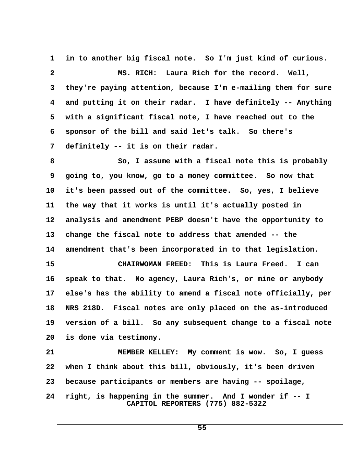**1 in to another big fiscal note. So I'm just kind of curious. 2 MS. RICH: Laura Rich for the record. Well, 3 they're paying attention, because I'm e-mailing them for sure 4 and putting it on their radar. I have definitely -- Anything 5 with a significant fiscal note, I have reached out to the 6 sponsor of the bill and said let's talk. So there's 7 definitely -- it is on their radar. 8 So, I assume with a fiscal note this is probably 9 going to, you know, go to a money committee. So now that 10 it's been passed out of the committee. So, yes, I believe 11 the way that it works is until it's actually posted in 12 analysis and amendment PEBP doesn't have the opportunity to 13 change the fiscal note to address that amended -- the 14 amendment that's been incorporated in to that legislation. 15 CHAIRWOMAN FREED: This is Laura Freed. I can 16 speak to that. No agency, Laura Rich's, or mine or anybody 17 else's has the ability to amend a fiscal note officially, per 18 NRS 218D. Fiscal notes are only placed on the as-introduced 19 version of a bill. So any subsequent change to a fiscal note 20 is done via testimony. 21 MEMBER KELLEY: My comment is wow. So, I guess 22 when I think about this bill, obviously, it's been driven 23 because participants or members are having -- spoilage, 24 right, is happening in the summer. And I wonder if -- I CAPITOL REPORTERS (775) 882-5322**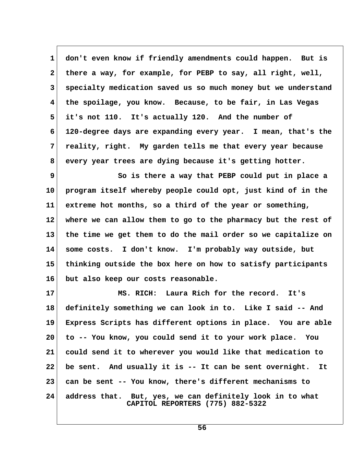**1 don't even know if friendly amendments could happen. But is 2 there a way, for example, for PEBP to say, all right, well, 3 specialty medication saved us so much money but we understand 4 the spoilage, you know. Because, to be fair, in Las Vegas 5 it's not 110. It's actually 120. And the number of 6 120-degree days are expanding every year. I mean, that's the 7 reality, right. My garden tells me that every year because 8 every year trees are dying because it's getting hotter.**

 **9 So is there a way that PEBP could put in place a 10 program itself whereby people could opt, just kind of in the 11 extreme hot months, so a third of the year or something, 12 where we can allow them to go to the pharmacy but the rest of 13 the time we get them to do the mail order so we capitalize on 14 some costs. I don't know. I'm probably way outside, but 15 thinking outside the box here on how to satisfy participants 16 but also keep our costs reasonable.**

**17 MS. RICH: Laura Rich for the record. It's 18 definitely something we can look in to. Like I said -- And 19 Express Scripts has different options in place. You are able 20 to -- You know, you could send it to your work place. You 21 could send it to wherever you would like that medication to 22 be sent. And usually it is -- It can be sent overnight. It 23 can be sent -- You know, there's different mechanisms to 24 address that. But, yes, we can definitely look in to what CAPITOL REPORTERS (775) 882-5322**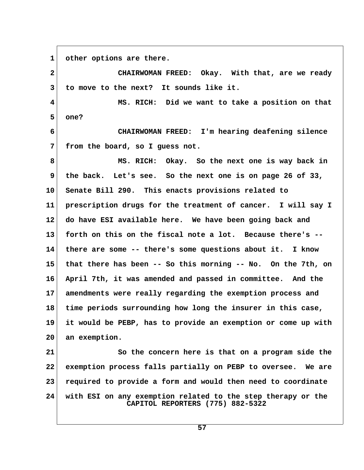1 other options are there.

 **2 CHAIRWOMAN FREED: Okay. With that, are we ready 3 to move to the next? It sounds like it. 4 MS. RICH: Did we want to take a position on that 5 one? 6 CHAIRWOMAN FREED: I'm hearing deafening silence 7 from the board, so I guess not. 8 MS. RICH: Okay. So the next one is way back in 9 the back. Let's see. So the next one is on page 26 of 33, 10 Senate Bill 290. This enacts provisions related to 11 prescription drugs for the treatment of cancer. I will say I 12 do have ESI available here. We have been going back and 13 forth on this on the fiscal note a lot. Because there's -- 14 there are some -- there's some questions about it. I know 15 that there has been -- So this morning -- No. On the 7th, on 16 April 7th, it was amended and passed in committee. And the 17 amendments were really regarding the exemption process and 18 time periods surrounding how long the insurer in this case, 19 it would be PEBP, has to provide an exemption or come up with 20 an exemption. 21 So the concern here is that on a program side the 22 exemption process falls partially on PEBP to oversee. We are 23 required to provide a form and would then need to coordinate**

**24 with ESI on any exemption related to the step therapy or the CAPITOL REPORTERS (775) 882-5322**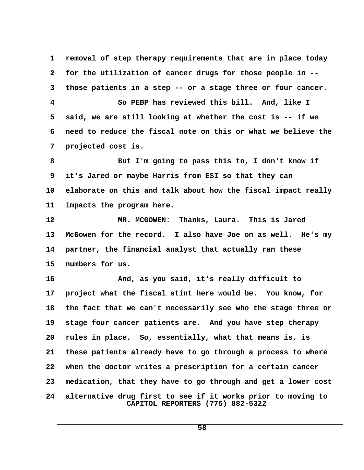**1 removal of step therapy requirements that are in place today 2 for the utilization of cancer drugs for those people in -- 3 those patients in a step -- or a stage three or four cancer. 4 So PEBP has reviewed this bill. And, like I 5 said, we are still looking at whether the cost is -- if we 6 need to reduce the fiscal note on this or what we believe the 7 projected cost is.** 8 But I'm going to pass this to, I don't know if  **9 it's Jared or maybe Harris from ESI so that they can 10 elaborate on this and talk about how the fiscal impact really 11 impacts the program here. 12 MR. MCGOWEN: Thanks, Laura. This is Jared 13 McGowen for the record. I also have Joe on as well. He's my 14 partner, the financial analyst that actually ran these 15 numbers for us. 16 And, as you said, it's really difficult to 17 project what the fiscal stint here would be. You know, for 18 the fact that we can't necessarily see who the stage three or 19 stage four cancer patients are. And you have step therapy 20 rules in place. So, essentially, what that means is, is 21 these patients already have to go through a process to where 22 when the doctor writes a prescription for a certain cancer 23 medication, that they have to go through and get a lower cost 24 alternative drug first to see if it works prior to moving to CAPITOL REPORTERS (775) 882-5322**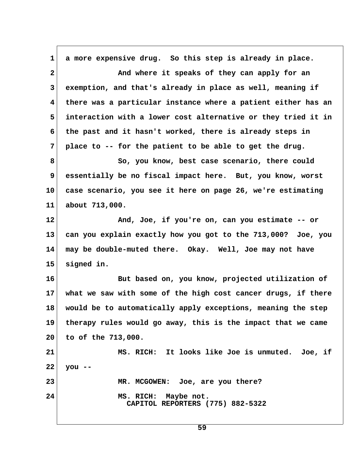**1 a more expensive drug. So this step is already in place. 2 And where it speaks of they can apply for an 3 exemption, and that's already in place as well, meaning if 4 there was a particular instance where a patient either has an 5 interaction with a lower cost alternative or they tried it in 6 the past and it hasn't worked, there is already steps in 7 place to -- for the patient to be able to get the drug. 8 So, you know, best case scenario, there could 9 essentially be no fiscal impact here. But, you know, worst 10 case scenario, you see it here on page 26, we're estimating 11 about 713,000. 12 And, Joe, if you're on, can you estimate -- or 13 can you explain exactly how you got to the 713,000? Joe, you 14 may be double-muted there. Okay. Well, Joe may not have 15 signed in. 16 But based on, you know, projected utilization of 17 what we saw with some of the high cost cancer drugs, if there 18 would be to automatically apply exceptions, meaning the step 19 therapy rules would go away, this is the impact that we came 20 to of the 713,000. 21 MS. RICH: It looks like Joe is unmuted. Joe, if 22 you -- 23 MR. MCGOWEN: Joe, are you there? 24 MS. RICH: Maybe not. CAPITOL REPORTERS (775) 882-5322**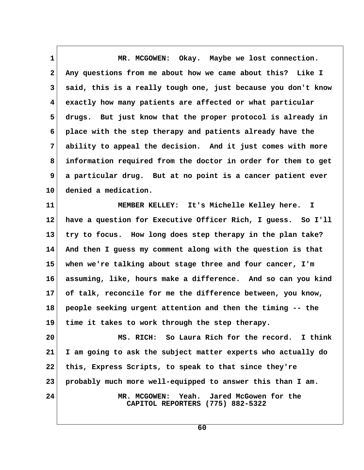1 MR. MCGOWEN: Okay. Maybe we lost connection.  **2 Any questions from me about how we came about this? Like I 3 said, this is a really tough one, just because you don't know 4 exactly how many patients are affected or what particular 5 drugs. But just know that the proper protocol is already in 6 place with the step therapy and patients already have the 7 ability to appeal the decision. And it just comes with more 8 information required from the doctor in order for them to get 9 a particular drug. But at no point is a cancer patient ever 10 denied a medication. 11 MEMBER KELLEY: It's Michelle Kelley here. I**

**12 have a question for Executive Officer Rich, I guess. So I'll 13 try to focus. How long does step therapy in the plan take? 14 And then I guess my comment along with the question is that 15 when we're talking about stage three and four cancer, I'm 16 assuming, like, hours make a difference. And so can you kind 17 of talk, reconcile for me the difference between, you know, 18 people seeking urgent attention and then the timing -- the 19 time it takes to work through the step therapy.**

**20 MS. RICH: So Laura Rich for the record. I think 21 I am going to ask the subject matter experts who actually do 22 this, Express Scripts, to speak to that since they're 23 probably much more well-equipped to answer this than I am. 24 MR. MCGOWEN: Yeah. Jared McGowen for the CAPITOL REPORTERS (775) 882-5322**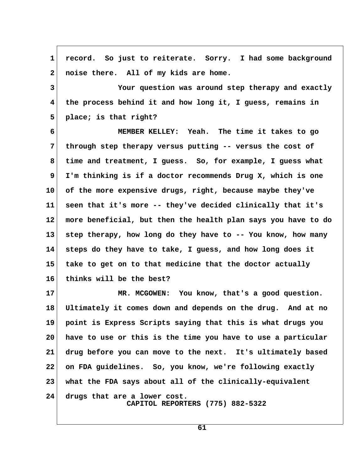1 record. So just to reiterate. Sorry. I had some background  **2 noise there. All of my kids are home. 3 Your question was around step therapy and exactly 4 the process behind it and how long it, I guess, remains in 5 place; is that right? 6 MEMBER KELLEY: Yeah. The time it takes to go 7 through step therapy versus putting -- versus the cost of 8 time and treatment, I guess. So, for example, I guess what 9 I'm thinking is if a doctor recommends Drug X, which is one 10 of the more expensive drugs, right, because maybe they've 11 seen that it's more -- they've decided clinically that it's 12 more beneficial, but then the health plan says you have to do 13 step therapy, how long do they have to -- You know, how many 14 steps do they have to take, I guess, and how long does it 15 take to get on to that medicine that the doctor actually 16 thinks will be the best?** 17 MR. MCGOWEN: You know, that's a good question. **18 Ultimately it comes down and depends on the drug. And at no 19 point is Express Scripts saying that this is what drugs you 20 have to use or this is the time you have to use a particular 21 drug before you can move to the next. It's ultimately based 22 on FDA guidelines. So, you know, we're following exactly 23 what the FDA says about all of the clinically-equivalent 24 drugs that are a lower cost. CAPITOL REPORTERS (775) 882-5322**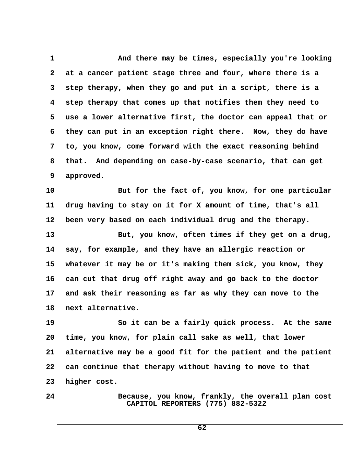1 And there may be times, especially you're looking  **2 at a cancer patient stage three and four, where there is a 3 step therapy, when they go and put in a script, there is a 4 step therapy that comes up that notifies them they need to 5 use a lower alternative first, the doctor can appeal that or 6 they can put in an exception right there. Now, they do have 7 to, you know, come forward with the exact reasoning behind 8 that. And depending on case-by-case scenario, that can get 9 approved.**

**10 But for the fact of, you know, for one particular 11 drug having to stay on it for X amount of time, that's all 12 been very based on each individual drug and the therapy.**

**13** But, you know, often times if they get on a drug, **14 say, for example, and they have an allergic reaction or 15 whatever it may be or it's making them sick, you know, they 16 can cut that drug off right away and go back to the doctor 17 and ask their reasoning as far as why they can move to the 18 next alternative.**

**19 So it can be a fairly quick process. At the same 20 time, you know, for plain call sake as well, that lower 21 alternative may be a good fit for the patient and the patient 22 can continue that therapy without having to move to that 23 higher cost.**

**24 Because, you know, frankly, the overall plan cost CAPITOL REPORTERS (775) 882-5322**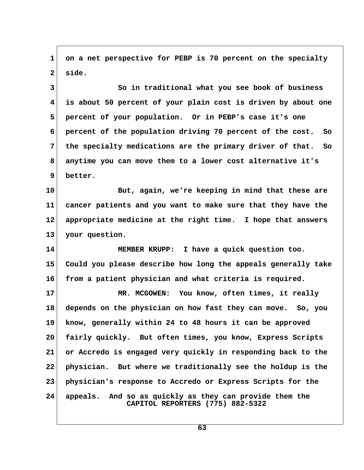**1 on a net perspective for PEBP is 70 percent on the specialty 2 side.**

 **3 So in traditional what you see book of business 4 is about 50 percent of your plain cost is driven by about one 5 percent of your population. Or in PEBP's case it's one 6 percent of the population driving 70 percent of the cost. So 7 the specialty medications are the primary driver of that. So 8 anytime you can move them to a lower cost alternative it's 9 better.**

**10 But, again, we're keeping in mind that these are 11 cancer patients and you want to make sure that they have the 12 appropriate medicine at the right time. I hope that answers 13 your question.**

**14 MEMBER KRUPP: I have a quick question too. 15 Could you please describe how long the appeals generally take 16 from a patient physician and what criteria is required.**

17 MR. MCGOWEN: You know, often times, it really **18 depends on the physician on how fast they can move. So, you 19 know, generally within 24 to 48 hours it can be approved 20 fairly quickly. But often times, you know, Express Scripts 21 or Accredo is engaged very quickly in responding back to the 22 physician. But where we traditionally see the holdup is the 23 physician's response to Accredo or Express Scripts for the 24 appeals. And so as quickly as they can provide them the CAPITOL REPORTERS (775) 882-5322**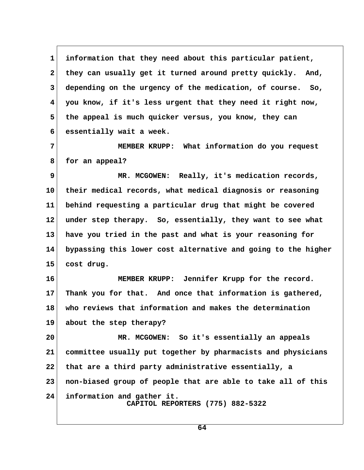**1 information that they need about this particular patient,** 2 they can usually get it turned around pretty quickly. And,  **3 depending on the urgency of the medication, of course. So, 4 you know, if it's less urgent that they need it right now, 5 the appeal is much quicker versus, you know, they can 6 essentially wait a week. 7 MEMBER KRUPP: What information do you request 8 for an appeal? 9** MR. MCGOWEN: Really, it's medication records, **10 their medical records, what medical diagnosis or reasoning 11 behind requesting a particular drug that might be covered**

**12 under step therapy. So, essentially, they want to see what 13 have you tried in the past and what is your reasoning for 14 bypassing this lower cost alternative and going to the higher 15 cost drug.**

**16 MEMBER KRUPP: Jennifer Krupp for the record. 17 Thank you for that. And once that information is gathered, 18 who reviews that information and makes the determination 19 about the step therapy?**

**20 MR. MCGOWEN: So it's essentially an appeals 21 committee usually put together by pharmacists and physicians 22 that are a third party administrative essentially, a 23 non-biased group of people that are able to take all of this 24 information and gather it. CAPITOL REPORTERS (775) 882-5322**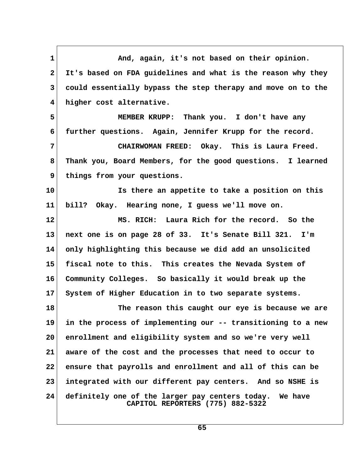1 And, again, it's not based on their opinion.  **2 It's based on FDA guidelines and what is the reason why they 3 could essentially bypass the step therapy and move on to the 4 higher cost alternative. 5 MEMBER KRUPP: Thank you. I don't have any 6 further questions. Again, Jennifer Krupp for the record. 7 CHAIRWOMAN FREED: Okay. This is Laura Freed. 8 Thank you, Board Members, for the good questions. I learned 9 things from your questions. 10 Is there an appetite to take a position on this 11 bill? Okay. Hearing none, I guess we'll move on. 12 MS. RICH: Laura Rich for the record. So the 13 next one is on page 28 of 33. It's Senate Bill 321. I'm 14 only highlighting this because we did add an unsolicited 15 fiscal note to this. This creates the Nevada System of 16 Community Colleges. So basically it would break up the 17 System of Higher Education in to two separate systems. 18 The reason this caught our eye is because we are 19 in the process of implementing our -- transitioning to a new 20 enrollment and eligibility system and so we're very well 21 aware of the cost and the processes that need to occur to 22 ensure that payrolls and enrollment and all of this can be 23 integrated with our different pay centers. And so NSHE is 24 definitely one of the larger pay centers today. We have CAPITOL REPORTERS (775) 882-5322**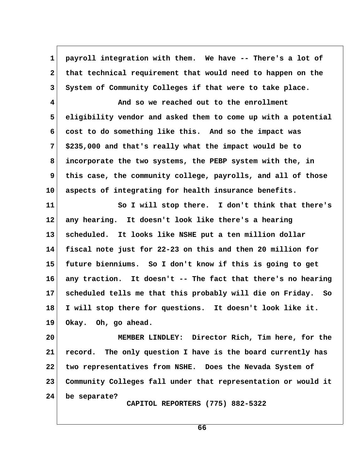**1 payroll integration with them. We have -- There's a lot of 2 that technical requirement that would need to happen on the 3 System of Community Colleges if that were to take place.**

 **4 And so we reached out to the enrollment 5 eligibility vendor and asked them to come up with a potential 6 cost to do something like this. And so the impact was 7 \$235,000 and that's really what the impact would be to 8 incorporate the two systems, the PEBP system with the, in 9 this case, the community college, payrolls, and all of those 10 aspects of integrating for health insurance benefits.**

**11 So I will stop there. I don't think that there's 12 any hearing. It doesn't look like there's a hearing 13 scheduled. It looks like NSHE put a ten million dollar 14 fiscal note just for 22-23 on this and then 20 million for 15 future bienniums. So I don't know if this is going to get 16 any traction. It doesn't -- The fact that there's no hearing 17 scheduled tells me that this probably will die on Friday. So 18 I will stop there for questions. It doesn't look like it. 19 Okay. Oh, go ahead.**

**20 MEMBER LINDLEY: Director Rich, Tim here, for the 21 record. The only question I have is the board currently has 22 two representatives from NSHE. Does the Nevada System of 23 Community Colleges fall under that representation or would it 24 be separate? CAPITOL REPORTERS (775) 882-5322**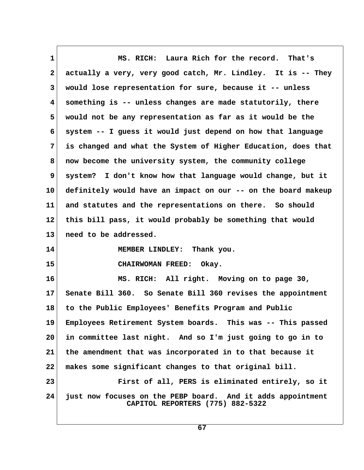| $\mathbf{1}$ | MS. RICH: Laura Rich for the record. That's                                                     |  |
|--------------|-------------------------------------------------------------------------------------------------|--|
| $\mathbf{2}$ | actually a very, very good catch, Mr. Lindley. It is -- They                                    |  |
| 3            | would lose representation for sure, because it -- unless                                        |  |
| 4            | something is -- unless changes are made statutorily, there                                      |  |
| 5            | would not be any representation as far as it would be the                                       |  |
| 6            | system -- I guess it would just depend on how that language                                     |  |
| 7            | is changed and what the System of Higher Education, does that                                   |  |
| 8            | now become the university system, the community college                                         |  |
| 9            | system? I don't know how that language would change, but it                                     |  |
| 10           | definitely would have an impact on our -- on the board makeup                                   |  |
| 11           | and statutes and the representations on there. So should                                        |  |
| 12           | this bill pass, it would probably be something that would                                       |  |
| 13           | need to be addressed.                                                                           |  |
| 14           | MEMBER LINDLEY: Thank you.                                                                      |  |
| 15           | CHAIRWOMAN FREED: Okay.                                                                         |  |
| 16           | MS. RICH: All right. Moving on to page 30,                                                      |  |
| 17           | Senate Bill 360. So Senate Bill 360 revises the appointment                                     |  |
| 18           | to the Public Employees' Benefits Program and Public                                            |  |
| 19           | Employees Retirement System boards. This was -- This passed                                     |  |
| 20           | in committee last night. And so I'm just going to go in to                                      |  |
| 21           | the amendment that was incorporated in to that because it                                       |  |
| 22           | makes some significant changes to that original bill.                                           |  |
| 23           | First of all, PERS is eliminated entirely, so it                                                |  |
| 24           | just now focuses on the PEBP board. And it adds appointment<br>CAPITOL REPORTERS (775) 882-5322 |  |

 $\overline{\phantom{a}}$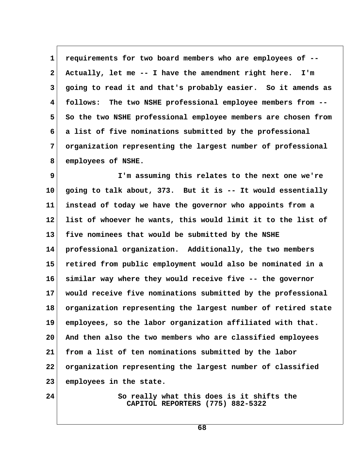**1 requirements for two board members who are employees of -- 2 Actually, let me -- I have the amendment right here. I'm 3 going to read it and that's probably easier. So it amends as 4 follows: The two NSHE professional employee members from -- 5 So the two NSHE professional employee members are chosen from 6 a list of five nominations submitted by the professional 7 organization representing the largest number of professional 8 employees of NSHE.**

 **9 I'm assuming this relates to the next one we're 10 going to talk about, 373. But it is -- It would essentially 11 instead of today we have the governor who appoints from a 12 list of whoever he wants, this would limit it to the list of 13 five nominees that would be submitted by the NSHE 14 professional organization. Additionally, the two members 15 retired from public employment would also be nominated in a 16 similar way where they would receive five -- the governor 17 would receive five nominations submitted by the professional 18 organization representing the largest number of retired state 19 employees, so the labor organization affiliated with that. 20 And then also the two members who are classified employees 21 from a list of ten nominations submitted by the labor 22 organization representing the largest number of classified 23 employees in the state.**

**24 So really what this does is it shifts the CAPITOL REPORTERS (775) 882-5322**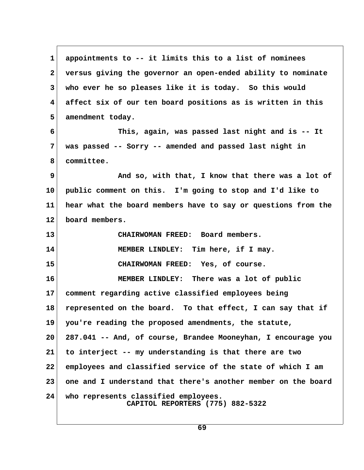**1 appointments to -- it limits this to a list of nominees 2 versus giving the governor an open-ended ability to nominate 3 who ever he so pleases like it is today. So this would 4 affect six of our ten board positions as is written in this 5 amendment today. 6 This, again, was passed last night and is -- It 7 was passed -- Sorry -- amended and passed last night in 8 committee. 9** And so, with that, I know that there was a lot of **10 public comment on this. I'm going to stop and I'd like to 11 hear what the board members have to say or questions from the 12 board members. 13 CHAIRWOMAN FREED: Board members. 14 MEMBER LINDLEY: Tim here, if I may. 15 CHAIRWOMAN FREED: Yes, of course. 16 MEMBER LINDLEY: There was a lot of public 17 comment regarding active classified employees being 18 represented on the board. To that effect, I can say that if 19 you're reading the proposed amendments, the statute, 20 287.041 -- And, of course, Brandee Mooneyhan, I encourage you 21 to interject -- my understanding is that there are two 22 employees and classified service of the state of which I am 23 one and I understand that there's another member on the board 24 who represents classified employees. CAPITOL REPORTERS (775) 882-5322**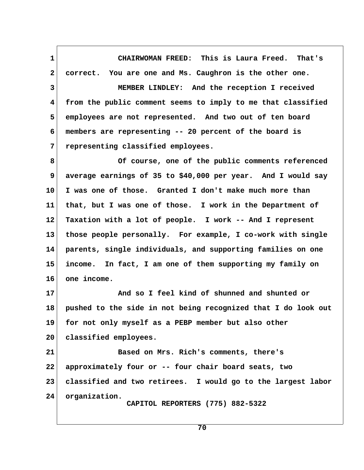**1 CHAIRWOMAN FREED: This is Laura Freed. That's 2 correct. You are one and Ms. Caughron is the other one. 3 MEMBER LINDLEY: And the reception I received 4 from the public comment seems to imply to me that classified 5 employees are not represented. And two out of ten board 6 members are representing -- 20 percent of the board is 7 representing classified employees. 8 Of course, one of the public comments referenced 9 average earnings of 35 to \$40,000 per year. And I would say 10 I was one of those. Granted I don't make much more than 11 that, but I was one of those. I work in the Department of 12 Taxation with a lot of people. I work -- And I represent 13 those people personally. For example, I co-work with single 14 parents, single individuals, and supporting families on one 15 income. In fact, I am one of them supporting my family on 16 one income. 17 And so I feel kind of shunned and shunted or 18 pushed to the side in not being recognized that I do look out**

**19 for not only myself as a PEBP member but also other 20 classified employees.**

**21 Based on Mrs. Rich's comments, there's 22 approximately four or -- four chair board seats, two 23 classified and two retirees. I would go to the largest labor 24 organization. CAPITOL REPORTERS (775) 882-5322**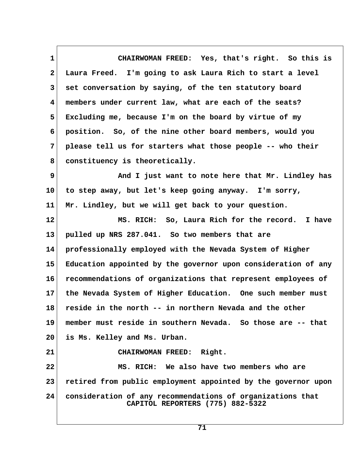**1 CHAIRWOMAN FREED: Yes, that's right. So this is 2 Laura Freed. I'm going to ask Laura Rich to start a level 3 set conversation by saying, of the ten statutory board 4 members under current law, what are each of the seats? 5 Excluding me, because I'm on the board by virtue of my 6 position. So, of the nine other board members, would you 7 please tell us for starters what those people -- who their** 8 constituency is theoretically. **9** And I just want to note here that Mr. Lindley has **10 to step away, but let's keep going anyway. I'm sorry, 11 Mr. Lindley, but we will get back to your question. 12 MS. RICH: So, Laura Rich for the record. I have 13 pulled up NRS 287.041. So two members that are 14 professionally employed with the Nevada System of Higher 15 Education appointed by the governor upon consideration of any 16 recommendations of organizations that represent employees of 17 the Nevada System of Higher Education. One such member must 18 reside in the north -- in northern Nevada and the other 19 member must reside in southern Nevada. So those are -- that 20 is Ms. Kelley and Ms. Urban. 21 CHAIRWOMAN FREED: Right. 22 MS. RICH: We also have two members who are 23 retired from public employment appointed by the governor upon 24 consideration of any recommendations of organizations that CAPITOL REPORTERS (775) 882-5322**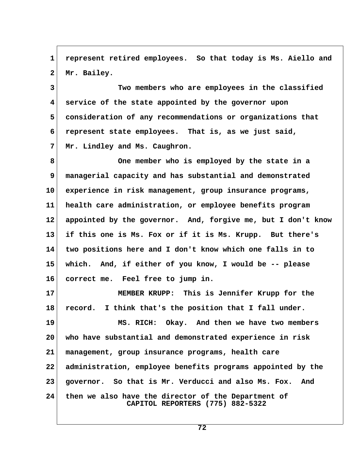**1 represent retired employees. So that today is Ms. Aiello and 2 Mr. Bailey.**

 **3 Two members who are employees in the classified 4 service of the state appointed by the governor upon 5 consideration of any recommendations or organizations that 6 represent state employees. That is, as we just said, 7 Mr. Lindley and Ms. Caughron.**

 **8 One member who is employed by the state in a 9 managerial capacity and has substantial and demonstrated 10 experience in risk management, group insurance programs, 11 health care administration, or employee benefits program 12 appointed by the governor. And, forgive me, but I don't know 13 if this one is Ms. Fox or if it is Ms. Krupp. But there's 14 two positions here and I don't know which one falls in to 15 which. And, if either of you know, I would be -- please 16 correct me. Feel free to jump in.**

**17 MEMBER KRUPP: This is Jennifer Krupp for the 18 record. I think that's the position that I fall under. 19 MS. RICH: Okay. And then we have two members 20 who have substantial and demonstrated experience in risk 21 management, group insurance programs, health care 22 administration, employee benefits programs appointed by the 23 governor. So that is Mr. Verducci and also Ms. Fox. And 24 then we also have the director of the Department of CAPITOL REPORTERS (775) 882-5322**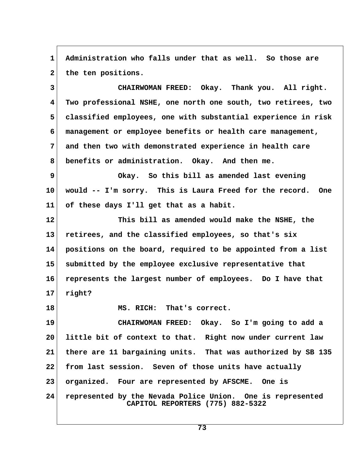**1 Administration who falls under that as well. So those are** 2 the ten positions.

 **3 CHAIRWOMAN FREED: Okay. Thank you. All right. 4 Two professional NSHE, one north one south, two retirees, two 5 classified employees, one with substantial experience in risk 6 management or employee benefits or health care management, 7 and then two with demonstrated experience in health care 8 benefits or administration. Okay. And then me.**

 **9 Okay. So this bill as amended last evening 10 would -- I'm sorry. This is Laura Freed for the record. One 11 of these days I'll get that as a habit.**

**12 This bill as amended would make the NSHE, the 13 retirees, and the classified employees, so that's six 14 positions on the board, required to be appointed from a list 15 submitted by the employee exclusive representative that 16 represents the largest number of employees. Do I have that 17 right?**

18 MS. RICH: That's correct.

**19 CHAIRWOMAN FREED: Okay. So I'm going to add a 20 little bit of context to that. Right now under current law 21 there are 11 bargaining units. That was authorized by SB 135 22 from last session. Seven of those units have actually 23 organized. Four are represented by AFSCME. One is 24 represented by the Nevada Police Union. One is represented CAPITOL REPORTERS (775) 882-5322**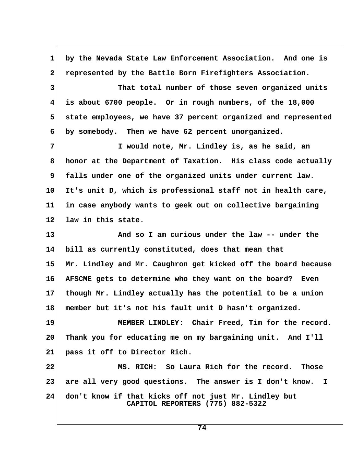**1 by the Nevada State Law Enforcement Association. And one is 2 represented by the Battle Born Firefighters Association. 3 That total number of those seven organized units 4 is about 6700 people. Or in rough numbers, of the 18,000 5 state employees, we have 37 percent organized and represented 6 by somebody. Then we have 62 percent unorganized. 7 I would note, Mr. Lindley is, as he said, an 8 honor at the Department of Taxation. His class code actually 9 falls under one of the organized units under current law. 10 It's unit D, which is professional staff not in health care, 11 in case anybody wants to geek out on collective bargaining 12 law in this state. 13 And so I am curious under the law -- under the 14 bill as currently constituted, does that mean that 15 Mr. Lindley and Mr. Caughron get kicked off the board because 16 AFSCME gets to determine who they want on the board? Even 17 though Mr. Lindley actually has the potential to be a union 18 member but it's not his fault unit D hasn't organized. 19 MEMBER LINDLEY: Chair Freed, Tim for the record. 20 Thank you for educating me on my bargaining unit. And I'll 21 pass it off to Director Rich. 22 MS. RICH: So Laura Rich for the record. Those 23 are all very good questions. The answer is I don't know. I 24 don't know if that kicks off not just Mr. Lindley but CAPITOL REPORTERS (775) 882-5322**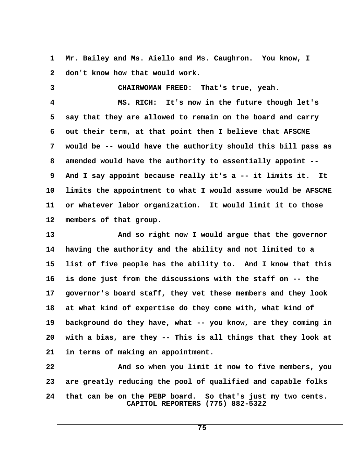| $\mathbf 1$  | Mr. Bailey and Ms. Aiello and Ms. Caughron. You know, I                                         |  |
|--------------|-------------------------------------------------------------------------------------------------|--|
| $\mathbf{2}$ | don't know how that would work.                                                                 |  |
| 3            | CHAIRWOMAN FREED: That's true, yeah.                                                            |  |
| 4            | MS. RICH: It's now in the future though let's                                                   |  |
| 5            | say that they are allowed to remain on the board and carry                                      |  |
| 6            | out their term, at that point then I believe that AFSCME                                        |  |
| 7            | would be -- would have the authority should this bill pass as                                   |  |
| 8            | amended would have the authority to essentially appoint --                                      |  |
| 9            | And I say appoint because really it's a -- it limits it. It                                     |  |
| 10           | limits the appointment to what I would assume would be AFSCME                                   |  |
| 11           | or whatever labor organization. It would limit it to those                                      |  |
| $12 \,$      | members of that group.                                                                          |  |
| 13           | And so right now I would argue that the governor                                                |  |
| 14           | having the authority and the ability and not limited to a                                       |  |
| 15           | list of five people has the ability to. And I know that this                                    |  |
| 16           | is done just from the discussions with the staff on -- the                                      |  |
| 17           | governor's board staff, they vet these members and they look                                    |  |
| 18           | at what kind of expertise do they come with, what kind of                                       |  |
| 19           | background do they have, what -- you know, are they coming in                                   |  |
| 20           | with a bias, are they -- This is all things that they look at                                   |  |
| 21           | in terms of making an appointment.                                                              |  |
| 22           | And so when you limit it now to five members, you                                               |  |
| 23           | are greatly reducing the pool of qualified and capable folks                                    |  |
| 24           | that can be on the PEBP board. So that's just my two cents.<br>CAPITOL REPORTERS (775) 882-5322 |  |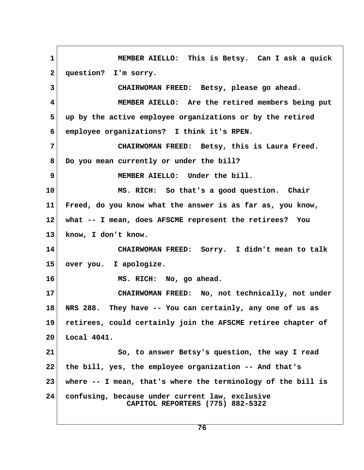**1 MEMBER AIELLO: This is Betsy. Can I ask a quick** 2 question? I'm sorry.  **3 CHAIRWOMAN FREED: Betsy, please go ahead. 4 MEMBER AIELLO: Are the retired members being put 5 up by the active employee organizations or by the retired 6 employee organizations? I think it's RPEN. 7 CHAIRWOMAN FREED: Betsy, this is Laura Freed. 8 Do you mean currently or under the bill? 9 MEMBER AIELLO: Under the bill. 10 MS. RICH: So that's a good question. Chair 11 Freed, do you know what the answer is as far as, you know, 12 what -- I mean, does AFSCME represent the retirees? You 13 know, I don't know. 14 CHAIRWOMAN FREED: Sorry. I didn't mean to talk 15 over you. I apologize. 16 MS. RICH: No, go ahead. 17 CHAIRWOMAN FREED: No, not technically, not under 18 NRS 288. They have -- You can certainly, any one of us as 19 retirees, could certainly join the AFSCME retiree chapter of 20 Local 4041. 21 So, to answer Betsy's question, the way I read 22 the bill, yes, the employee organization -- And that's 23 where -- I mean, that's where the terminology of the bill is 24 confusing, because under current law, exclusive CAPITOL REPORTERS (775) 882-5322**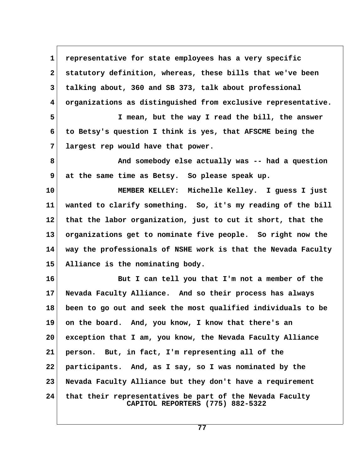**1 representative for state employees has a very specific 2 statutory definition, whereas, these bills that we've been 3 talking about, 360 and SB 373, talk about professional 4 organizations as distinguished from exclusive representative. 5 I mean, but the way I read the bill, the answer 6 to Betsy's question I think is yes, that AFSCME being the 7 largest rep would have that power. 8 And somebody else actually was -- had a question 9 at the same time as Betsy. So please speak up. 10 MEMBER KELLEY: Michelle Kelley. I guess I just 11 wanted to clarify something. So, it's my reading of the bill 12 that the labor organization, just to cut it short, that the 13 organizations get to nominate five people. So right now the 14 way the professionals of NSHE work is that the Nevada Faculty 15 Alliance is the nominating body.** 16 But I can tell you that I'm not a member of the **17 Nevada Faculty Alliance. And so their process has always 18 been to go out and seek the most qualified individuals to be 19 on the board. And, you know, I know that there's an 20 exception that I am, you know, the Nevada Faculty Alliance 21 person. But, in fact, I'm representing all of the 22 participants. And, as I say, so I was nominated by the 23 Nevada Faculty Alliance but they don't have a requirement 24 that their representatives be part of the Nevada Faculty CAPITOL REPORTERS (775) 882-5322**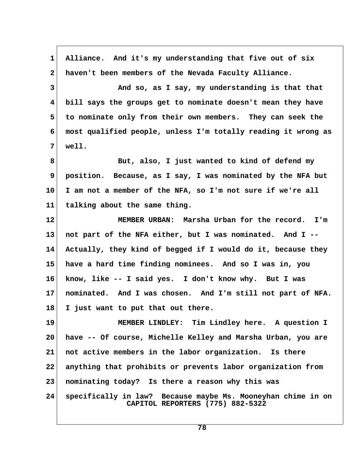**1 Alliance. And it's my understanding that five out of six 2 haven't been members of the Nevada Faculty Alliance. 3 And so, as I say, my understanding is that that 4 bill says the groups get to nominate doesn't mean they have 5 to nominate only from their own members. They can seek the 6 most qualified people, unless I'm totally reading it wrong as 7 well. 8 But, also, I just wanted to kind of defend my 9 position. Because, as I say, I was nominated by the NFA but 10 I am not a member of the NFA, so I'm not sure if we're all 11 talking about the same thing. 12 MEMBER URBAN: Marsha Urban for the record. I'm 13 not part of the NFA either, but I was nominated. And I -- 14 Actually, they kind of begged if I would do it, because they 15 have a hard time finding nominees. And so I was in, you 16 know, like -- I said yes. I don't know why. But I was 17 nominated. And I was chosen. And I'm still not part of NFA. 18 I just want to put that out there. 19 MEMBER LINDLEY: Tim Lindley here. A question I 20 have -- Of course, Michelle Kelley and Marsha Urban, you are 21 not active members in the labor organization. Is there 22 anything that prohibits or prevents labor organization from 23 nominating today? Is there a reason why this was 24 specifically in law? Because maybe Ms. Mooneyhan chime in on CAPITOL REPORTERS (775) 882-5322**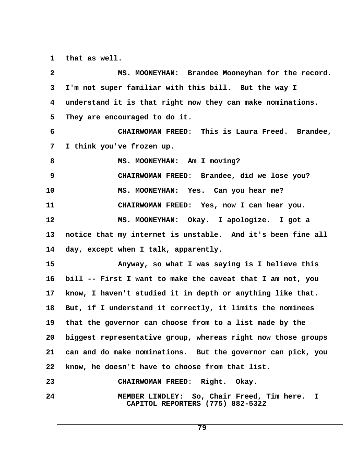1 that as well.  **2 MS. MOONEYHAN: Brandee Mooneyhan for the record. 3 I'm not super familiar with this bill. But the way I 4 understand it is that right now they can make nominations. 5 They are encouraged to do it. 6 CHAIRWOMAN FREED: This is Laura Freed. Brandee, 7 I think you've frozen up.** 8 MS. MOONEYHAN: Am I moving?  **9 CHAIRWOMAN FREED: Brandee, did we lose you? 10 MS. MOONEYHAN: Yes. Can you hear me? 11 CHAIRWOMAN FREED: Yes, now I can hear you. 12 MS. MOONEYHAN: Okay. I apologize. I got a 13 notice that my internet is unstable. And it's been fine all 14 day, except when I talk, apparently. 15 Anyway, so what I was saying is I believe this 16 bill -- First I want to make the caveat that I am not, you 17 know, I haven't studied it in depth or anything like that. 18 But, if I understand it correctly, it limits the nominees 19 that the governor can choose from to a list made by the 20 biggest representative group, whereas right now those groups 21 can and do make nominations. But the governor can pick, you 22 know, he doesn't have to choose from that list. 23 CHAIRWOMAN FREED: Right. Okay. 24 MEMBER LINDLEY: So, Chair Freed, Tim here. I CAPITOL REPORTERS (775) 882-5322**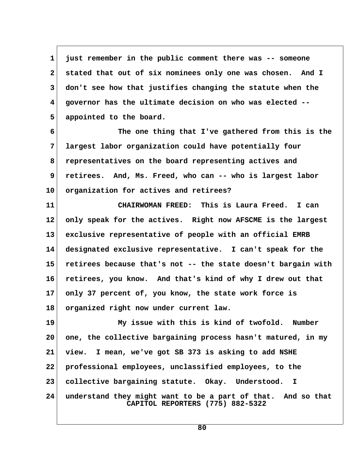**1 just remember in the public comment there was -- someone 2 stated that out of six nominees only one was chosen. And I 3 don't see how that justifies changing the statute when the 4 governor has the ultimate decision on who was elected -- 5 appointed to the board.**

 **6 The one thing that I've gathered from this is the 7 largest labor organization could have potentially four 8 representatives on the board representing actives and 9 retirees. And, Ms. Freed, who can -- who is largest labor 10 organization for actives and retirees?**

**11 CHAIRWOMAN FREED: This is Laura Freed. I can 12 only speak for the actives. Right now AFSCME is the largest 13 exclusive representative of people with an official EMRB 14 designated exclusive representative. I can't speak for the 15 retirees because that's not -- the state doesn't bargain with 16 retirees, you know. And that's kind of why I drew out that 17 only 37 percent of, you know, the state work force is 18 organized right now under current law.**

**19 My issue with this is kind of twofold. Number 20 one, the collective bargaining process hasn't matured, in my 21 view. I mean, we've got SB 373 is asking to add NSHE 22 professional employees, unclassified employees, to the 23 collective bargaining statute. Okay. Understood. I 24 understand they might want to be a part of that. And so that CAPITOL REPORTERS (775) 882-5322**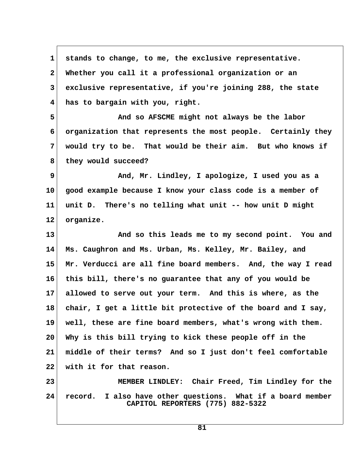**1 stands to change, to me, the exclusive representative. 2 Whether you call it a professional organization or an 3 exclusive representative, if you're joining 288, the state 4 has to bargain with you, right. 5 And so AFSCME might not always be the labor 6 organization that represents the most people. Certainly they 7 would try to be. That would be their aim. But who knows if 8 they would succeed? 9 And, Mr. Lindley, I apologize, I used you as a 10 good example because I know your class code is a member of 11 unit D. There's no telling what unit -- how unit D might 12 organize. 13 And so this leads me to my second point. You and 14 Ms. Caughron and Ms. Urban, Ms. Kelley, Mr. Bailey, and 15 Mr. Verducci are all fine board members. And, the way I read 16 this bill, there's no guarantee that any of you would be 17 allowed to serve out your term. And this is where, as the 18 chair, I get a little bit protective of the board and I say, 19 well, these are fine board members, what's wrong with them. 20 Why is this bill trying to kick these people off in the 21 middle of their terms? And so I just don't feel comfortable 22 with it for that reason. 23 MEMBER LINDLEY: Chair Freed, Tim Lindley for the 24 record. I also have other questions. What if a board member CAPITOL REPORTERS (775) 882-5322**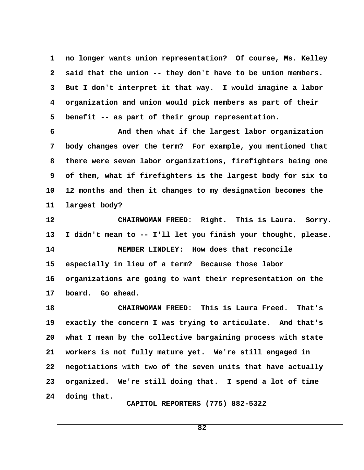1 no longer wants union representation? Of course, Ms. Kelley  **2 said that the union -- they don't have to be union members. 3 But I don't interpret it that way. I would imagine a labor 4 organization and union would pick members as part of their 5 benefit -- as part of their group representation. 6 And then what if the largest labor organization**

 **7 body changes over the term? For example, you mentioned that 8 there were seven labor organizations, firefighters being one 9 of them, what if firefighters is the largest body for six to 10 12 months and then it changes to my designation becomes the 11 largest body?**

**12 CHAIRWOMAN FREED: Right. This is Laura. Sorry. 13 I didn't mean to -- I'll let you finish your thought, please. 14 MEMBER LINDLEY: How does that reconcile 15 especially in lieu of a term? Because those labor 16 organizations are going to want their representation on the 17 board. Go ahead.**

**18 CHAIRWOMAN FREED: This is Laura Freed. That's 19 exactly the concern I was trying to articulate. And that's 20 what I mean by the collective bargaining process with state 21 workers is not fully mature yet. We're still engaged in 22 negotiations with two of the seven units that have actually 23 organized. We're still doing that. I spend a lot of time 24 doing that.**

 **CAPITOL REPORTERS (775) 882-5322**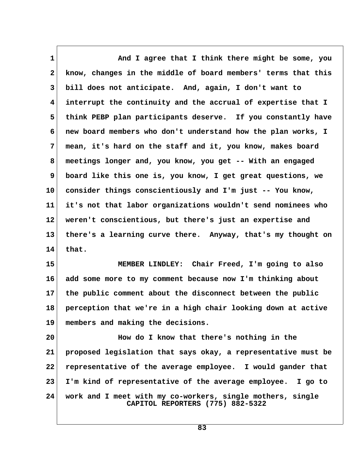1 And I agree that I think there might be some, you  **2 know, changes in the middle of board members' terms that this 3 bill does not anticipate. And, again, I don't want to 4 interrupt the continuity and the accrual of expertise that I 5 think PEBP plan participants deserve. If you constantly have 6 new board members who don't understand how the plan works, I 7 mean, it's hard on the staff and it, you know, makes board 8 meetings longer and, you know, you get -- With an engaged 9 board like this one is, you know, I get great questions, we 10 consider things conscientiously and I'm just -- You know, 11 it's not that labor organizations wouldn't send nominees who 12 weren't conscientious, but there's just an expertise and 13 there's a learning curve there. Anyway, that's my thought on 14 that.**

**15 MEMBER LINDLEY: Chair Freed, I'm going to also 16 add some more to my comment because now I'm thinking about 17 the public comment about the disconnect between the public 18 perception that we're in a high chair looking down at active 19 members and making the decisions.**

**20 How do I know that there's nothing in the 21 proposed legislation that says okay, a representative must be 22 representative of the average employee. I would gander that 23 I'm kind of representative of the average employee. I go to 24 work and I meet with my co-workers, single mothers, single CAPITOL REPORTERS (775) 882-5322**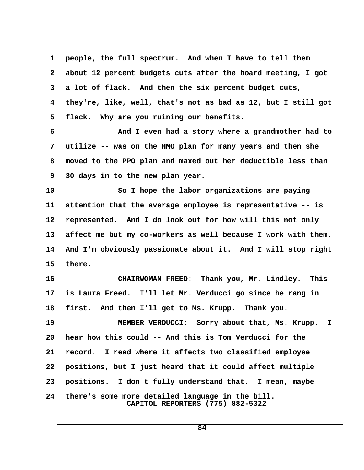**1 people, the full spectrum. And when I have to tell them 2 about 12 percent budgets cuts after the board meeting, I got 3 a lot of flack. And then the six percent budget cuts, 4 they're, like, well, that's not as bad as 12, but I still got** 5 flack. Why are you ruining our benefits.  **6 And I even had a story where a grandmother had to 7 utilize -- was on the HMO plan for many years and then she 8 moved to the PPO plan and maxed out her deductible less than 9 30 days in to the new plan year. 10 So I hope the labor organizations are paying 11 attention that the average employee is representative -- is 12 represented. And I do look out for how will this not only 13 affect me but my co-workers as well because I work with them. 14 And I'm obviously passionate about it. And I will stop right 15 there. 16 CHAIRWOMAN FREED: Thank you, Mr. Lindley. This 17 is Laura Freed. I'll let Mr. Verducci go since he rang in 18 first. And then I'll get to Ms. Krupp. Thank you. 19 MEMBER VERDUCCI: Sorry about that, Ms. Krupp. I 20 hear how this could -- And this is Tom Verducci for the 21 record. I read where it affects two classified employee 22 positions, but I just heard that it could affect multiple 23 positions. I don't fully understand that. I mean, maybe 24 there's some more detailed language in the bill. CAPITOL REPORTERS (775) 882-5322**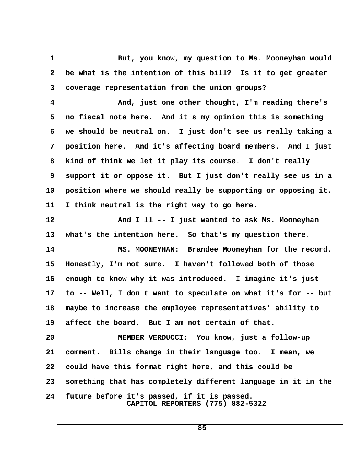**1** But, you know, my question to Ms. Mooneyhan would  **2 be what is the intention of this bill? Is it to get greater 3 coverage representation from the union groups? 4 And, just one other thought, I'm reading there's 5 no fiscal note here. And it's my opinion this is something 6 we should be neutral on. I just don't see us really taking a 7 position here. And it's affecting board members. And I just 8 kind of think we let it play its course. I don't really 9 support it or oppose it. But I just don't really see us in a 10 position where we should really be supporting or opposing it. 11 I think neutral is the right way to go here. 12 And I'll -- I just wanted to ask Ms. Mooneyhan 13 what's the intention here. So that's my question there. 14 MS. MOONEYHAN: Brandee Mooneyhan for the record. 15 Honestly, I'm not sure. I haven't followed both of those 16 enough to know why it was introduced. I imagine it's just 17 to -- Well, I don't want to speculate on what it's for -- but 18 maybe to increase the employee representatives' ability to 19 affect the board. But I am not certain of that. 20 MEMBER VERDUCCI: You know, just a follow-up 21 comment. Bills change in their language too. I mean, we 22 could have this format right here, and this could be 23 something that has completely different language in it in the 24 future before it's passed, if it is passed. CAPITOL REPORTERS (775) 882-5322**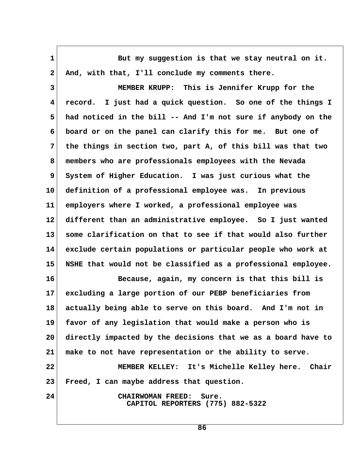| $\mathbf{1}$ | But my suggestion is that we stay neutral on it.                      |  |
|--------------|-----------------------------------------------------------------------|--|
| $\mathbf{2}$ | And, with that, I'll conclude my comments there.                      |  |
| 3            | MEMBER KRUPP: This is Jennifer Krupp for the                          |  |
| 4            | I just had a quick question. So one of the things I<br>record.        |  |
| 5            | had noticed in the bill -- And I'm not sure if anybody on the         |  |
| 6            | board or on the panel can clarify this for me. But one of             |  |
| 7            | the things in section two, part A, of this bill was that two          |  |
| 8            | members who are professionals employees with the Nevada               |  |
| 9            | System of Higher Education. I was just curious what the               |  |
| 10           | definition of a professional employee was. In previous                |  |
| 11           | employers where I worked, a professional employee was                 |  |
| 12           | different than an administrative employee. So I just wanted           |  |
| 13           | some clarification on that to see if that would also further          |  |
| 14           | exclude certain populations or particular people who work at          |  |
| 15           | NSHE that would not be classified as a professional employee.         |  |
| 16           | Because, again, my concern is that this bill is                       |  |
| 17           | excluding a large portion of our PEBP beneficiaries from              |  |
| 18           | actually being able to serve on this board. And I'm not in            |  |
| 19           | favor of any legislation that would make a person who is              |  |
| 20           | directly impacted by the decisions that we as a board have to         |  |
| 21           | make to not have representation or the ability to serve.              |  |
| 22           | MEMBER KELLEY: It's Michelle Kelley here. Chair                       |  |
| 23           | Freed, I can maybe address that question.                             |  |
| 24           | <b>CHAIRWOMAN FREED:</b><br>Sure.<br>CAPITOL REPORTERS (775) 882-5322 |  |
|              |                                                                       |  |

 $\sqrt{ }$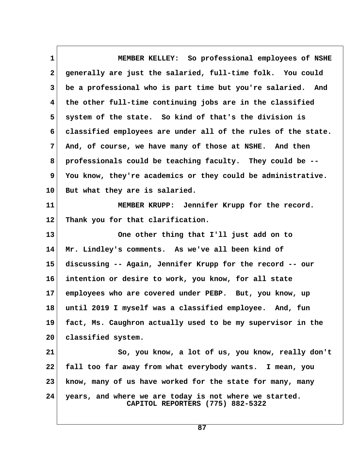**1 MEMBER KELLEY: So professional employees of NSHE 2 generally are just the salaried, full-time folk. You could 3 be a professional who is part time but you're salaried. And 4 the other full-time continuing jobs are in the classified 5 system of the state. So kind of that's the division is 6 classified employees are under all of the rules of the state. 7 And, of course, we have many of those at NSHE. And then 8 professionals could be teaching faculty. They could be -- 9 You know, they're academics or they could be administrative. 10 But what they are is salaried. 11 MEMBER KRUPP: Jennifer Krupp for the record. 12 Thank you for that clarification. 13 One other thing that I'll just add on to 14 Mr. Lindley's comments. As we've all been kind of 15 discussing -- Again, Jennifer Krupp for the record -- our 16 intention or desire to work, you know, for all state 17 employees who are covered under PEBP. But, you know, up 18 until 2019 I myself was a classified employee. And, fun 19 fact, Ms. Caughron actually used to be my supervisor in the 20 classified system.** 21 So, you know, a lot of us, you know, really don't **22 fall too far away from what everybody wants. I mean, you 23 know, many of us have worked for the state for many, many 24 years, and where we are today is not where we started. CAPITOL REPORTERS (775) 882-5322**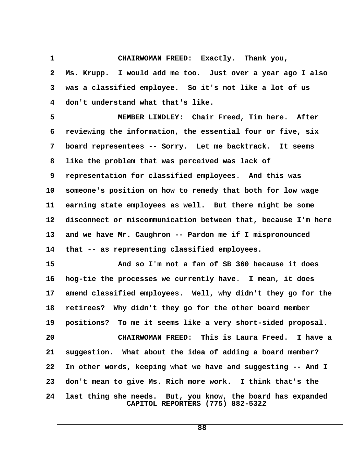**1 CHAIRWOMAN FREED: Exactly. Thank you, 2 Ms. Krupp. I would add me too. Just over a year ago I also 3 was a classified employee. So it's not like a lot of us 4 don't understand what that's like.**

 **5 MEMBER LINDLEY: Chair Freed, Tim here. After 6 reviewing the information, the essential four or five, six 7 board representees -- Sorry. Let me backtrack. It seems 8 like the problem that was perceived was lack of 9 representation for classified employees. And this was 10 someone's position on how to remedy that both for low wage 11 earning state employees as well. But there might be some 12 disconnect or miscommunication between that, because I'm here 13 and we have Mr. Caughron -- Pardon me if I mispronounced 14 that -- as representing classified employees.**

**15 And so I'm not a fan of SB 360 because it does 16 hog-tie the processes we currently have. I mean, it does 17 amend classified employees. Well, why didn't they go for the 18 retirees? Why didn't they go for the other board member 19 positions? To me it seems like a very short-sided proposal. 20 CHAIRWOMAN FREED: This is Laura Freed. I have a 21 suggestion. What about the idea of adding a board member? 22 In other words, keeping what we have and suggesting -- And I 23 don't mean to give Ms. Rich more work. I think that's the**

## **24 last thing she needs. But, you know, the board has expanded CAPITOL REPORTERS (775) 882-5322**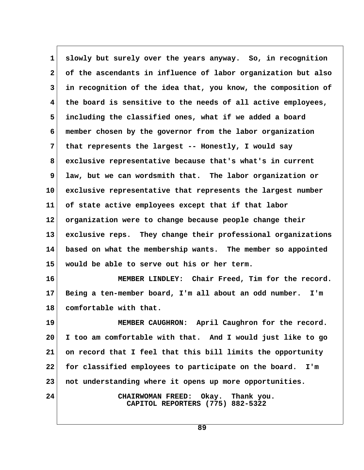1 slowly but surely over the years anyway. So, in recognition  **2 of the ascendants in influence of labor organization but also 3 in recognition of the idea that, you know, the composition of 4 the board is sensitive to the needs of all active employees, 5 including the classified ones, what if we added a board 6 member chosen by the governor from the labor organization 7 that represents the largest -- Honestly, I would say 8 exclusive representative because that's what's in current 9 law, but we can wordsmith that. The labor organization or 10 exclusive representative that represents the largest number 11 of state active employees except that if that labor 12 organization were to change because people change their 13 exclusive reps. They change their professional organizations 14 based on what the membership wants. The member so appointed 15 would be able to serve out his or her term. 16 MEMBER LINDLEY: Chair Freed, Tim for the record.**

**17 Being a ten-member board, I'm all about an odd number. I'm 18 comfortable with that.**

**19 MEMBER CAUGHRON: April Caughron for the record. 20 I too am comfortable with that. And I would just like to go 21 on record that I feel that this bill limits the opportunity 22 for classified employees to participate on the board. I'm 23 not understanding where it opens up more opportunities.**

**24 CHAIRWOMAN FREED: Okay. Thank you. CAPITOL REPORTERS (775) 882-5322**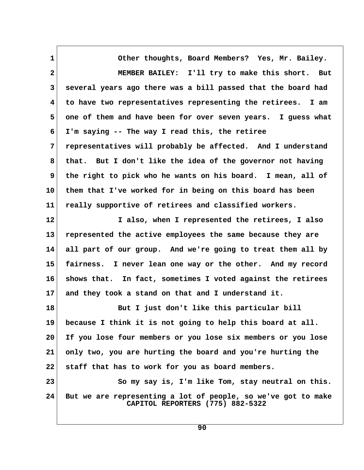1 Other thoughts, Board Members? Yes, Mr. Bailey.  **2 MEMBER BAILEY: I'll try to make this short. But 3 several years ago there was a bill passed that the board had 4 to have two representatives representing the retirees. I am 5 one of them and have been for over seven years. I guess what 6 I'm saying -- The way I read this, the retiree 7 representatives will probably be affected. And I understand 8 that. But I don't like the idea of the governor not having 9 the right to pick who he wants on his board. I mean, all of 10 them that I've worked for in being on this board has been 11 really supportive of retirees and classified workers. 12 I also, when I represented the retirees, I also 13 represented the active employees the same because they are 14 all part of our group. And we're going to treat them all by 15 fairness. I never lean one way or the other. And my record 16 shows that. In fact, sometimes I voted against the retirees 17 and they took a stand on that and I understand it. 18 But I just don't like this particular bill 19 because I think it is not going to help this board at all. 20 If you lose four members or you lose six members or you lose 21 only two, you are hurting the board and you're hurting the 22 staff that has to work for you as board members.** 23 So my say is, I'm like Tom, stay neutral on this. **24 But we are representing a lot of people, so we've got to make CAPITOL REPORTERS (775) 882-5322**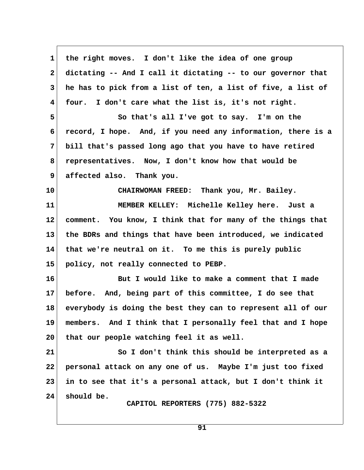| $\mathbf 1$     | the right moves. I don't like the idea of one group          |  |
|-----------------|--------------------------------------------------------------|--|
| $\mathbf{2}$    | dictating -- And I call it dictating -- to our governor that |  |
| $\mathbf{3}$    | he has to pick from a list of ten, a list of five, a list of |  |
| 4               | four. I don't care what the list is, it's not right.         |  |
| 5               | So that's all I've got to say. I'm on the                    |  |
| 6               | record, I hope. And, if you need any information, there is a |  |
| 7               | bill that's passed long ago that you have to have retired    |  |
| 8               | representatives. Now, I don't know how that would be         |  |
| 9               | affected also. Thank you.                                    |  |
| 10              | CHAIRWOMAN FREED: Thank you, Mr. Bailey.                     |  |
| 11              | MEMBER KELLEY: Michelle Kelley here. Just a                  |  |
| 12              | comment. You know, I think that for many of the things that  |  |
| 13              | the BDRs and things that have been introduced, we indicated  |  |
| 14              | that we're neutral on it. To me this is purely public        |  |
| 15 <sub>1</sub> | policy, not really connected to PEBP.                        |  |
| 16              | But I would like to make a comment that I made               |  |
| $17 \,$         | before. And, being part of this committee, I do see that     |  |
| 18              | everybody is doing the best they can to represent all of our |  |
| 19              | members. And I think that I personally feel that and I hope  |  |
| 20              | that our people watching feel it as well.                    |  |
| 21              | So I don't think this should be interpreted as a             |  |
| 22              | personal attack on any one of us. Maybe I'm just too fixed   |  |
| 23              | in to see that it's a personal attack, but I don't think it  |  |
| 24              | should be.<br>CAPITOL REPORTERS (775) 882-5322               |  |

 $\sqrt{ }$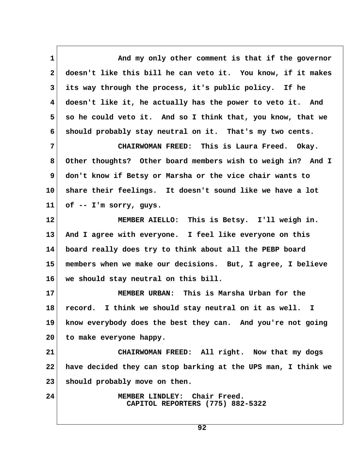1 And my only other comment is that if the governor  **2 doesn't like this bill he can veto it. You know, if it makes 3 its way through the process, it's public policy. If he 4 doesn't like it, he actually has the power to veto it. And** 5 so he could veto it. And so I think that, you know, that we  **6 should probably stay neutral on it. That's my two cents. 7 CHAIRWOMAN FREED: This is Laura Freed. Okay. 8 Other thoughts? Other board members wish to weigh in? And I 9 don't know if Betsy or Marsha or the vice chair wants to 10 share their feelings. It doesn't sound like we have a lot 11 of -- I'm sorry, guys. 12 MEMBER AIELLO: This is Betsy. I'll weigh in. 13 And I agree with everyone. I feel like everyone on this 14 board really does try to think about all the PEBP board 15 members when we make our decisions. But, I agree, I believe 16 we should stay neutral on this bill. 17 MEMBER URBAN: This is Marsha Urban for the 18 record. I think we should stay neutral on it as well. I 19 know everybody does the best they can. And you're not going 20 to make everyone happy. 21 CHAIRWOMAN FREED: All right. Now that my dogs 22 have decided they can stop barking at the UPS man, I think we 23 should probably move on then. 24 MEMBER LINDLEY: Chair Freed. CAPITOL REPORTERS (775) 882-5322**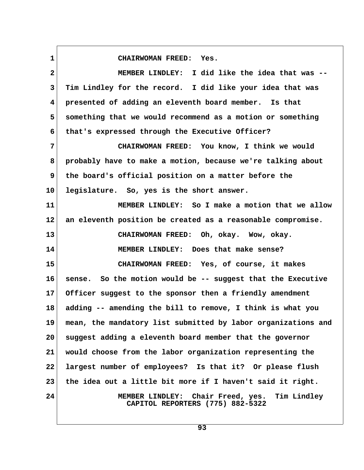**1** CHAIRWOMAN FREED: Yes.

| $\mathbf{2}$    | MEMBER LINDLEY: I did like the idea that was --                                      |  |
|-----------------|--------------------------------------------------------------------------------------|--|
| 3               | Tim Lindley for the record. I did like your idea that was                            |  |
| 4               | presented of adding an eleventh board member. Is that                                |  |
| 5               | something that we would recommend as a motion or something                           |  |
| 6               | that's expressed through the Executive Officer?                                      |  |
| 7               | CHAIRWOMAN FREED: You know, I think we would                                         |  |
| 8               | probably have to make a motion, because we're talking about                          |  |
| 9               | the board's official position on a matter before the                                 |  |
| 10 <sup>°</sup> | legislature. So, yes is the short answer.                                            |  |
| 11              | MEMBER LINDLEY: So I make a motion that we allow                                     |  |
| 12              | an eleventh position be created as a reasonable compromise.                          |  |
| 13              | CHAIRWOMAN FREED: Oh, okay. Wow, okay.                                               |  |
| 14              | MEMBER LINDLEY: Does that make sense?                                                |  |
| 15              | CHAIRWOMAN FREED: Yes, of course, it makes                                           |  |
| 16              | sense. So the motion would be -- suggest that the Executive                          |  |
| 17              | Officer suggest to the sponsor then a friendly amendment                             |  |
| 18              | adding -- amending the bill to remove, I think is what you                           |  |
| 19              | mean, the mandatory list submitted by labor organizations and                        |  |
| 20              | suggest adding a eleventh board member that the governor                             |  |
| 21              | would choose from the labor organization representing the                            |  |
| 22              | largest number of employees? Is that it? Or please flush                             |  |
| 23              | the idea out a little bit more if I haven't said it right.                           |  |
| 24              | Chair Freed, yes. Tim Lindley<br>MEMBER LINDLEY:<br>CAPITOL REPORTERS (775) 882-5322 |  |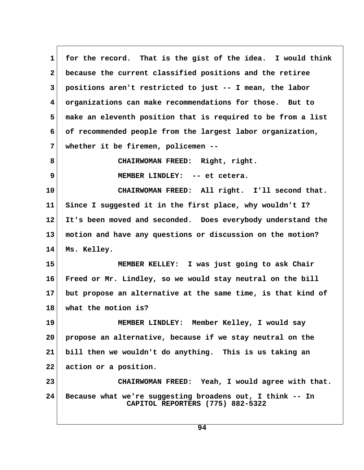**1 for the record. That is the gist of the idea. I would think 2 because the current classified positions and the retiree 3 positions aren't restricted to just -- I mean, the labor 4 organizations can make recommendations for those. But to 5 make an eleventh position that is required to be from a list 6 of recommended people from the largest labor organization, 7 whether it be firemen, policemen -- 8 CHAIRWOMAN FREED: Right, right. 9 MEMBER LINDLEY: -- et cetera. 10 CHAIRWOMAN FREED: All right. I'll second that. 11 Since I suggested it in the first place, why wouldn't I? 12 It's been moved and seconded. Does everybody understand the 13 motion and have any questions or discussion on the motion? 14 Ms. Kelley. 15 MEMBER KELLEY: I was just going to ask Chair 16 Freed or Mr. Lindley, so we would stay neutral on the bill 17 but propose an alternative at the same time, is that kind of 18 what the motion is? 19 MEMBER LINDLEY: Member Kelley, I would say 20 propose an alternative, because if we stay neutral on the 21 bill then we wouldn't do anything. This is us taking an 22 action or a position. 23 CHAIRWOMAN FREED: Yeah, I would agree with that. 24 Because what we're suggesting broadens out, I think -- In CAPITOL REPORTERS (775) 882-5322**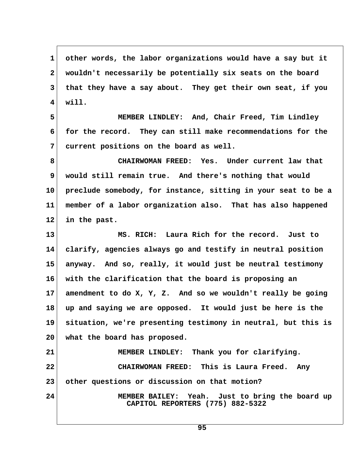**1 other words, the labor organizations would have a say but it 2 wouldn't necessarily be potentially six seats on the board 3 that they have a say about. They get their own seat, if you 4 will.**

 **5 MEMBER LINDLEY: And, Chair Freed, Tim Lindley 6 for the record. They can still make recommendations for the 7 current positions on the board as well.**

8 CHAIRWOMAN FREED: Yes. Under current law that 9 would still remain true. And there's nothing that would **10 preclude somebody, for instance, sitting in your seat to be a 11 member of a labor organization also. That has also happened 12 in the past.**

**13 MS. RICH: Laura Rich for the record. Just to 14 clarify, agencies always go and testify in neutral position 15 anyway. And so, really, it would just be neutral testimony 16 with the clarification that the board is proposing an 17 amendment to do X, Y, Z. And so we wouldn't really be going 18 up and saying we are opposed. It would just be here is the 19 situation, we're presenting testimony in neutral, but this is 20 what the board has proposed.**

**21 MEMBER LINDLEY: Thank you for clarifying. 22 CHAIRWOMAN FREED: This is Laura Freed. Any 23 other questions or discussion on that motion?**

**24 MEMBER BAILEY: Yeah. Just to bring the board up CAPITOL REPORTERS (775) 882-5322**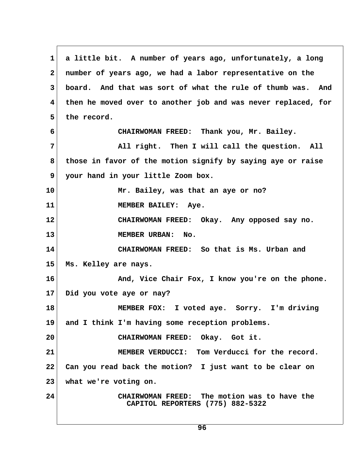**1 a little bit. A number of years ago, unfortunately, a long 2 number of years ago, we had a labor representative on the 3 board. And that was sort of what the rule of thumb was. And 4 then he moved over to another job and was never replaced, for** 5 the record.  **6 CHAIRWOMAN FREED: Thank you, Mr. Bailey.** 7 **All right.** Then I will call the question. All  **8 those in favor of the motion signify by saying aye or raise 9 your hand in your little Zoom box. 10 Mr. Bailey, was that an aye or no? 11 MEMBER BAILEY: Aye. 12 CHAIRWOMAN FREED: Okay. Any opposed say no. 13 MEMBER URBAN: No. 14 CHAIRWOMAN FREED: So that is Ms. Urban and 15 Ms. Kelley are nays. 16 And, Vice Chair Fox, I know you're on the phone. 17 Did you vote aye or nay? 18 MEMBER FOX: I voted aye. Sorry. I'm driving 19 and I think I'm having some reception problems. 20 CHAIRWOMAN FREED: Okay. Got it. 21 MEMBER VERDUCCI: Tom Verducci for the record. 22 Can you read back the motion? I just want to be clear on 23 what we're voting on. 24 CHAIRWOMAN FREED: The motion was to have the CAPITOL REPORTERS (775) 882-5322**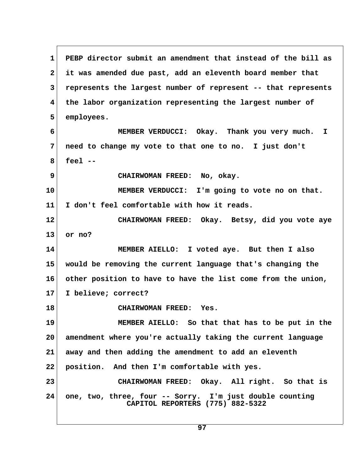**1 PEBP director submit an amendment that instead of the bill as 2 it was amended due past, add an eleventh board member that 3 represents the largest number of represent -- that represents 4 the labor organization representing the largest number of 5 employees. 6 MEMBER VERDUCCI: Okay. Thank you very much. I 7 need to change my vote to that one to no. I just don't 8 feel -- 9 CHAIRWOMAN FREED: No, okay. 10 MEMBER VERDUCCI: I'm going to vote no on that. 11 I don't feel comfortable with how it reads. 12 CHAIRWOMAN FREED: Okay. Betsy, did you vote aye 13 or no? 14 MEMBER AIELLO: I voted aye. But then I also 15 would be removing the current language that's changing the 16 other position to have to have the list come from the union, 17 I believe; correct? 18 CHAIRWOMAN FREED: Yes. 19 MEMBER AIELLO: So that that has to be put in the 20 amendment where you're actually taking the current language 21 away and then adding the amendment to add an eleventh 22 position. And then I'm comfortable with yes. 23 CHAIRWOMAN FREED: Okay. All right. So that is 24 one, two, three, four -- Sorry. I'm just double counting CAPITOL REPORTERS (775) 882-5322**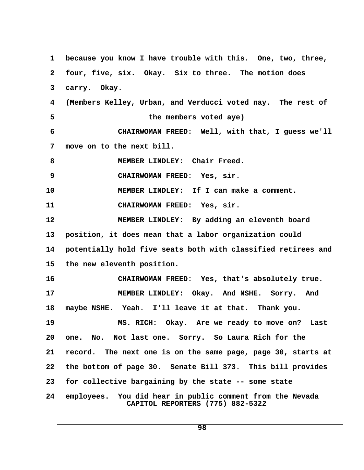**1 because you know I have trouble with this. One, two, three, 2 four, five, six. Okay. Six to three. The motion does 3 carry. Okay. 4 (Members Kelley, Urban, and Verducci voted nay. The rest of 5** the members voted aye)  **6 CHAIRWOMAN FREED: Well, with that, I guess we'll 7 move on to the next bill. 8 MEMBER LINDLEY: Chair Freed. 9 CHAIRWOMAN FREED: Yes, sir. 10 MEMBER LINDLEY: If I can make a comment. 11 CHAIRWOMAN FREED: Yes, sir. 12 MEMBER LINDLEY: By adding an eleventh board 13 position, it does mean that a labor organization could 14 potentially hold five seats both with classified retirees and 15 the new eleventh position. 16 CHAIRWOMAN FREED: Yes, that's absolutely true. 17 MEMBER LINDLEY: Okay. And NSHE. Sorry. And 18 maybe NSHE. Yeah. I'll leave it at that. Thank you. 19 MS. RICH: Okay. Are we ready to move on? Last 20 one. No. Not last one. Sorry. So Laura Rich for the 21 record. The next one is on the same page, page 30, starts at 22 the bottom of page 30. Senate Bill 373. This bill provides 23 for collective bargaining by the state -- some state 24 employees. You did hear in public comment from the Nevada CAPITOL REPORTERS (775) 882-5322**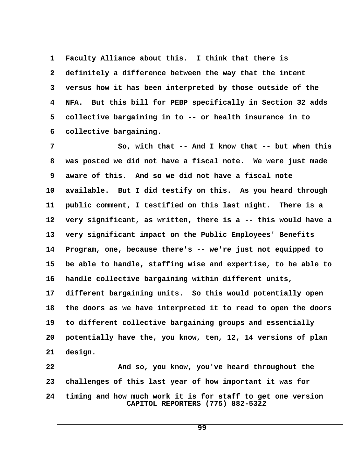**1 Faculty Alliance about this. I think that there is 2 definitely a difference between the way that the intent 3 versus how it has been interpreted by those outside of the 4 NFA. But this bill for PEBP specifically in Section 32 adds 5 collective bargaining in to -- or health insurance in to 6 collective bargaining.**

 **7 So, with that -- And I know that -- but when this 8 was posted we did not have a fiscal note. We were just made 9 aware of this. And so we did not have a fiscal note 10 available. But I did testify on this. As you heard through 11 public comment, I testified on this last night. There is a 12 very significant, as written, there is a -- this would have a 13 very significant impact on the Public Employees' Benefits 14 Program, one, because there's -- we're just not equipped to 15 be able to handle, staffing wise and expertise, to be able to 16 handle collective bargaining within different units, 17 different bargaining units. So this would potentially open 18 the doors as we have interpreted it to read to open the doors 19 to different collective bargaining groups and essentially 20 potentially have the, you know, ten, 12, 14 versions of plan 21 design.**

**22 And so, you know, you've heard throughout the 23 challenges of this last year of how important it was for 24 timing and how much work it is for staff to get one version CAPITOL REPORTERS (775) 882-5322**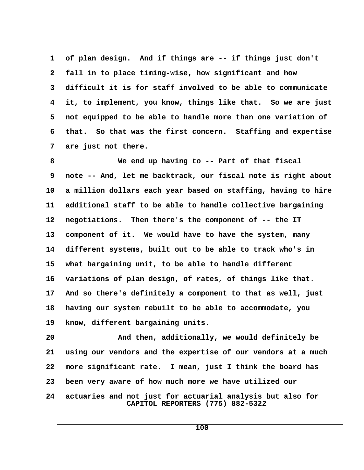**1 of plan design. And if things are -- if things just don't 2 fall in to place timing-wise, how significant and how 3 difficult it is for staff involved to be able to communicate 4 it, to implement, you know, things like that. So we are just 5 not equipped to be able to handle more than one variation of 6 that. So that was the first concern. Staffing and expertise 7 are just not there.**

 **8 We end up having to -- Part of that fiscal 9 note -- And, let me backtrack, our fiscal note is right about 10 a million dollars each year based on staffing, having to hire 11 additional staff to be able to handle collective bargaining 12 negotiations. Then there's the component of -- the IT 13 component of it. We would have to have the system, many 14 different systems, built out to be able to track who's in 15 what bargaining unit, to be able to handle different 16 variations of plan design, of rates, of things like that. 17 And so there's definitely a component to that as well, just 18 having our system rebuilt to be able to accommodate, you 19 know, different bargaining units.**

**20 And then, additionally, we would definitely be 21 using our vendors and the expertise of our vendors at a much 22 more significant rate. I mean, just I think the board has 23 been very aware of how much more we have utilized our 24 actuaries and not just for actuarial analysis but also for CAPITOL REPORTERS (775) 882-5322**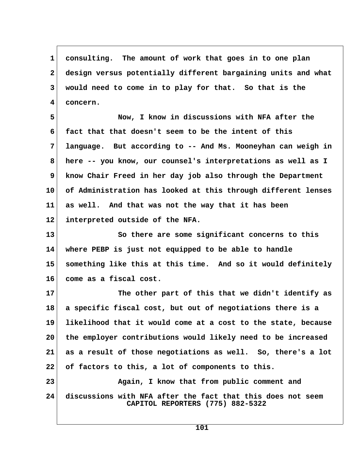**1 consulting. The amount of work that goes in to one plan 2 design versus potentially different bargaining units and what 3 would need to come in to play for that. So that is the 4 concern.**

 **5 Now, I know in discussions with NFA after the 6 fact that that doesn't seem to be the intent of this 7 language. But according to -- And Ms. Mooneyhan can weigh in 8 here -- you know, our counsel's interpretations as well as I 9 know Chair Freed in her day job also through the Department 10 of Administration has looked at this through different lenses 11 as well. And that was not the way that it has been 12 interpreted outside of the NFA.**

**13 So there are some significant concerns to this 14 where PEBP is just not equipped to be able to handle 15 something like this at this time. And so it would definitely 16 come as a fiscal cost.**

**17 The other part of this that we didn't identify as 18 a specific fiscal cost, but out of negotiations there is a 19 likelihood that it would come at a cost to the state, because 20 the employer contributions would likely need to be increased 21 as a result of those negotiations as well. So, there's a lot 22 of factors to this, a lot of components to this. 23 Again, I know that from public comment and 24 discussions with NFA after the fact that this does not seem**

 **CAPITOL REPORTERS (775) 882-5322**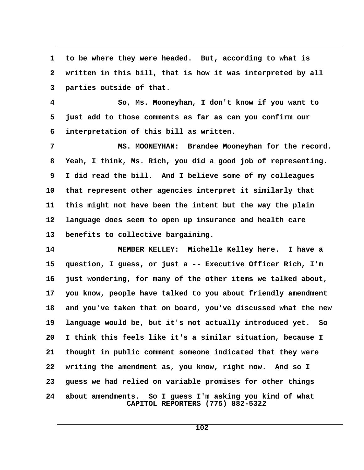**1 to be where they were headed. But, according to what is 2 written in this bill, that is how it was interpreted by all 3 parties outside of that.**

 **4 So, Ms. Mooneyhan, I don't know if you want to 5 just add to those comments as far as can you confirm our 6 interpretation of this bill as written.**

7 MS. MOONEYHAN: Brandee Mooneyhan for the record.  **8 Yeah, I think, Ms. Rich, you did a good job of representing. 9 I did read the bill. And I believe some of my colleagues 10 that represent other agencies interpret it similarly that 11 this might not have been the intent but the way the plain 12 language does seem to open up insurance and health care 13 benefits to collective bargaining.**

**14 MEMBER KELLEY: Michelle Kelley here. I have a 15 question, I guess, or just a -- Executive Officer Rich, I'm 16 just wondering, for many of the other items we talked about, 17 you know, people have talked to you about friendly amendment 18 and you've taken that on board, you've discussed what the new 19 language would be, but it's not actually introduced yet. So 20 I think this feels like it's a similar situation, because I 21 thought in public comment someone indicated that they were 22 writing the amendment as, you know, right now. And so I 23 guess we had relied on variable promises for other things 24 about amendments. So I guess I'm asking you kind of what CAPITOL REPORTERS (775) 882-5322**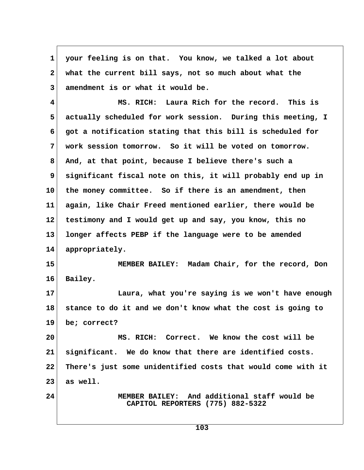**1 your feeling is on that. You know, we talked a lot about 2 what the current bill says, not so much about what the 3 amendment is or what it would be.**

 **4 MS. RICH: Laura Rich for the record. This is 5 actually scheduled for work session. During this meeting, I 6 got a notification stating that this bill is scheduled for 7 work session tomorrow. So it will be voted on tomorrow. 8 And, at that point, because I believe there's such a 9 significant fiscal note on this, it will probably end up in 10 the money committee. So if there is an amendment, then 11 again, like Chair Freed mentioned earlier, there would be 12 testimony and I would get up and say, you know, this no 13 longer affects PEBP if the language were to be amended 14 appropriately.**

**15 MEMBER BAILEY: Madam Chair, for the record, Don 16 Bailey.**

**17 Laura, what you're saying is we won't have enough 18 stance to do it and we don't know what the cost is going to 19 be; correct?**

**20 MS. RICH: Correct. We know the cost will be 21 significant. We do know that there are identified costs. 22 There's just some unidentified costs that would come with it 23 as well.**

**24 MEMBER BAILEY: And additional staff would be CAPITOL REPORTERS (775) 882-5322**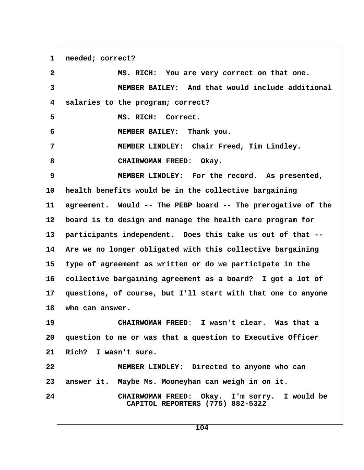1 needed; correct?  **2 MS. RICH: You are very correct on that one. 3 MEMBER BAILEY: And that would include additional 4 salaries to the program; correct?** 5 MS. RICH: Correct.  **6 MEMBER BAILEY: Thank you. 7 MEMBER LINDLEY: Chair Freed, Tim Lindley.** 8 CHAIRWOMAN FREED: Okav.  **9 MEMBER LINDLEY: For the record. As presented, 10 health benefits would be in the collective bargaining 11 agreement. Would -- The PEBP board -- The prerogative of the 12 board is to design and manage the health care program for 13 participants independent. Does this take us out of that -- 14 Are we no longer obligated with this collective bargaining 15 type of agreement as written or do we participate in the 16 collective bargaining agreement as a board? I got a lot of 17 questions, of course, but I'll start with that one to anyone 18 who can answer. 19 CHAIRWOMAN FREED: I wasn't clear. Was that a 20 question to me or was that a question to Executive Officer 21 Rich? I wasn't sure. 22 MEMBER LINDLEY: Directed to anyone who can 23 answer it. Maybe Ms. Mooneyhan can weigh in on it. 24 CHAIRWOMAN FREED: Okay. I'm sorry. I would be CAPITOL REPORTERS (775) 882-5322**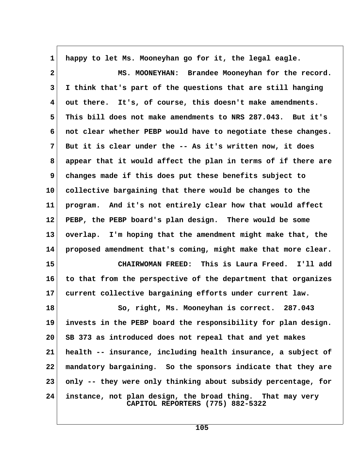**1 happy to let Ms. Mooneyhan go for it, the legal eagle. 2 MS. MOONEYHAN: Brandee Mooneyhan for the record. 3 I think that's part of the questions that are still hanging 4 out there. It's, of course, this doesn't make amendments. 5 This bill does not make amendments to NRS 287.043. But it's 6 not clear whether PEBP would have to negotiate these changes. 7 But it is clear under the -- As it's written now, it does 8 appear that it would affect the plan in terms of if there are 9 changes made if this does put these benefits subject to 10 collective bargaining that there would be changes to the 11 program. And it's not entirely clear how that would affect 12 PEBP, the PEBP board's plan design. There would be some 13 overlap. I'm hoping that the amendment might make that, the 14 proposed amendment that's coming, might make that more clear. 15 CHAIRWOMAN FREED: This is Laura Freed. I'll add 16 to that from the perspective of the department that organizes 17 current collective bargaining efforts under current law. 18 So, right, Ms. Mooneyhan is correct. 287.043 19 invests in the PEBP board the responsibility for plan design. 20 SB 373 as introduced does not repeal that and yet makes 21 health -- insurance, including health insurance, a subject of 22 mandatory bargaining. So the sponsors indicate that they are 23 only -- they were only thinking about subsidy percentage, for 24 instance, not plan design, the broad thing. That may very CAPITOL REPORTERS (775) 882-5322**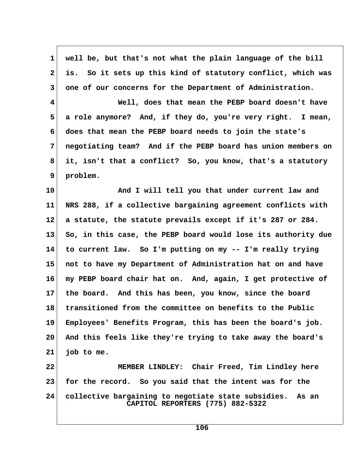1 well be, but that's not what the plain language of the bill  **2 is. So it sets up this kind of statutory conflict, which was 3 one of our concerns for the Department of Administration. 4 Well, does that mean the PEBP board doesn't have 5 a role anymore? And, if they do, you're very right. I mean, 6 does that mean the PEBP board needs to join the state's 7 negotiating team? And if the PEBP board has union members on 8 it, isn't that a conflict? So, you know, that's a statutory 9 problem. 10 And I will tell you that under current law and 11 NRS 288, if a collective bargaining agreement conflicts with 12 a statute, the statute prevails except if it's 287 or 284. 13 So, in this case, the PEBP board would lose its authority due 14 to current law. So I'm putting on my -- I'm really trying 15 not to have my Department of Administration hat on and have 16 my PEBP board chair hat on. And, again, I get protective of 17 the board. And this has been, you know, since the board 18 transitioned from the committee on benefits to the Public 19 Employees' Benefits Program, this has been the board's job. 20 And this feels like they're trying to take away the board's 21 job to me. 22 MEMBER LINDLEY: Chair Freed, Tim Lindley here 23 for the record. So you said that the intent was for the 24 collective bargaining to negotiate state subsidies. As an CAPITOL REPORTERS (775) 882-5322**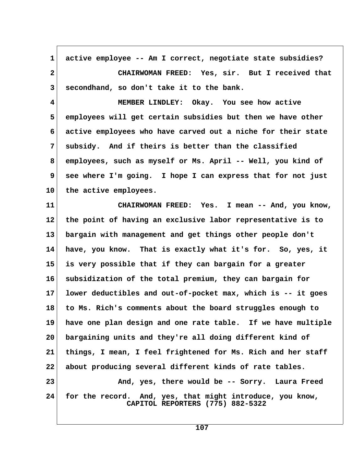**1 active employee -- Am I correct, negotiate state subsidies? 2 CHAIRWOMAN FREED: Yes, sir. But I received that 3 secondhand, so don't take it to the bank.**

 **4 MEMBER LINDLEY: Okay. You see how active 5 employees will get certain subsidies but then we have other 6 active employees who have carved out a niche for their state 7 subsidy. And if theirs is better than the classified 8 employees, such as myself or Ms. April -- Well, you kind of 9 see where I'm going. I hope I can express that for not just 10 the active employees.**

**11 CHAIRWOMAN FREED: Yes. I mean -- And, you know, 12 the point of having an exclusive labor representative is to 13 bargain with management and get things other people don't 14 have, you know. That is exactly what it's for. So, yes, it 15 is very possible that if they can bargain for a greater 16 subsidization of the total premium, they can bargain for 17 lower deductibles and out-of-pocket max, which is -- it goes 18 to Ms. Rich's comments about the board struggles enough to 19 have one plan design and one rate table. If we have multiple 20 bargaining units and they're all doing different kind of 21 things, I mean, I feel frightened for Ms. Rich and her staff 22 about producing several different kinds of rate tables. 23 And, yes, there would be -- Sorry. Laura Freed 24 for the record. And, yes, that might introduce, you know, CAPITOL REPORTERS (775) 882-5322**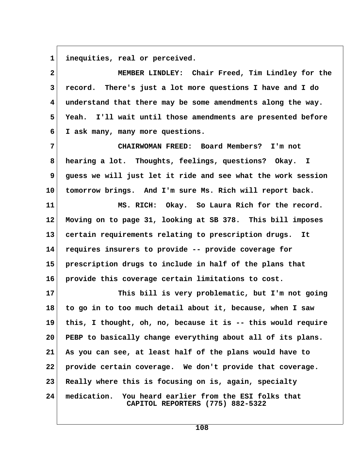**1 inequities, real or perceived.**

| $\mathbf{2}$            | MEMBER LINDLEY: Chair Freed, Tim Lindley for the                                             |
|-------------------------|----------------------------------------------------------------------------------------------|
| 3                       | record. There's just a lot more questions I have and I do                                    |
| $\overline{\mathbf{4}}$ | understand that there may be some amendments along the way.                                  |
| 5                       | Yeah. I'll wait until those amendments are presented before                                  |
| 6                       | I ask many, many more questions.                                                             |
| $\overline{7}$          | CHAIRWOMAN FREED: Board Members? I'm not                                                     |
| 8                       | hearing a lot. Thoughts, feelings, questions? Okay. I                                        |
| 9                       | guess we will just let it ride and see what the work session                                 |
| 10                      | tomorrow brings. And I'm sure Ms. Rich will report back.                                     |
| 11                      | MS. RICH: Okay. So Laura Rich for the record.                                                |
| 12                      | Moving on to page 31, looking at SB 378. This bill imposes                                   |
| 13                      | certain requirements relating to prescription drugs. It                                      |
| 14                      | requires insurers to provide -- provide coverage for                                         |
| 15                      | prescription drugs to include in half of the plans that                                      |
| 16                      | provide this coverage certain limitations to cost.                                           |
| 17                      | This bill is very problematic, but I'm not going                                             |
| 18                      | to go in to too much detail about it, because, when I saw                                    |
| 19                      | this, I thought, oh, no, because it is -- this would require                                 |
| 20                      | PEBP to basically change everything about all of its plans.                                  |
| 21                      | As you can see, at least half of the plans would have to                                     |
| 22                      | provide certain coverage. We don't provide that coverage.                                    |
| 23                      | Really where this is focusing on is, again, specialty                                        |
| 24                      | medication.<br>You heard earlier from the ESI folks that<br>CAPITOL REPORTERS (775) 882-5322 |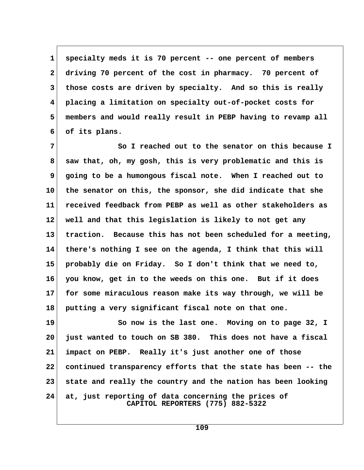**1 specialty meds it is 70 percent -- one percent of members 2 driving 70 percent of the cost in pharmacy. 70 percent of 3 those costs are driven by specialty. And so this is really 4 placing a limitation on specialty out-of-pocket costs for 5 members and would really result in PEBP having to revamp all 6 of its plans.**

 **7 So I reached out to the senator on this because I 8 saw that, oh, my gosh, this is very problematic and this is 9 going to be a humongous fiscal note. When I reached out to 10 the senator on this, the sponsor, she did indicate that she 11 received feedback from PEBP as well as other stakeholders as 12 well and that this legislation is likely to not get any 13 traction. Because this has not been scheduled for a meeting, 14 there's nothing I see on the agenda, I think that this will 15 probably die on Friday. So I don't think that we need to, 16 you know, get in to the weeds on this one. But if it does 17 for some miraculous reason make its way through, we will be 18 putting a very significant fiscal note on that one.**

**19 So now is the last one. Moving on to page 32, I 20 just wanted to touch on SB 380. This does not have a fiscal 21 impact on PEBP. Really it's just another one of those 22 continued transparency efforts that the state has been -- the 23 state and really the country and the nation has been looking 24 at, just reporting of data concerning the prices of CAPITOL REPORTERS (775) 882-5322**

**109**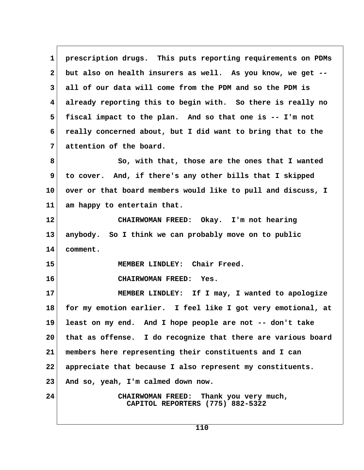**1 prescription drugs. This puts reporting requirements on PDMs 2 but also on health insurers as well. As you know, we get -- 3 all of our data will come from the PDM and so the PDM is 4 already reporting this to begin with. So there is really no 5 fiscal impact to the plan. And so that one is -- I'm not 6 really concerned about, but I did want to bring that to the 7 attention of the board. 8 So, with that, those are the ones that I wanted 9 to cover. And, if there's any other bills that I skipped 10 over or that board members would like to pull and discuss, I 11 am happy to entertain that. 12 CHAIRWOMAN FREED: Okay. I'm not hearing 13 anybody. So I think we can probably move on to public 14 comment. 15 MEMBER LINDLEY: Chair Freed. 16 CHAIRWOMAN FREED: Yes. 17 MEMBER LINDLEY: If I may, I wanted to apologize 18 for my emotion earlier. I feel like I got very emotional, at 19 least on my end. And I hope people are not -- don't take 20 that as offense. I do recognize that there are various board 21 members here representing their constituents and I can 22 appreciate that because I also represent my constituents. 23 And so, yeah, I'm calmed down now. 24 CHAIRWOMAN FREED: Thank you very much, CAPITOL REPORTERS (775) 882-5322**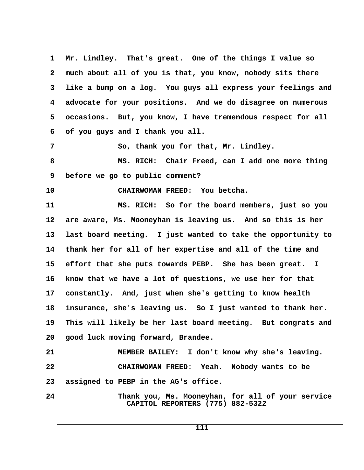**1 Mr. Lindley. That's great. One of the things I value so 2 much about all of you is that, you know, nobody sits there 3 like a bump on a log. You guys all express your feelings and 4 advocate for your positions. And we do disagree on numerous 5 occasions. But, you know, I have tremendous respect for all 6 of you guys and I thank you all. 7 So, thank you for that, Mr. Lindley. 8 MS. RICH: Chair Freed, can I add one more thing 9 before we go to public comment? 10 CHAIRWOMAN FREED: You betcha. 11 MS. RICH: So for the board members, just so you 12 are aware, Ms. Mooneyhan is leaving us. And so this is her 13 last board meeting. I just wanted to take the opportunity to 14 thank her for all of her expertise and all of the time and 15 effort that she puts towards PEBP. She has been great. I 16 know that we have a lot of questions, we use her for that 17 constantly. And, just when she's getting to know health 18 insurance, she's leaving us. So I just wanted to thank her. 19 This will likely be her last board meeting. But congrats and 20 good luck moving forward, Brandee. 21 MEMBER BAILEY: I don't know why she's leaving. 22 CHAIRWOMAN FREED: Yeah. Nobody wants to be 23 assigned to PEBP in the AG's office. 24 Thank you, Ms. Mooneyhan, for all of your service CAPITOL REPORTERS (775) 882-5322**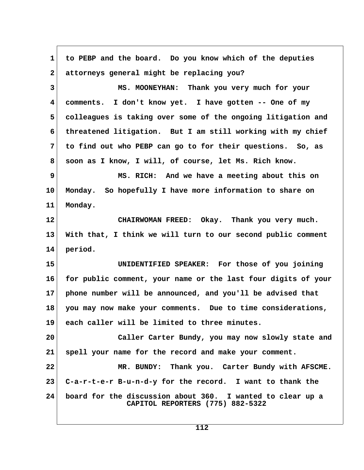| $\mathbf{1}$    | to PEBP and the board. Do you know which of the deputies                                       |  |
|-----------------|------------------------------------------------------------------------------------------------|--|
| $\mathbf{2}$    | attorneys general might be replacing you?                                                      |  |
| 3               | MS. MOONEYHAN: Thank you very much for your                                                    |  |
| 4               | comments. I don't know yet. I have gotten -- One of my                                         |  |
| 5               | colleagues is taking over some of the ongoing litigation and                                   |  |
| 6               | threatened litigation. But I am still working with my chief                                    |  |
| 7               | to find out who PEBP can go to for their questions. So, as                                     |  |
| 8               | soon as I know, I will, of course, let Ms. Rich know.                                          |  |
| 9               | MS. RICH: And we have a meeting about this on                                                  |  |
| 10              | Monday. So hopefully I have more information to share on                                       |  |
| 11              | Monday.                                                                                        |  |
| 12              | CHAIRWOMAN FREED: Okay. Thank you very much.                                                   |  |
| 13              | With that, I think we will turn to our second public comment                                   |  |
| 14              | period.                                                                                        |  |
| 15              | UNIDENTIFIED SPEAKER: For those of you joining                                                 |  |
| 16              | for public comment, your name or the last four digits of your                                  |  |
| 17 <sub>2</sub> | phone number will be announced, and you'll be advised that                                     |  |
| 18              | you may now make your comments. Due to time considerations,                                    |  |
| 19              | each caller will be limited to three minutes.                                                  |  |
| 20              | Caller Carter Bundy, you may now slowly state and                                              |  |
| 21              | spell your name for the record and make your comment.                                          |  |
| 22              | MR. BUNDY: Thank you. Carter Bundy with AFSCME.                                                |  |
| 23              | C-a-r-t-e-r B-u-n-d-y for the record. I want to thank the                                      |  |
| 24              | board for the discussion about 360. I wanted to clear up a<br>CAPITOL REPORTERS (775) 882-5322 |  |

 $\Gamma$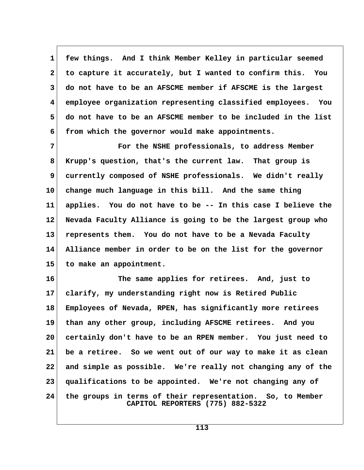**1 few things. And I think Member Kelley in particular seemed 2 to capture it accurately, but I wanted to confirm this. You 3 do not have to be an AFSCME member if AFSCME is the largest 4 employee organization representing classified employees. You 5 do not have to be an AFSCME member to be included in the list 6 from which the governor would make appointments.**

 **7 For the NSHE professionals, to address Member 8 Krupp's question, that's the current law. That group is** 9 currently composed of NSHE professionals. We didn't really **10 change much language in this bill. And the same thing 11 applies. You do not have to be -- In this case I believe the 12 Nevada Faculty Alliance is going to be the largest group who 13 represents them. You do not have to be a Nevada Faculty 14 Alliance member in order to be on the list for the governor 15 to make an appointment.**

**16 The same applies for retirees. And, just to 17 clarify, my understanding right now is Retired Public 18 Employees of Nevada, RPEN, has significantly more retirees 19 than any other group, including AFSCME retirees. And you 20 certainly don't have to be an RPEN member. You just need to 21 be a retiree. So we went out of our way to make it as clean 22 and simple as possible. We're really not changing any of the 23 qualifications to be appointed. We're not changing any of 24 the groups in terms of their representation. So, to Member CAPITOL REPORTERS (775) 882-5322**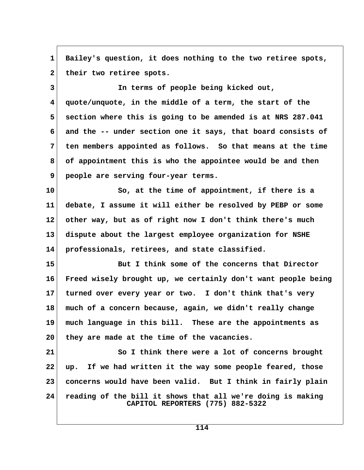**1 Bailey's question, it does nothing to the two retiree spots,** 2 their two retiree spots.

 **3 In terms of people being kicked out, 4 quote/unquote, in the middle of a term, the start of the 5 section where this is going to be amended is at NRS 287.041 6 and the -- under section one it says, that board consists of 7 ten members appointed as follows. So that means at the time 8 of appointment this is who the appointee would be and then 9 people are serving four-year terms.**

**10 So, at the time of appointment, if there is a 11 debate, I assume it will either be resolved by PEBP or some 12 other way, but as of right now I don't think there's much 13 dispute about the largest employee organization for NSHE 14 professionals, retirees, and state classified.**

**15 But I think some of the concerns that Director 16 Freed wisely brought up, we certainly don't want people being 17 turned over every year or two. I don't think that's very 18 much of a concern because, again, we didn't really change 19 much language in this bill. These are the appointments as 20 they are made at the time of the vacancies.**

21 So I think there were a lot of concerns brought **22 up. If we had written it the way some people feared, those 23 concerns would have been valid. But I think in fairly plain 24 reading of the bill it shows that all we're doing is making CAPITOL REPORTERS (775) 882-5322**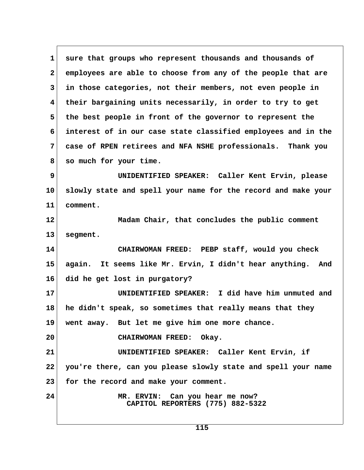1 sure that groups who represent thousands and thousands of  **2 employees are able to choose from any of the people that are 3 in those categories, not their members, not even people in 4 their bargaining units necessarily, in order to try to get 5 the best people in front of the governor to represent the 6 interest of in our case state classified employees and in the 7 case of RPEN retirees and NFA NSHE professionals. Thank you 8 so much for your time. 9 UNIDENTIFIED SPEAKER: Caller Kent Ervin, please 10 slowly state and spell your name for the record and make your 11 comment. 12 Madam Chair, that concludes the public comment 13 segment. 14 CHAIRWOMAN FREED: PEBP staff, would you check 15 again. It seems like Mr. Ervin, I didn't hear anything. And 16 did he get lost in purgatory? 17 UNIDENTIFIED SPEAKER: I did have him unmuted and 18 he didn't speak, so sometimes that really means that they 19 went away. But let me give him one more chance. 20 CHAIRWOMAN FREED: Okay. 21 UNIDENTIFIED SPEAKER: Caller Kent Ervin, if 22 you're there, can you please slowly state and spell your name 23 for the record and make your comment. 24 MR. ERVIN: Can you hear me now? CAPITOL REPORTERS (775) 882-5322**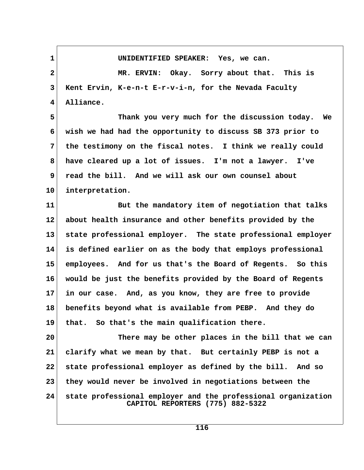1 UNIDENTIFIED SPEAKER: Yes, we can.

 **2 MR. ERVIN: Okay. Sorry about that. This is 3 Kent Ervin, K-e-n-t E-r-v-i-n, for the Nevada Faculty 4 Alliance.**

 **5 Thank you very much for the discussion today. We 6 wish we had had the opportunity to discuss SB 373 prior to** 7 the testimony on the fiscal notes. I think we really could  **8 have cleared up a lot of issues. I'm not a lawyer. I've 9 read the bill. And we will ask our own counsel about 10 interpretation.**

**11 But the mandatory item of negotiation that talks 12 about health insurance and other benefits provided by the 13 state professional employer. The state professional employer 14 is defined earlier on as the body that employs professional 15 employees. And for us that's the Board of Regents. So this 16 would be just the benefits provided by the Board of Regents 17 in our case. And, as you know, they are free to provide 18 benefits beyond what is available from PEBP. And they do 19 that. So that's the main qualification there.**

**20 There may be other places in the bill that we can 21 clarify what we mean by that. But certainly PEBP is not a 22 state professional employer as defined by the bill. And so 23 they would never be involved in negotiations between the 24 state professional employer and the professional organization CAPITOL REPORTERS (775) 882-5322**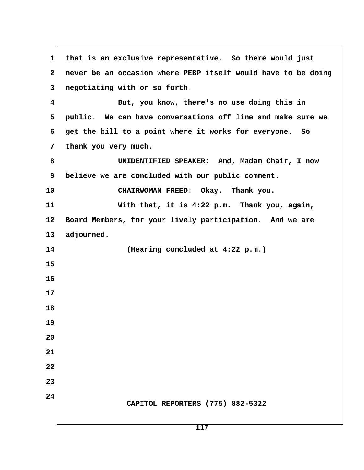| $\mathbf{1}$<br>$\mathbf{2}$ | that is an exclusive representative. So there would just<br>never be an occasion where PEBP itself would have to be doing |  |
|------------------------------|---------------------------------------------------------------------------------------------------------------------------|--|
|                              |                                                                                                                           |  |
| 3                            | negotiating with or so forth.                                                                                             |  |
| 4                            | But, you know, there's no use doing this in                                                                               |  |
| 5                            | public. We can have conversations off line and make sure we                                                               |  |
| 6                            | get the bill to a point where it works for everyone. So                                                                   |  |
| 7                            | thank you very much.                                                                                                      |  |
| 8                            | UNIDENTIFIED SPEAKER: And, Madam Chair, I now                                                                             |  |
| 9                            | believe we are concluded with our public comment.                                                                         |  |
| 10                           | CHAIRWOMAN FREED: Okay. Thank you.                                                                                        |  |
| 11                           | With that, it is 4:22 p.m. Thank you, again,                                                                              |  |
| 12                           | Board Members, for your lively participation. And we are                                                                  |  |
| 13                           | adjourned.                                                                                                                |  |
| 14                           | (Hearing concluded at 4:22 p.m.)                                                                                          |  |
| 15                           |                                                                                                                           |  |
| 16                           |                                                                                                                           |  |
| 17                           |                                                                                                                           |  |
| 18                           |                                                                                                                           |  |
| 19                           |                                                                                                                           |  |
| 20                           |                                                                                                                           |  |
| 21                           |                                                                                                                           |  |
| 22                           |                                                                                                                           |  |
| 23                           |                                                                                                                           |  |
| 24                           |                                                                                                                           |  |
|                              | CAPITOL REPORTERS (775) 882-5322                                                                                          |  |
|                              |                                                                                                                           |  |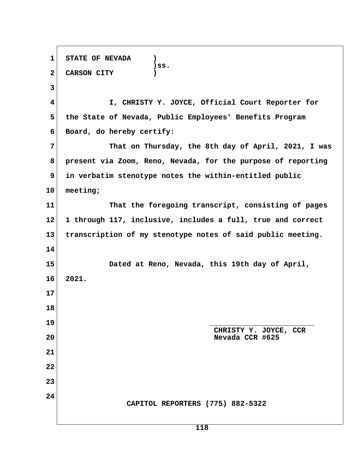**1 STATE OF NEVADA )**  $\sim$   $)\text{ss}.$  **2 CARSON CITY ) 3 4 I, CHRISTY Y. JOYCE, Official Court Reporter for 5 the State of Nevada, Public Employees' Benefits Program 6 Board, do hereby certify: 7 That on Thursday, the 8th day of April, 2021, I was 8 present via Zoom, Reno, Nevada, for the purpose of reporting 9 in verbatim stenotype notes the within-entitled public 10 meeting; 11 That the foregoing transcript, consisting of pages 12 1 through 117, inclusive, includes a full, true and correct 13 transcription of my stenotype notes of said public meeting. 14 15 Dated at Reno, Nevada, this 19th day of April, 16 2021. 17 18 19 \_\_\_\_\_\_\_\_\_\_\_\_\_\_\_\_\_\_\_\_\_\_\_\_ CHRISTY Y. JOYCE, CCR 20 Nevada CCR #625 21 22 23 24 CAPITOL REPORTERS (775) 882-5322**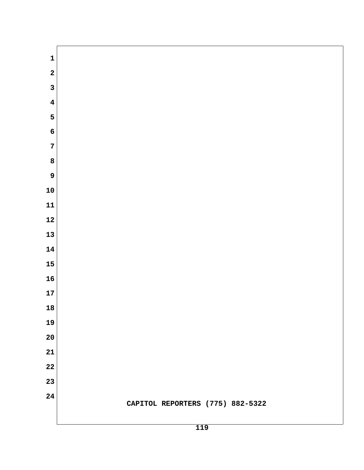| $\mathbf 1$             |                                  |
|-------------------------|----------------------------------|
| $\mathbf 2$             |                                  |
| $\overline{\mathbf{3}}$ |                                  |
| $\overline{\mathbf{4}}$ |                                  |
| 5                       |                                  |
| $\boldsymbol{6}$        |                                  |
| $\overline{\mathbf{7}}$ |                                  |
| $\bf 8$                 |                                  |
| $\boldsymbol{9}$        |                                  |
| 10                      |                                  |
| $\mathbf{11}$           |                                  |
| 12                      |                                  |
| 13                      |                                  |
| 14                      |                                  |
| 15                      |                                  |
| 16                      |                                  |
| 17                      |                                  |
| 18                      |                                  |
| 19                      |                                  |
| ${\bf 20}$              |                                  |
| 21                      |                                  |
| $22$                    |                                  |
| 23                      |                                  |
| 24                      | CAPITOL REPORTERS (775) 882-5322 |
|                         |                                  |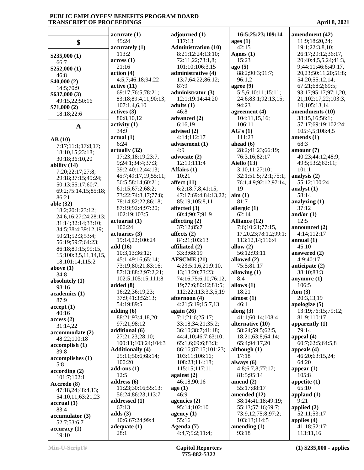|                                         | accurate(1)                       | adjourned (1)                          | 16:5;25:23;109:14                    | amendment (42)                |
|-----------------------------------------|-----------------------------------|----------------------------------------|--------------------------------------|-------------------------------|
| \$                                      | 45:24                             | 117:13                                 | ages(1)                              | 11:9;18:20,24;                |
|                                         | accuracy(1)                       | <b>Administration (10)</b>             | 42:15                                | 19:1;22:3,8,10;               |
|                                         | 113:2                             | 8:21;12:24;13:10;                      | Agnes $(1)$                          | 26:17;29:12;36:17,            |
| \$235,000(1)                            | $\arccos(1)$                      | 72:11,22;73:1,8;                       | 15:23                                | 20;40:4,5,5,24;41:3,          |
| 66:7<br>\$252,000(1)                    | 21:16                             | 101:10;106:3,15                        | ago(5)                               | 9;44:11;46:6;49:17,           |
| 46:8                                    | action(4)                         | administrative (4)                     | 88:2;90:3;91:7;                      | 20,23;50:11,20;51:8;          |
| \$40,000(2)                             | 4:5,7;46:18;94:22                 | 13:7;64:22;86:12;                      | 96:1,2                               | 54:20;55:12,14;               |
| 14:5;70:9                               | active(11)                        | 87:9                                   | agree $(9)$                          | 67:21;68:2;69:5;              |
| \$637,000(3)                            | 69:17;76:5;78:21;                 | administrator (3)                      | 5:5,6;10:11;15:11;                   | 93:17;95:17;97:1,20,          |
| 49:15,22;50:16                          | 83:18;89:4,11;90:13;              | 12:1;19:14;44:20                       | 24:6;83:1;92:13,15;                  | 21;102:17,22;103:3,           |
| \$71,000(2)                             | 107:1,4,6,10                      | adults $(1)$                           | 94:23                                | 10;105:13,14                  |
| 18:18;22:6                              | actives(3)                        | 46:8                                   | agreement $(4)$                      | amendments (10)               |
|                                         | 80:8,10,12                        | advanced (2)                           | 104:11,15,16;                        | 38:15,16;56:1;                |
| $\mathbf A$                             | $\text{activity} (1)$             | 6:16,19                                | 106:11                               | 57:17;69:19;102:24;           |
|                                         | 34:9                              | advised (2)                            | AG's(1)                              | 105:4,5;108:4,5               |
| AB(10)                                  | actual(1)<br>6:24                 | 4:14;112:17                            | 111:23                               | amends $(1)$<br>68:3          |
| 7:17:11:1;17:8,17;                      | actually (32)                     | advisement (1)<br>4:9                  | ahead $(6)$<br>28:2;41:23;66:19;     | amount(7)                     |
| 18:10,15;23:18;                         | 17:23;18:19;23:7,                 | advocate (2)                           | 76:3,16;82:17                        | 40:23;44:12;48:9;             |
| 30:18;36:10,20                          | 9;24:1;34:4;37:3;                 | 12:19;111:4                            | Aiello $(13)$                        | 49:5;53:2;62:11;              |
| ability $(14)$                          | 39:2;40:12;44:13;                 | Affairs (1)                            | 3:10,11;27:10;                       | 101:1                         |
| 7:20;22:17;27:8;                        | 45:7;49:17,19;55:11;              | 10:21                                  | 32:1;51:5;72:1;75:1;                 | analysis (2)                  |
| 29:18;37:15;49:24;<br>50:13;55:17;60:7; | 56:5;58:14;60:21;                 | affect $(11)$                          | 76:1,4,9;92:12;97:14,                | 55:12;100:24                  |
| 69:2;75:14,15;85:18;                    | 61:15;67:2;68:2;                  | 6:2;18:7,8;41:15;                      | 19                                   | analyst $(1)$                 |
| 86:21                                   | 73:22;74:8,17;77:8;               | 47:17;69:4;84:13,22;                   | $\operatorname{aim}(1)$              | 58:14                         |
| able (32)                               | 78:14;82:22;86:18;                | 85:19;105:8,11                         | 81:7                                 | analyzing $(1)$               |
| 18:2;20:1;23:12;                        | 87:19;92:4;97:20;                 | affected (3)                           | allergic $(1)$                       | 37:12                         |
| 24:6,16;27:24;28:13;                    | 102:19;103:5                      | 60:4;90:7;91:9                         | 62:14                                | and/or $(1)$                  |
| 31:14;32:14;33:10;                      | actuarial (1)                     | affecting $(2)$                        | Alliance (12)                        | 12:5                          |
| 34:5;38:4;39:12,19;                     | 100:24                            | 37:12;85:7                             | 7:6;10:21;77:15,                     | announced (2)                 |
| 50:21;52:3;53:4;                        | actuaries(3)                      | affects $(2)$                          | 17, 20, 23; 78: 1, 2; 99: 1;         | 4:14:112:17                   |
| 56:19;59:7;64:23;                       | 19:14,22;100:24<br>add $(16)$     | 84:21;103:13<br>affiliated (2)         | 113:12,14;116:4<br>allow $(2)$       | annual $(1)$<br>45:10         |
| 86:18;89:15;99:15,                      | 10:3,13;36:12;                    | 33:3;68:19                             | 56:12;93:11                          | answered $(2)$                |
| 15;100:3,5,11,14,15,                    | 45:1;49:16;65:14;                 | <b>AFSCME (21)</b>                     | allowed (2)                          | 4:9:40:17                     |
| 18;101:14;115:2                         | 73:19;80:21;83:16;                | 4:23;5:1,6,21;9:10,                    | 75:5;81:17                           | anticipate (2)                |
| above $(1)$                             | 87:13;88:2;97:2,21;               | 13;13:20;73:23;                        | allowing $(1)$                       | 38:10;83:3                    |
| 34:8<br>absolutely $(1)$                | 102:5;105:15;111:8                | 74:16;75:6,10;76:12,                   | 8:4                                  | anymore (1)                   |
| 98:16                                   | added $(8)$                       | 19;77:6;80:12;81:5;                    | allows $(1)$                         | 106:5                         |
| academics(1)                            | 16:22;36:19,23;                   | 112:22;113:3,3,5,19                    | 18:21                                | Aon $(3)$                     |
| 87:9                                    | 37:9;41:3;52:13;                  | afternoon (4)                          | almost $(1)$                         | 20:3,13,19                    |
| accept(1)                               | 54:19;89:5                        | 4:21;5:19;15:7,13                      | 46:1                                 | apologize $(5)$               |
| 40:16                                   | adding $(6)$                      | again $(26)$                           | along $(3)$                          | 13:19;76:15;79:12;            |
| access(2)                               | 88:21;93:4,18,20;                 | 7:1;21:6;25:17;                        | 41:1;60:14;108:4                     | 81:9;110:17                   |
| 31:14,22                                | 97:21;98:12<br>additional (6)     | 33:18;34:21;35:2;<br>36:10;38:7;41:18; | alternative (10)<br>58:24;59:5;62:5, | apparently $(1)$<br>79:14     |
| accommodate (2)                         | 27:21,23;28:10;                   | 44:4,10;46:7;63:10;                    | 18,21;63:8;64:14;                    | appeal (4)                    |
| 48:22;100:18                            | 100:11;103:24;104:3               | 65:1,6;69:6;83:3;                      | 65:4;94:17,20                        | 60:7;62:5;64:5,8              |
| accomplish (1)                          | <b>Additionally (4)</b>           | 86:16;87:15;101:23;                    | although $(1)$                       | appeals $(4)$                 |
| 39:8                                    | 25:11;50:6;68:14;                 | 103:11;106:16;                         | 17:18                                | 46:20;63:15,24;               |
| accomplishes(1)<br>5:8                  | 100:20                            | 108:23;114:18;                         | always $(6)$                         | 64:20                         |
| according(2)                            | $add-ons(1)$                      | 115:15;117:11                          | 4:8;6:7,8;77:17;                     | appear $(1)$                  |
| 101:7;102:1                             | 12:5                              | against (2)                            | 81:5;95:14                           | 105:8                         |
| Accredo (8)                             | address $(6)$                     | 46:18;90:16                            | amend $(2)$                          | appetite $(1)$                |
| 47:18,24;48:4,13;                       | 11:23;30:16;55:13;                | age(1)                                 | 55:17;88:17                          | 65:10                         |
| 54:10,11;63:21,23                       | 56:24;86:23;113:7                 | 46:9                                   | amended (12)                         | applaud $(1)$                 |
| accrual(1)                              | addressed (1)                     | agencies $(2)$                         | 38:14;41:18;49:19;                   | 9:21                          |
| 83:4                                    | 67:13                             | 95:14;102:10                           | 55:13;57:16;69:7;                    | applied $(2)$                 |
| accumulator (3)                         | adds(3)                           | agency $(1)$<br>55:16                  | 73:9,12;75:8;97:2;                   | 52:11;53:17                   |
| 52:7;53:6,7                             | 40:6;67:24;99:4<br>adequate $(1)$ | Agenda (7)                             | 103:13;114:5<br>amending $(1)$       | applies $(4)$<br>41:18;52:17; |
| accuracy(1)                             | 28:1                              | 4:4,7;5:2;11:4;                        | 93:18                                | 113:11,16                     |
| 19:10                                   |                                   |                                        |                                      |                               |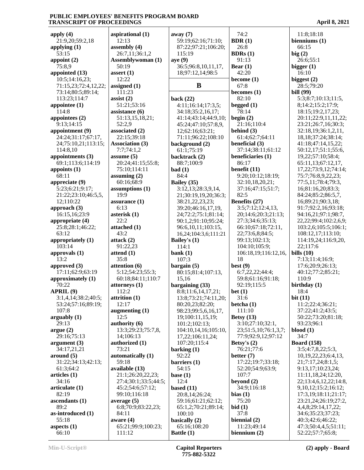| apply $(4)$                  | aspirational (1)                     | away (7)             | 74:2                 | 11:8;18:18                   |
|------------------------------|--------------------------------------|----------------------|----------------------|------------------------------|
| 21:9,20;59:2,18              | 12:13                                | 59:19;62:16;71:10;   | BDR(1)               | bienniums (1)                |
| applying $(1)$               | assembly (4)                         | 87:22;97:21;106:20;  | 26:8                 | 66:15                        |
| 53:15                        | 26:7,11;36:1,2                       | 115:19               | <b>BDRs</b> $(1)$    | big(2)                       |
| appoint $(2)$                | Assemblywoman (1)                    | aye (9)              | 91:13                | 26:6;55:1                    |
| 75:8,9                       | 50:19                                | 36:5;96:8,10,11,17,  | Bear $(1)$           | bigger $(1)$                 |
| appointed (13)               | assert $(1)$                         | 18;97:12,14;98:5     | 42:20                | 16:10                        |
| 10:5;14:16,23;               | 12:22                                |                      | become $(1)$         | biggest $(2)$                |
| 71:15,23;72:4,12,22;         | assigned (1)                         | B                    | 67:8                 | 28:5;79:20                   |
| 73:14;80:5;89:14;            | 111:23                               |                      | becomes $(1)$        | bill (99)                    |
| 113:23;114:7                 | assist $(2)$                         | back $(22)$          | 82:10                | 5:3;8:7;10:13;11:5,          |
| appointee $(1)$              | 51:21:53:16                          | 4:11;16:14;17:3,5;   | begged $(1)$         | 8;14:2;15:2;17:9;            |
| 114:8                        | assistance $(6)$                     |                      | 78:14                | 18:15;19:2,17,23;            |
|                              |                                      | 34:18;35:2,16,17;    |                      |                              |
| appointees (2)<br>9:13;14:15 | 51:13,15,18,21;                      | 41:14;43:14;44:9,10; | begin $(2)$          | 20:11;22:9,11,11,22;         |
|                              | 52:2,9                               | 45:24;47:10;57:8,9,  | 21:16;110:4          | 23:21;26:7,16;30:3;          |
| appointment (9)              | associated (2)                       | 12;62:16;63:21;      | behind $(3)$         | 32:18,19;36:1,2,11,          |
| 24:24;31:17;67:17,           | 22:15;39:18                          | 71:11;96:22;108:10   | 61:4;62:7;64:11      | 18, 18; 37: 24; 38: 14;      |
| 24;75:10,21;113:15;          | <b>Association (3)</b>               | background (2)       | beneficial (3)       | 41:18;47:14,15,22;           |
| 114:8,10                     | 7:7;74:1,2                           | 61:1;75:19           | 37:14;38:11;61:12    | 50:12,17;51:1;55:6,          |
| appointments (3)             | assume $(5)$                         | backtrack (2)        | beneficiaries (1)    | 19,22;57:10;58:4;            |
| 69:1;113:6;114:19            | 20:24;41:15;55:8;                    | 88:7;100:9           | 86:17                | 65:11,13;67:12,17,           |
| appoints $(1)$               | 75:10;114:11                         | bad(1)               | benefit $(11)$       | 17,22;73:9,12;74:14;         |
| 68:11                        | assuming $(2)$                       | 84:4                 | 9:20;10:12;18:19;    | 75:7;76:8,9,22,23;           |
| appreciate (9)               | 60:16;68:9                           | Bailey (35)          | 32:10,18,20,21;      | 77:5,11:78:4:79:3,           |
| 5:23;6:21;9:17;              | assumptions $(1)$                    | 3:12,13;28:3,9,14,   | 37:16;47:15;51:7;    | 16;81:16,20;83:3;            |
| 21:22;23:10;46:5,5,          | 19:9                                 | 21;30:19,19,20;36:3; | 82:5                 | 84:24;85:2;86:5,7,           |
| 12;110:22                    | assurance $(1)$                      | 38:21,22,23,23;      | Benefits (27)        | 16;89:21;90:3,18;            |
| approach $(3)$               | 6:13                                 | 39:20;46:16,17,19,   | 3:5;7:12;12:4,13,    | 91:7;92:2,16;93:18;          |
| 16:15,16;23:9                | asterisk (1)                         | 24;72:2;75:1;81:14;  | 20;14:6;20:3;21:13;  | 94:16,21;97:1;98:7,          |
| appropriate (4)              | 22:2                                 | 90:1,2;91:10;95:24;  | 27:3;34:6;35:13;     | 22, 22; 99: 4; 102: 2, 6, 9; |
| 25:8;28:1;46:22;             | attached (1)                         | 96:6,10,11;103:15,   | 66:10;67:18;72:11,   | 103:2,6;105:5;106:1;         |
| 63:12                        | 43:2                                 | 16,24;104:3,6;111:21 | 22;73:6,8;84:5;      | 108:12,17;113:10;            |
| appropriately (1)            | attack $(2)$                         | Bailey's (1)         | 99:13;102:13;        | 114:19,24;116:9,20,          |
| 103:14                       | 91:22,23                             | 114:1                | 104:10;105:9;        | 22;117:6                     |
| approvals (1)                | attend $(1)$                         | bank $(1)$           | 106:18,19;116:12,16, | bills $(10)$                 |
| 13:2                         | 35:8                                 | 107:3                | 18                   | 7:13;11:4;16:9;              |
| approved (3)                 | attention (6)                        | bargain $(5)$        | best $(9)$           | 17:6;20:9;26:13;             |
| 17:11;62:9;63:19             | 5:12:54:23:55:3:                     | 80:15;81:4;107:13,   | 6:7,22,22;44:4;      | 40:12;77:2;85:21;            |
| approximately (1)            | 60:18;84:11;110:7                    | 15,16                | 59:8;61:16;91:18;    | 110:9                        |
| 70:22                        |                                      |                      |                      |                              |
|                              | attorneys (1)                        | bargaining (33)      | 92:19;115:5          | birthday (1)                 |
| <b>APRIL</b> (9)             | 112:2                                | 8:8;11:6,14,17,21;   | bet $(1)$            | 18:4                         |
| 3:1,4,14;38:2;40:5;          | $\mathbf{attribution}\left(1\right)$ | 13:8;73:21;74:11,20; | 31:6                 | bit $(11)$                   |
| 53:24;57:16;89:19;           | 12:17                                | 80:20,23;82:20;      | betcha $(1)$         | 11:2;22:4;36:21;             |
| 107:8                        | augmenting $(1)$                     | 98:23;99:5,6,16,17,  | 111:10               | 37:22;41:2;43:5;             |
| arguably(1)                  | 12:5                                 | 19;100:11,15,19;     | Betsy $(13)$         | 50:22;73:20;81:18;           |
| 29:13                        | authority (6)                        | 101:2;102:13;        | 3:10;27:10;32:1,     | 93:23;96:1                   |
| argue(2)                     | 13:3;29:23;75:7,8,                   | 104:10,14,16;105:10, | 23;51:5,10;76:1,3,7; | $blood (1)$                  |
| 29:16;75:13                  | 14;106:13                            | 17,22;106:11,24;     | 77:9;92:9,12;97:12   | 34:7                         |
| argument <sub>(3)</sub>      | authorized (1)                       | 107:20;115:4         | Betsy's $(2)$        | <b>Board</b> (158)           |
| 34:17,21,21                  | 73:21                                | barking $(1)$        | 76:21;77:6           | 3:5;4:7,8,22;5:3,            |
| around (5)                   | automatically (1)                    | 92:22                | better $(7)$         | 10, 19, 22, 23; 6: 4, 13,    |
| 31:22;34:13;42:13;           | 59:18                                | barriers $(1)$       | 17:22;19:7;33:18;    | 21;7:17,24;8:1,5;            |
| 61:3;64:2                    | available (13)                       | 54:15                | 52:20;54:9;63:9;     | 9:13,17;10:23,24;            |
| articles (1)                 | 21:1;26:20,22,23;                    | base $(1)$           | 107:7                | 11:11,18,24;12:20,           |
| 34:16                        | 27:4;30:1;33:5;44:5;                 | 12:4                 | beyond $(2)$         | 22;13:4,6,12,22;14:8,        |
| articulate (1)               | 45:2;54:6;57:12;                     | based $(11)$         | 34:9;116:18          | 9, 10, 12; 15: 2; 16: 12;    |
| 82:19                        | 99:10;116:18                         | 20:8,14;26:24;       | bias $(1)$           | 17:3,19;18:11;21:17;         |
| ascendants (1)               | average $(5)$                        | 59:16;61:21;62:12;   | 75:20                | 23:21,24;26:19;27:2,         |
| 89:2                         | 6:8;70:9;83:22,23;                   | 65:1,2;70:21;89:14;  | bid(1)               | 4,4,8;29:14,17,22;           |
| as-introduced (1)            | 84:11                                | 100:10               | 37:8                 | 34:6;35:23;37:23;            |
| 55:18                        | aware $(4)$                          | basically (2)        | biennial (2)         | 40:3;42:6;46:22;             |
| aspects $(1)$                | 65:21;99:9;100:23;                   | 65:16;108:20         | 11:23;49:14          | 47:3;50:4,4,5;51:11;         |
| 66:10                        | 111:12                               | Battle (1)           | biennium $(2)$       | 52:22;57:7;65:8;             |
|                              |                                      |                      |                      |                              |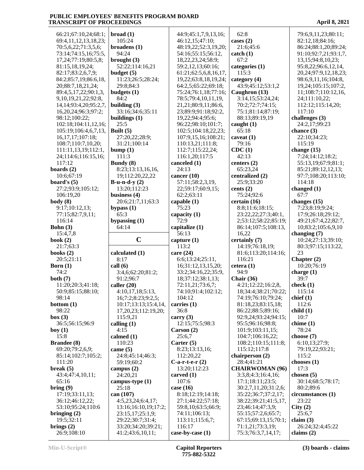| 66:21;67:10,24;68:1;         | broad(1)                               | 44:9;45:1,7,9,13,16;       | 62:8                                   | 79:6,9,11,23;80:11;              |
|------------------------------|----------------------------------------|----------------------------|----------------------------------------|----------------------------------|
| 69:4,11,12,13,18,23;         | 105:24                                 | 46:12,15;47:10;            | cases $(2)$                            | 82:12,18;84:16;                  |
| 70:5,6,22;71:3,5,6;          | broadens (1)                           | 48:19,22;52:3,19,20;       | 21:6;45:6                              | 86:24;88:1,20;89:24;             |
|                              | 94:24                                  |                            |                                        |                                  |
| 73:14;74:15,16;75:5,         |                                        | 54:16;55:15;56:12,         | $\text{catch} (1)$                     | 91:10;92:7,21;93:1,7,            |
| 17,24;77:19;80:5,8;          | brought $(3)$                          | 18,22,23,24;58:9;          | 67:2                                   | 13,15;94:8,10,23;                |
| 81:15,18,19,24;              | 52:22;114:16,21                        | 59:2,12,13;60:16;          | categories (1)                         | 95:8,22;96:6,12,14,              |
| 82:17;83:2,6,7,9;            | budget $(5)$                           | 61:21;62:5,6,8,16,17,      | 115:3                                  | 20, 24; 97: 9, 12, 18, 23;       |
| 84:2;85:7,19;86:6,18,        | 11:23;26:5;28:24;                      | 19,22;63:8,18,19,24;       | category (4)                           | 98:6,9,11,16;104:8,              |
| 20;88:7,18,21,24;            | 29:8;84:3                              | 64:2,5;65:22;69:18;        | 43:9;45:12;53:1,2                      | 19,24;105:15;107:2,              |
| 89:4,5,17,22;90:1,3,         | budgets (1)                            | 75:24;76:1,18;77:16;       | Caughron (13)                          | 11;108:7;110:12,16,              |
| 9, 10, 19, 21, 22; 92: 8,    | 84:2                                   | 78:5;79:4,10,11,19,        | 3:14,15;53:24,24;                      | 24;111:10,22;                    |
| 14, 14; 93: 4, 20; 95: 2, 7, | building $(3)$                         | 21,21;80:9,11;86:6,        | 70:2;72:7;74:15;                       | 112:12;115:14,20;                |
| 16,20,24;96:3;97:2;          | 33:16;34:6;35:11                       | 23;89:9;91:18;92:2,        | 75:1;81:14;87:19;                      | 117:10                           |
| 98:12;100:22;                | buildings $(1)$                        | 19,22;94:4;95:6;           | 88:13;89:19,19                         | challenges (3)                   |
| 102:18;104:11,12,16;         | 25:5                                   | 96:22;98:10;101:7;         | caught $(1)$                           | 24:2,17;99:23                    |
| 105:19;106:4,6,7,13,         | Built $(5)$                            | 102:5;104:18,22,23;        | 65:18                                  | chance $(3)$                     |
| 16, 17, 17; 107: 18;         | 27:20,22;28:9;                         | 107:9,15,16;108:21;        | caveat $(1)$                           | 22:10;34:23;                     |
| 108:7;110:7,10,20;           | 31:21;100:14                           | 110:13,21;111:8;           | 79:16                                  | 115:19                           |
|                              |                                        |                            |                                        |                                  |
| 111:11,13,19;112:1,          | bump(1)                                | 112:7;115:22,24;           | CDC(1)                                 | change $(15)$                    |
| 24;114:6;116:15,16;          | 111:3                                  | 116:1,20;117:5             | 42:13                                  | 7:24;14:12;18:2;                 |
| 117:12                       | Bundy (8)                              | canceled (1)               | centers $(2)$                          | 55:13,19;67:9;81:1;              |
| boards $(2)$                 | 8:23;13:13,16,16,                      | 24:13                      | 65:23,24                               | 85:21;89:12,12,13;               |
| 10:6;67:19                   | 19;112:20,22,22                        | cancer $(10)$              | centralized (2)                        | 97:7;108:20;113:10;              |
| board's $(5)$                | $B-u-n-d-y(2)$                         | 57:11;58:2,3,19,           | 25:9;33:20                             | 114:18                           |
| 27:2;93:9;105:12;            | 13:20;112:23                           | 22;59:17;60:9,15;          | cents $(2)$                            | changed (1)                      |
| 106:19,20                    | business (4)                           | 62:2;63:11                 | 75:24;92:6                             | 67:7                             |
| body(8)                      | 20:6;21:7,11;63:3                      | capable $(1)$              | certain (16)                           | changes $(15)$                   |
| 9:17;10:12,13;               | bypass $(1)$                           | 75:23                      | 8:8;11:6;18:15;                        | 7:23;8:19;9:24;                  |
| 77:15;82:7,9,11;             | 65:3                                   | capacity $(1)$             | 23:22,22;27:3;40:1,                    | 17:9;26:18;29:12;                |
| 116:14                       | bypassing $(1)$                        | 72:9                       | 2;53:12;58:22;85:19;                   | 49:21;67:4,22;82:7,              |
| Bohn $(3)$                   | 64:14                                  | capitalize (1)             | 86:14;107:5;108:13,                    | 10;83:2;105:6,9,10               |
| 15:4,7,8                     |                                        | 56:13                      | 16,22                                  | changing $(7)$                   |
| book $(2)$                   | $\mathbf C$                            | capture $(1)$              | certainly (7)                          | 10:24;27:13;39:10;               |
|                              |                                        |                            |                                        |                                  |
|                              |                                        |                            |                                        |                                  |
| 21:7;63:3                    |                                        | 113:2                      | 14:19;76:18,19;                        | 80:3;97:15;113:22,               |
| books $(2)$                  | calculated (1)                         | care $(24)$                | 81:6;113:20;114:16;                    | 23                               |
| 20:5;21:11                   | 8:17                                   | 6:6;13:24;25:11,           | 116:21                                 | Chapter $(2)$                    |
| Born $(1)$                   | call $(6)$                             | 16;31:12,13,15,20;         | cetera(1)                              | 10:20;76:19                      |
| 74:2                         | 3:4,6;62:20;81:2;                      | 33:2;34:16,22;35:9,        | 94:9                                   | charge $(1)$                     |
| both $(7)$                   | 91:2;96:7                              | 18;37:12;38:1,13;          | Chair $(36)$                           | 39:7                             |
| 11:20;20:3;41:18;            | caller $(20)$                          | 72:11,21;73:6,7;           | 4:21;12:22;16:2,8,                     | check $(1)$                      |
| 50:9;85:15;88:10;            | 4:10,17,18;5:13,                       | 74:10;91:4;102:12;         | 18;34:4;38:21;70:22;                   | 115:14                           |
| 98:14                        | 16;7:2;8:23;9:2,5;                     | 104:12                     | 74:19;76:10;79:24;                     | chief $(1)$                      |
| bottom $(1)$                 | 10:17;13:13;15:4,14,                   | carries (1)                | 81:18,23;83:15,18;                     | 112:6                            |
| 98:22                        | 17, 20, 23; 112: 19, 20;               | 36:8                       | 86:22;88:5;89:16;                      | child(1)                         |
| box (3)                      | 115:9,21                               | carry $(3)$                | 92:9,24;93:24;94:15;                   | 10:7                             |
| 36:5;56:15;96:9              | calling $(1)$                          | 12:15;75:5;98:3            | 95:5;96:16;98:8;                       | chime $(1)$                      |
| boy(1)                       | 4:15                                   | Carson(2)                  | 101:9;103:11,15;                       | 78:24                            |
| 15:8                         | calmed $(1)$                           | 25:6,7                     | 104:7;106:16,22;                       | choose (7)                       |
| <b>Brandee</b> (8)           | 110:23                                 | Carter $(5)$               | 108:2;110:15;111:8;                    | 6:10,13;27:9;                    |
|                              |                                        |                            | 115:12;117:8                           |                                  |
| 69:20;79:2,6,9;              | came $(5)$                             | 8:23;13:13,16;             |                                        | 79:19,22;93:21;<br>115:2         |
| 85:14;102:7;105:2;           | 24:8;45:14;46:3;                       | 112:20,22                  | chairperson (2)                        |                                  |
| 111:20                       | 59:19;60:2                             | $C$ -a-r-t-e-r $(2)$       | 28:4;41:21                             | chooses $(1)$                    |
| break $(5)$                  | campus $(2)$                           | 13:20;112:23               | <b>CHAIRWOMAN (96)</b>                 | 17:3                             |
| 43:4;47:4,10,11;             | 24:20,21                               | carved $(1)$               | 3:3,8;4:3;16:4,16;                     | chosen $(5)$                     |
| 65:16                        | campus-type $(1)$                      | 107:6                      | 17:1;18:11;23:5;                       | 30:14;68:5;78:17;                |
| $\text{bring} (9)$           | 25:18                                  | case $(16)$                | 30:2,7,11,20;31:2,6;                   | 80:2;89:6                        |
| 17:19:33:11,13;              | can (107)                              | 8:18;12:19;14:18;          | 35:22;36:7;37:2,17;                    | circumstances (1)                |
| 36:12;46:12,22;              | 4:5,23,24;6:4,17;                      | 27:1;44:22;57:18;          | 38:22;39:21;41:5,17,                   | 23:22                            |
| 53:10;95:24;110:6            | 13:16;16:10,19;17:2;                   | 59:8,10;63:5;66:9;         | 23;46:14;47:3,9;                       | City(2)                          |
| bringing $(2)$               | 23:15,17;25:1,9;                       | 74:11;106:13;              | 55:15;57:2,6;65:7;                     | 25:6,7                           |
| 19:5;32:11                   | 29:22;30:7;31:4;                       | 113:11;115:6,7;            | 67:15;69:13,15;70:1;                   | claim $(3)$                      |
| brings $(2)$<br>26:9;108:10  | 33:20;34:20;39:21;<br>41:2;43:6,10,11; | 116:17<br>case-by-case (1) | 71:1,21;73:3,19;<br>75:3;76:3,7,14,17; | 26:24;32:4;45:22<br>claims $(2)$ |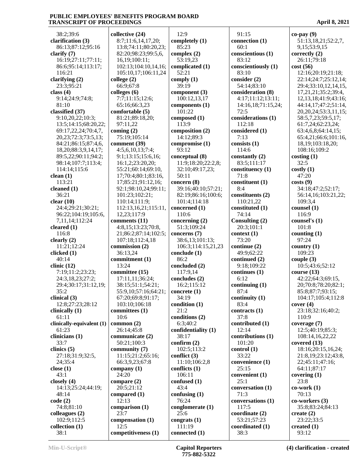| 38:2:39:6                 | collective (24)             | 12:9                    |
|---------------------------|-----------------------------|-------------------------|
| clarification (3)         | 8:7;11:6,14,17,20;          | completely (1)          |
| 86:13;87:12;95:16         | 13:8;74:11;80:20,23;        | 85:23                   |
| clarify $(7)$             | 82:20;98:23;99:5,6,         | complex $(2)$           |
| 16:19;27:11;77:11;        | 16,19;100:11;               | 53:19,23                |
| 86:6;95:14;113:17;        | 102:13;104:10,14,16;        | complicated (1)         |
| 116:21                    | 105:10,17;106:11,24         | 52:21                   |
| clarifying (2)            | college (2)                 | comply $(1)$            |
| 23:3;95:21                | 66:9;67:8                   | 39:19                   |
| class $(4)$               | colleges (6)                | component (3)           |
| 9:14;24:9;74:8;           | 7:7;11:15;12:6;             | 100:12,13,17            |
| 81:10                     | 65:16;66:3,23               | components (1)          |
| classified (37)           | comfortable (5)             | 101:22                  |
| 9:10,20,22;10:3;          | 81:21;89:18,20;             | composed (1)            |
| 13:5;14:15;68:20,22;      | 97:11,22                    | 113:9                   |
| 69:17,22,24;70:4,7,       | coming $(2)$                | composition (2)         |
| 20,23;72:3;73:5,13;       | 75:19;105:14                | 14:12;89:3              |
| 84:21;86:15;87:4,6,       | comment (39)                | compromise (1)          |
| 18,20;88:3,9,14,17;       | 4:5,6,10,13;7:4;            | 93:12                   |
| 89:5,22;90:11;94:2;       | 9:1;13:15;15:6,16;          | conceptual (8)          |
| 98:14;107:7;113:4;        | 16:1,2;23:20,20;            | 11:9;18:20;22:          |
| 114:14;115:6              | 55:21;60:14;69:10,          | 32:10;49:17,23          |
| clean $(1)$               | 17;70:4;80:1;83:16,         | 50:11                   |
| 113:21                    | 17;85:21;91:12,16;          | concern (8)             |
| cleaned (1)               | 92:1;98:10,24;99:11;        | 39:16;40:10;57          |
| 36:21                     | 101:23;102:21;              | 82:19;86:16;10          |
| clear $(10)$              | 110:14;111:9;               | 101:4;114:18            |
| 24:4;29:21;30:21;         | 112:13,16,21;115:11,        | concerned (1)           |
| 96:22;104:19;105:6,       | 12,23;117:9                 | 110:6                   |
| 7,11,14;112:24            | comments (11)               | concerning (2)          |
| cleared (1)               | 4:8,15;13:23;70:8,          | 51:3;109:24             |
| 116:8                     | 21;86:2;87:14;102:5;        | concerns (7)            |
|                           |                             |                         |
| clearly $(2)$             | 107:18;112:4,18             | 38:6,13;101:13          |
| 11:21;12:24               | commission (2)              | 106:3;114:15,2          |
| clicked (1)               | 36:13,24                    | conclude (1)            |
| 40:14                     | commitment (1)              | 86:2                    |
| clinic $(12)$             | 13:24                       | concluded (2)           |
| 7:19;11:2;23:23;          | committee (15)              | 117:9,14                |
| 24:3,18,23;27:2;          | 17:11,11;36:24;             | concludes (2)           |
| 29:4;30:17;31:12,19;      | 38:15;51:1;54:21;           | 16:2;115:12             |
| 35:2                      | 55:9,10;57:16;64:21;        | concrete (1)            |
| clinical (3)              | 67:20;69:8;91:17;           | 34:19                   |
| 12:8;27:23;28:12          | 103:10;106:18               | condition (1)           |
| clinically (1)            | committees (1)              | 21:2                    |
| 61:11                     | 10:6                        | conditions (2)          |
| clinically-equivalent (1) | common $(2)$                | 6:3;40:2                |
| 61:23                     | 26:14;45:8                  | confidentiality (1      |
| clinicians (1)            | communicate (2)             | 38:17                   |
| 33:7                      | 50:21;100:3                 | confirm $(2)$           |
| clinics $(5)$             | community (7)               | 102:5;113:2             |
| 27:18;31:9;32:5,          | 11:15;21:2;65:16;           | conflict (3)            |
| 24;35:4                   | 66:3,9,23;67:8              | 11:10;106:2,8           |
| close $(1)$               | company (1)                 | conflicts $(1)$         |
| 43:1                      | 24:20                       | 106:11                  |
| closely (4)               | compare $(2)$               | confused (1)            |
| 14:13;25:24;44:19;        | 20:5;21:12                  | 43:4                    |
| 48:14                     | compared $(1)$              | confusing $(1)$         |
| code(2)                   | 12:13                       | 76:24                   |
| 74:8;81:10                | comparison (1)              | conglomerate (1)        |
| colleagues (2)            | 23:7                        | 25:6                    |
| 102:9;112:5               | compensation (1)            | congrats (1)            |
| collection (1)<br>38:1    | 12:5<br>competitiveness (1) | 111:19<br>connected (1) |

 12:9 **completely (1)** 85:23 **complex (2)** 53:19,23 **complicated (1) comply (1)** 39:19 **component (3)** 100:12,13,17 **components (1)** 101:22 **composed (1)** 113:9 **composition (2)** 14:12;89:3 **compromise (1)** 93:12 **conceptual (8)** 11:9;18:20;22:2,8; 32:10;49:17,23; 50:11 **concern (8)** 39:16;40:10;57:21; 82:19;86:16;100:6; 101:4;114:18 **concerned (1)** 110:6 **concerning (2)** 51:3;109:24 **concerns (7)** 38:6,13;101:13; 106:3;114:15,21,23 **conclude (1)** 86:2 **concluded (2)** 117:9,14 **concludes (2)** 16:2;115:12 **concrete (1)** 34:19 **condition (1)** 21:2 **conditions (2)** 6:3;40:2 **confidentiality (1)** 38:17 **confirm (2)** 102:5;113:2 **conflict (3)** 11:10;106:2,8 **conflicts (1)** 106:11 **confused (1)** 43:4 **confusing (1)** 76:24 **conglomerate (1)** 25:6 **congrats (1)** 111:19 **connected (1)**

 91:15 **connection (1)** 60:1 **conscientious (1)** 83:12 **conscientiously (1)** 83:10 **consider (2)** 54:14;83:10 **consideration (8)** 4:17;11:12;13:11; 14:16,18;71:15,24; 72:5 **considerations (1)** 112:18 **considered (1)** 7:13 **consists (1)** 114:6 **constantly (2)** 83:5;111:17 **constituency (1)** 71:8 **constituent (1)** 8:4 **constituents (2)** 110:21,22 **constituted (1)** 74:14 **Consulting (2)** 20:3;101:1 **context (1)** 73:20 **continue (2)** 49:9;62:22 **continued (2)** 9:18;109:22 **continues (1)** 6:12 **continuing (1)** 87:4 **continuity (1)** 83:4 **contracts (1)** 37:8 **contributed (1)** 12:14 **contributions (1)** 101:20 **control (1)** 33:22 **convenience (1)** 25:15 **convenient (1)** 25:1 **conversation (1)** 71:3 **conversations (1)** 117:5 **coordinate (2)** 53:21;57:23 **coordinated (1)** 38:3

| co-pay (9)                                                                                                                                                 |  |
|------------------------------------------------------------------------------------------------------------------------------------------------------------|--|
| 51:13,18,21;52:2,7,                                                                                                                                        |  |
| 9,15;53:9,15                                                                                                                                               |  |
| correctly (2)                                                                                                                                              |  |
| 26:11;79:18                                                                                                                                                |  |
|                                                                                                                                                            |  |
| cost (56)                                                                                                                                                  |  |
| 12:16;20:19;21:18;                                                                                                                                         |  |
| 22:14;24:7;25:12,14;                                                                                                                                       |  |
| 29:4;33:10,12,14,15,                                                                                                                                       |  |
| 17,21,21;35:2;39:4,                                                                                                                                        |  |
| 12, 13, 18; 41: 9; 43: 16;                                                                                                                                 |  |
| 44:14,17;47:2;51:14,                                                                                                                                       |  |
| 20, 20, 24; 53: 3, 11, 15;                                                                                                                                 |  |
| 58:5,7,23;59:5,17;                                                                                                                                         |  |
| 61:7,24;62:23,24;                                                                                                                                          |  |
| 63:4,6,8;64:14,15;                                                                                                                                         |  |
| 65:4,21;66:6;101:16,                                                                                                                                       |  |
| 18, 19; 103: 18, 20;                                                                                                                                       |  |
| 108:16;109:2                                                                                                                                               |  |
| costing(1)                                                                                                                                                 |  |
| 32:5                                                                                                                                                       |  |
|                                                                                                                                                            |  |
| costly(1)                                                                                                                                                  |  |
| 47:20                                                                                                                                                      |  |
| costs (9)                                                                                                                                                  |  |
| 34:18;47:2;52:17;                                                                                                                                          |  |
| 56:14,16;103:21,22;                                                                                                                                        |  |
| 109:3,4                                                                                                                                                    |  |
| counsel (1)                                                                                                                                                |  |
| 116:9                                                                                                                                                      |  |
| counsel's (1)                                                                                                                                              |  |
| 101:8                                                                                                                                                      |  |
| counting (1)                                                                                                                                               |  |
|                                                                                                                                                            |  |
|                                                                                                                                                            |  |
| 97:24                                                                                                                                                      |  |
|                                                                                                                                                            |  |
| 109:23                                                                                                                                                     |  |
|                                                                                                                                                            |  |
| 10:5;43:6;52:12                                                                                                                                            |  |
|                                                                                                                                                            |  |
| 42:22;64:3;69:15,                                                                                                                                          |  |
| 20;70:8;78:20;82:1;                                                                                                                                        |  |
| 85:8;87:7;93:15;                                                                                                                                           |  |
| 104:17;105:4;112:8                                                                                                                                         |  |
|                                                                                                                                                            |  |
| 23:18;32:16;40:2;                                                                                                                                          |  |
|                                                                                                                                                            |  |
| 110:9                                                                                                                                                      |  |
|                                                                                                                                                            |  |
| 12:5;40:19;85:3;                                                                                                                                           |  |
| 108:14,16,22,22                                                                                                                                            |  |
|                                                                                                                                                            |  |
| 18:16;20:15,16,24;                                                                                                                                         |  |
| 21:8,19;23:12;43:8,                                                                                                                                        |  |
| 22;45:11;47:16;                                                                                                                                            |  |
| 64:11;87:17                                                                                                                                                |  |
|                                                                                                                                                            |  |
| 23:8                                                                                                                                                       |  |
|                                                                                                                                                            |  |
|                                                                                                                                                            |  |
| 70:13                                                                                                                                                      |  |
|                                                                                                                                                            |  |
| country (1)<br>couple (3)<br>course (13)<br>cover (4)<br>coverage (7)<br>covered (13)<br>covering (1)<br>co-work (1)<br>co-workers (3)<br>35:8;83:24;84:13 |  |
| create (2)                                                                                                                                                 |  |
| 23:22;33:5                                                                                                                                                 |  |
| created (1)<br>93:12                                                                                                                                       |  |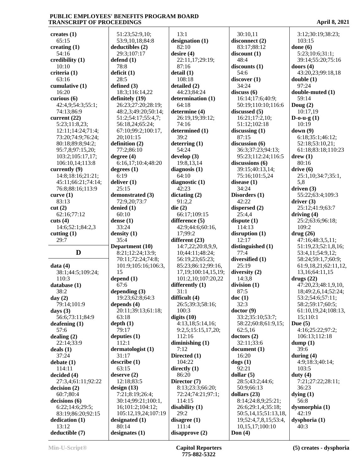**creates (1)** 65:15 **creating (1)** 54:16 **credibility (1)** 10:10 **criteria (1)** 63:16 **cumulative (1)** 16:20 **curious (6)** 42:4,9;54:3;55:1; 74:13;86:9 **current (22)** 5:23;11:8,23; 12:11;14:24;71:4; 73:20;74:9;76:24; 80:18;89:8;94:2; 95:7,8;97:15,20; 103:2;105:17,17; 106:10,14;113:8 **currently (9)** 14:8;18:16;21:21; 45:11;66:21;74:14; 76:8;88:16;113:9 **curve (1)** 83:13 **cut (2)** 62:16;77:12 **cuts (4)** 14:6;52:1;84:2,3 **cutting (1)** 29:7 **D** 8 **data (4)** 38:1;44:5;109:24; 110:3 **database (1)** 38:2 **day (2)** 79:14;101:9 **days (3)** 56:6;73:11;84:9 **deafening (1)** 57:6 **dealing (2)** 22:14;33:9 **deals (1)** 37:24 **debate (1)** 114:11 **decided (4)** 27:3,4;61:11;92:22 **decision (2)** 60:7;80:4 **decisions (6)** 6:22;14:6;29:5; 83:19;86:20;92:15 **dedication (1)** 13:12 **deductible (7)**

 51:23;52:9,10; 53:9,10,18;84:8 **deductibles (2)** 29:3;107:17 **defend (1)** 78:8 **deficit (1)** 28:5 **defined (3)** 18:3;116:14,22 **definitely (19)** 26:23;27:20;28:19; 48:2,3;49:20;50:14; 51:2;54:17;55:4,7; 56:18,24;65:24; 67:10;99:2;100:17, 20;101:15 **definition (2)** 77:2;86:10 **degree (4)** 6:16,17;10:4;48:20 **degrees (1)** 6:19 **deliver (1)** 25:15 **demonstrated (3)** 72:9,20;73:7 **denied (1)** 60:10 **dense (1)** 33:24 **density (1)** 35:4 **Department (10)** 8:21;12:24;13:9; 70:11;72:24;74:8; 101:9;105:16;106:3, 15 **depend (1)** 67:6 **depending (3)** 19:23;62:8;64:3 **depends (4)** 20:11;39:13;61:18; 63:18 **depth (1)** 79:17 **deputies (1)** 112:1 **dermatologist (1)** 31:17 **describe (1)** 63:15 **deserve (2)** 12:18;83:5 **design (13)** 7:21;8:19;26:4; 30:14;99:21;100:1, 16;101:2;104:12; 105:12,19,24;107:19 **designated (1)** 80:14 **designates (1)**

 13:1 **designation (1)** 82:10 **desire (4)** 22:11,17;29:19; 87:16 **detail (1)** 108:18 **detailed (2)** 44:23;84:24 **determination (1)** 64:18 **determine (4)** 26:19,19;39:12; 74:16 **determined (1)** 39:2 **deterring (1)** 54:24 **develop (3)** 19:8,13,14 **diagnosis (1)** 64:10 **diagnostic (1)** 42:23 **dictating (2)** 91:2,2 **die (2)** 66:17;109:15 **difference (5)** 42:9;44:6;60:16, 17;99:2 **different (23)** 14:7,22;20:8,9,9, 10;44:11;48:24; 56:19,23;65:23; 85:23;86:12;99:16, 17,19;100:14,15,19; 101:2,10;107:20,22 **differently (1)** 31:1 **difficult (4)** 26:5;39:3;58:16; 100:3 **digits (10)** 4:13,18;5:14,16; 9:2,5;15:15,17,20; 112:16 **diminishing (1)** 7:12 **Directed (1)** 104:22 **directly (1)** 86:20 **Director (7)** 8:13;23:3;66:20; 72:24;74:21;97:1; 114:15 **disability (1)** 29:2 **disagree (1)** 111:4 **disapprove (2)**

 30:10,11 **disconnect (2)** 83:17;88:12 **discount (1)** 48:4 **discounts (1)** 54:6 **discover (1)** 34:24 **discuss (6)** 16:14;17:6;40:9; 50:19;110:10;116:6 **discussed (5)** 16:21;17:2,10; 51:12;102:18 **discussing (1)** 87:15 **discussion (6)** 36:3;37:23;94:13; 95:23;112:24;116:5 **discussions (6)** 39:15;40:13,14; 75:16;101:5,24 **disease (1)** 34:24 **Disorders (1)** 42:22 **dispersed (2)** 25:4,4 **dispute (1)** 114:13 **disruption (1)** 12:17 **distinguished (1)** 77:4 **diversified (1)** 25:19 **diversity (2)** 14:3,8 **division (1)** 87:5 **doc (1)** 32:3 **doctor (9)** 33:2;35:10;53:7; 58:22;60:8;61:9,15; 62:5,16 **doctors (2)** 32:11;33:6 **document (1)** 16:20 **dogs (1)** 92:21 **dollar (5)** 28:5;43:2;44:6; 50:9;66:13 **dollars (23)** 8:14;24:8,9;25:21; 26:6;29:1,4;35:18; 50:5,14,15;51:13,18, 19;52:4,7,8,15;53:4, 10,15,17;100:10 **Don (4)**

 3:12;30:19;38:23; 103:15 **done (6)** 5:23;10:6;31:1; 39:14;55:20;75:16 **doors (4)** 43:20,23;99:18,18 **double (1)** 97:24 **double-muted (1)** 59:14 **Doug (2)** 10:17,19 **D-o-u-g (1)** 10:19 **down (9)** 6:18;35:1;46:12; 52:18;53:10,21; 61:18;83:18;110:23 **drew (1)** 80:16 **drive (6)** 25:1,10;34:7;35:1, 5,8 **driven (3)** 55:22;63:4;109:3 **driver (3)** 25:12;41:9;63:7 **driving (4)** 25:2;63:6;96:18; 109:2 **drug (26)** 47:16;48:3,5,11; 51:19,23;52:1,8,16; 53:4,11;54:9,12; 58:24;59:1,7;60:9; 61:9,18,21;62:11,12, 13,16;64:11,15 **drugs (22)** 47:20,23;48:1,9,10, 18;49:2,6,14;52:24; 53:2;54:6;57:11; 58:2;59:17;60:5; 61:10,19,24;108:13, 15;110:1 **Due (5)** 4:16;25:22;97:2; 106:13;112:18 **dump (1)** 39:6 **during (4)** 4:9;18:3;40:14; 103:5 **duty (4)** 7:21;27:22;28:11; 36:23 **dying (1)** 56:8 **dysmorphia (1)** 42:19 **dysphoria (1)** 40:3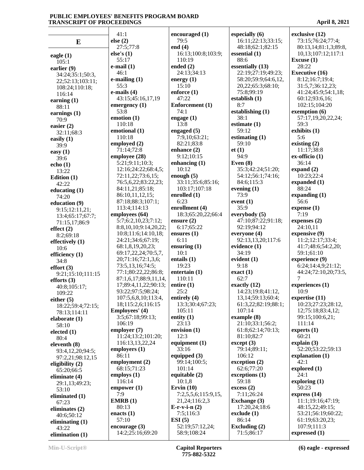|                                    | 41:1                                      | encouraged (1)                | especially (6)                                  | exclusive (12)                      |
|------------------------------------|-------------------------------------------|-------------------------------|-------------------------------------------------|-------------------------------------|
| $\bf{E}$                           | else (2)                                  | 79:5                          | 16:11;22:13;33:15;                              | 73:15;76:24;77:4;                   |
|                                    | 27:5;77:8                                 | end $(4)$                     | 48:18;62:1;82:15                                | 80:13,14;81:1,3;89:8,               |
| eagle $(1)$                        | else's $(1)$                              | 16:13;100:8;103:9;            | essential $(1)$                                 | 10,13;107:12;117:1                  |
| 105:1                              | 55:17                                     | 110:19                        | 88:6                                            | Excuse $(1)$<br>28:22               |
| earlier $(9)$                      | $e$ -mail $(1)$<br>46:1                   | ended $(2)$<br>24:13;34:13    | essentially (13)<br>22:19;27:19;49:23;          | <b>Executive (16)</b>               |
| 34:24;35:1;50:3,                   | $e$ -mailing $(1)$                        | energy $(1)$                  | 58:20;59:9;64:6,12,                             | 8:12;16:7;19:4;                     |
| 22;52:13;103:11;<br>108:24;110:18; | 55:3                                      | 15:10                         | 20,22;65:3;68:10;                               | 31:5,7;36:12,23;                    |
| 116:14                             | e-mails (4)                               | enforce $(1)$                 | 75:8;99:19                                      | 41:24;45:9;54:1,18;                 |
| earning $(1)$                      | 43:15;45:16,17,19                         | 47:22                         | establish (1)                                   | 60:12;93:6,16;                      |
| 88:11                              | emergency $(1)$                           | Enforcement (1)               | 8:7                                             | 102:15;104:20                       |
| earnings $(1)$                     | 53:8<br>emotion (1)                       | 74:1<br>engage $(1)$          | establishing (1)<br>38:1                        | exemption (6)<br>57:17,19,20,22,24; |
| 70:9<br>easier $(2)$               | 110:18                                    | 13:8                          | estimate $(1)$                                  | 59:3                                |
| 32:11;68:3                         | emotional (1)                             | engaged $(5)$                 | 59:12                                           | exhibits (1)                        |
| easily $(1)$                       | 110:18                                    | 7:9,10;63:21;                 | estimating $(1)$                                | 5:6                                 |
| 39:9                               | employed (2)                              | 82:21;83:8                    | 59:10                                           | existing $(2)$                      |
| easy $(1)$                         | 71:14;72:8                                | enhance (2)                   | et(1)<br>94:9                                   | 11:17;38:8                          |
| 39:6                               | employee (28)<br>5:21;9:11;10:3;          | 9:12;10:15<br>enhancing $(1)$ | Even $(8)$                                      | $ex\text{-}officio(1)$<br>36:14     |
| echo(1)<br>13:22                   | 12:16;24:22;68:4,5;                       | 10:12                         | 35:3;42:24;51:20;                               | expand $(2)$                        |
| Edition $(1)$                      | 72:11,22;73:6,15;                         | enough $(5)$                  | 54:12;56:1;74:16;                               | 10:23;22:4                          |
| 42:22                              | 76:5,6,22;83:22,23;                       | 33:11;35:6;85:16;             | 84:6;115:3                                      | expanded $(1)$                      |
| educating $(1)$                    | 84:11,21;85:18;                           | 103:17;107:18                 | evening $(1)$                                   | 88:24                               |
| 74:20                              | 86:10,11,12,15;                           | enrolled (1)                  | 73:9                                            | expanding $(1)$<br>56:6             |
| education (9)                      | 87:18;88:3;107:1;<br>113:4;114:13         | 6:23<br>enrollment (4)        | event $(1)$<br>35:9                             | expense(1)                          |
| 9:15;12:11,21;<br>13:4;65:17;67:7; | employees (64)                            | 18:3;65:20,22;66:4            | everybody (5)                                   | 7:19                                |
| 71:15,17;86:9                      | 5:7;6:2,10,23;7:12;                       | ensure $(2)$                  | 47:10;87:22;91:18;                              | expenses (2)                        |
| effect $(2)$                       | 8:8,10,10;9:14,20,22;                     | 6:17;65:22                    | 92:19;94:12                                     | 24:10,11                            |
| 8:2;69:18                          | 10:8;11:6;14:10,18;                       | ensures $(1)$                 | everyone (4)                                    | expensive (9)                       |
| effectively $(1)$                  | 24:21;34:6;67:19;                         | 6:11                          | 92:13,13,20;117:6<br>evidence (1)               | 11:2;12:17;33:4;                    |
| 10:6                               | 68:1,8,19,20,23;<br>69:17,22,24;70:5,7,   | ensuring $(1)$<br>10:1        | 34:19                                           | 41:7;48:6;54:2,20;<br>59:1;61:10    |
| efficiency (1)<br>34:8             | 20;71:16;72:1,3,6;                        | entails $(1)$                 | evident $(1)$                                   | experience (9)                      |
| effort $(3)$                       | 73:5,13,16;74:5;                          | 19:23                         | 9:18                                            | 6:24;14:4,9;21:12;                  |
| 9:21;15:10;111:15                  | 77:1;80:22,22;86:8;                       | entertain (1)                 | exact(1)                                        | 44:24;72:10,20;73:5,                |
| efforts $(3)$                      | 87:1,6,17;88:9,11,14,                     | 110:11                        | 62:7                                            | 7                                   |
| 40:8;105:17;                       | 17;89:4,11,22;90:13;<br>93:22;97:5;98:24; | entire $(1)$<br>25:2          | exactly (12)<br>14:23;19:8;41:12,               | experiences (1)<br>10:9             |
| 109:22                             | 107:5,6,8,10;113:4,                       | entirely (4)                  | 13, 14; 59: 13; 60: 4;                          | expertise (11)                      |
| either $(5)$<br>18:22;59:4;72:15;  | 18;115:2,6;116:15                         | 13:3;30:4;67:23;              | 61:3,22;82:19;88:1;                             | 10:23;27:23;28:12,                  |
| 78:13;114:11                       | Employees' (4)                            | 105:11                        | 107:14                                          | 12;75:18;83:4,12;                   |
| elaborate $(1)$                    | 3:5;67:18;99:13;                          | entity $(1)$                  | example(8)                                      | 99:15;100:6,21;                     |
| 58:10                              | 106:19                                    | 23:13                         | 21:10;33:1;56:2;                                | 111:14                              |
| elected $(1)$                      | employer (7)<br>11:24;13:2;101:20;        | envision $(1)$<br>12:3        | 61:8;62:14;70:13;<br>81:10;82:7                 | experts $(1)$<br>60:21              |
| 80:4                               | 116:13,13,22,24                           | equipment $(1)$               | except (3)                                      | explain $(3)$                       |
| eleventh (8)<br>93:4,12,20;94:5;   | employers (1)                             | 33:16                         | 79:14;89:11;                                    | 52:20;53:22;59:13                   |
| 97:2,21;98:12,15                   | 86:11                                     | equipped $(3)$                | 106:12                                          | explanation (1)                     |
| eligibility $(2)$                  | employment (2)                            | 99:14:100:5:                  | exception (2)                                   | 42:1                                |
| 65:20;66:5                         | 68:15:71:23                               | 101:14                        | 62:6;77:20                                      | explored (1)<br>24:1                |
| eliminate (4)                      | employs $(1)$<br>116:14                   | equitable (2)<br>10:1,8       | exceptions (1)<br>59:18                         | exploring $(1)$                     |
| 29:1,13;49:23;<br>53:10            | empower (1)                               | Ervin $(10)$                  | excess(2)                                       | 50:23                               |
| eliminated $(1)$                   | 7:9                                       | 7:2,5,5,6;115:9,15,           | 7:11;26:24                                      | express $(14)$                      |
| 67:23                              | EMRB(1)                                   | 21,24;116:2,3                 | Exchange (3)                                    | 11:1;19:16;47:19;                   |
| eliminates $(2)$                   | 80:13                                     | $E-r-v-i-n(2)$                | 17:20,24;18:6                                   | 48:15,22;49:15;                     |
| 40:6;50:12                         | enacts $(1)$                              | 7:5;116:3                     | $\boldsymbol{\mathrm{exclude}\left( 1\right) }$ | 53:21;56:19;60:22;                  |
| eliminating $(1)$                  | 57:10<br>encourage (3)                    | ESI(5)<br>52:19;57:12,24;     | 86:14<br><b>Excluding (2)</b>                   | 61:19;63:20,23;<br>107:9;111:3      |
| 43:22<br>elimination $(1)$         | 14:2;25:16;69:20                          | 58:9;108:24                   | 71:5;86:17                                      | expressed (1)                       |
|                                    |                                           |                               |                                                 |                                     |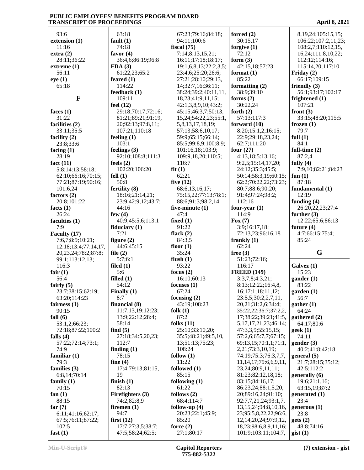| 93:6                      | 63:18                                 | 67:23;79:16;84:18;        | forced $(2)$                                 | 8, 19, 24; 105: 15, 15; |
|---------------------------|---------------------------------------|---------------------------|----------------------------------------------|-------------------------|
|                           |                                       |                           |                                              |                         |
| extension (1)             | fault $(1)$                           | 94:11;100:6               | 30:15,17                                     | 106:22;107:2,11,23;     |
| 11:16                     | 74:18                                 | fiscal $(75)$             | forgive $(1)$                                | 108:2,7;110:12,15,      |
| extra(2)                  | favor $(4)$                           | 7:14;8:13,15,21;          | 72:12                                        | 16,24;111:8,10,22;      |
| 28:11;36:22               | 36:4,6;86:19;96:8                     | 16:11;17:18;18:17;        | form $(3)$                                   | 112:12;114:16;          |
|                           |                                       |                           |                                              |                         |
| extreme(1)                | FDA(3)                                | 19:1,6,8,13;22:2,3,5;     | 42:15,18;57:23                               | 115:14,20;117:10        |
| 56:11                     | 61:22,23;65:2                         | 23:4,6;25:20;26:6;        | format $(1)$                                 | Friday $(2)$            |
| eye(1)                    | feared $(1)$                          | 27:21;28:10;29:13,        | 85:22                                        | 66:17;109:15            |
| 65:18                     | 114:22                                | 14;32:7,16;36:11;         | formatting $(2)$                             | friendly (3)            |
|                           | feedback (1)                          | 38:24;39:2;40:11,11,      | 38:9;39:10                                   | 56:1;93:17;102:17       |
| $\mathbf F$               | 109:11                                |                           |                                              |                         |
|                           |                                       | 18,23;41:9,11,15;         | forms $(2)$                                  | frightened (1)          |
|                           | feel $(12)$                           | 42:1,3,8,9,10;43:2;       | 30:22,24                                     | 107:21                  |
| faces $(1)$               | 29:18;70:17;72:16;                    | 45:15;46:3,7;50:13,       | forth $(2)$                                  | front $(3)$             |
| 31:22                     | 81:21;89:21;91:19,                    | 15,24;54:22,23;55:1,      | 57:13;117:3                                  | 33:15;48:20;115:5       |
| facilities (2)            | 20;92:13;97:8,11;                     | 5,8,13,17,18,19;          | forward $(10)$                               | frozen $(1)$            |
|                           |                                       |                           |                                              |                         |
| 33:11;35:5                | 107:21;110:18                         | 57:13;58:6,10,17;         | 8:20;15:1,2;16:15;                           | 79:7                    |
| facility $(2)$            | feeling $(1)$                         | 59:9;65:15;66:14;         | 22:9;29:18,23,24;                            | full $(1)$              |
| 23:8;33:6                 | 103:1                                 | 85:5;99:8,9;100:8,9;      | 62:7;111:20                                  | 84:1                    |
| facing $(1)$              | feelings $(3)$                        | 101:16,18;103:9;          | four $(27)$                                  | full-time $(2)$         |
| 28:19                     | 92:10;108:8;111:3                     | 109:9,18,20;110:5;        | 4:13,18;5:13,16;                             | 87:2,4                  |
|                           |                                       |                           |                                              |                         |
| fact $(11)$               | feels $(2)$                           | 116:7                     | 9:2,5;15:14,17,20;                           | fully $(4)$             |
| 5:8;14:13;58:18;          | 102:20;106:20                         | fit(1)                    | 24:12;35:3;45:5;                             | 7:9,10;82:21;84:23      |
| 62:10;66:16;70:15;        | fell $(1)$                            | 62:21                     | 50:14;58:3,19;60:15;                         | fun $(1)$               |
| 77:21;87:19;90:16;        | 50:8                                  | five $(12)$               | 62:2;70:22,22;73:23;                         | 87:18                   |
| 101:6,24                  | fertility $(8)$                       | 68:6,13,16,17;            | 80:7;88:6;90:20;                             | fundamental (1)         |
|                           |                                       |                           |                                              |                         |
| factors $(2)$             | 18:16;21:14,21;                       | 75:15,22;77:13;78:1;      | 91:4;97:24;98:2;                             | 12:19                   |
| 20:8;101:22               | 23:9;42:9,12;43:7;                    | 88:6;91:3;98:2,14         | 112:16                                       | funding $(4)$           |
| facts $(1)$               | 44:16                                 | five-minute $(1)$         | four-year $(1)$                              | 26:20,22,23;27:4        |
| 26:24                     | few $(4)$                             | 47:4                      | 114:9                                        | further $(3)$           |
| faculties (1)             | 40:9;45:5,6;113:1                     | fixed $(1)$               | Fox $(7)$                                    | 12:22;65:6;86:13        |
|                           |                                       |                           |                                              |                         |
| 7:9                       | fiduciary $(1)$                       | 91:22                     | 3:9;16:17,18;                                | future $(4)$            |
|                           |                                       |                           |                                              |                         |
| Faculty (17)              | 7:21                                  | flack $(2)$               | 72:13,23;96:16,18                            | 4:7;66:15;75:4;         |
| 7:6,7;8:9;10:21;          | figure $(2)$                          | 84:3,5                    | frankly $(1)$                                | 85:24                   |
|                           |                                       |                           |                                              |                         |
| 12:18;13:4;77:14,17,      | 44:6;45:15                            | floor $(1)$               | 62:24                                        |                         |
| 20, 23, 24; 78: 2; 87: 8; | file $(2)$                            | 35:24                     | free $(3)$                                   | G                       |
| 99:1;113:12,13;           | 5:7;6:1                               | flush $(1)$               | 51:23;72:16;                                 |                         |
| 116:3                     | filed $(1)$                           | 93:22                     | 116:17                                       | Galvez (1)              |
| fair $(1)$                | 5:6                                   | focus $(2)$               | <b>FREED (149)</b>                           | 15:23                   |
|                           |                                       |                           |                                              |                         |
| 56:4                      | filled $(1)$                          | 16:10;60:13               | 3:3,7,8;4:3,21;                              | gander(1)               |
| fairly $(5)$              | 54:12                                 | focuses $(1)$             | 8:13;12:22;16:4,8,                           | 83:22                   |
| 23:7;38:15;62:19;         | Finally (1)                           | 67:24                     | 16;17:1;18:11,12;                            | garden(1)               |
| 63:20;114:23              | 8:7                                   | focusing $(2)$            | 23:5,5;30:2,2,7,11,                          | 56:7                    |
| fairness $(1)$            | financial (8)                         | 43:19;108:23              | 20,21;31:2,6;34:4;                           | gather (1)              |
| 90:15                     | 11:7,13,19;12:23;                     | folk $(1)$                | 35:22,22;36:7;37:2,2,                        | 64:24                   |
| fall $(6)$                |                                       | 87:2                      |                                              |                         |
|                           | 13:9;22:12;28:4;                      |                           | 17;38:22;39:21;41:5,                         | gathered (2)            |
| 53:1,2;66:23;             | 58:14                                 | folks $(11)$              | 5, 17, 17, 21, 23; 46: 14;                   | 64:17;80:6              |
| 72:18;87:22;100:2         | find $(5)$                            | 25:10;33:10,20;           | 47:3,3,9;55:15,15;                           | geek(1)                 |
| falls $(4)$               | 27:18;34:5,20,23;                     | 35:5;48:21;49:5,10,       | 57:2,6;65:7,7;67:15;                         | 74:11                   |
| 57:22;72:14;73:1;         | 112:7                                 | 13;51:13;75:23;           | 69:13,15;70:1,1;71:1,                        | gender(3)               |
| 74:9                      | finding $(1)$                         | 108:24                    | 2,21;73:3,10,19;                             | 40:2;41:8;42:18         |
|                           |                                       |                           |                                              |                         |
| familiar $(1)$            | 78:15                                 | follow $(1)$              | 74:19;75:3;76:3,7,7,                         | general (5)             |
| 79:3                      | fine $(4)$                            | 11:22                     | 11, 14, 17; 79: 6, 6, 9, 11,                 | 21:7;28:15;35:12;       |
| families $(3)$            | 17:4;79:13;81:15,                     | followed $(1)$            | 23,24;80:9,11,11;                            | 42:5;112:2              |
| 6:8,14;70:14              | 19                                    | 85:15                     | 81:23;82:12,18,18;                           | generally (6)           |
| family $(1)$              |                                       |                           | 83:15;84:16,17;                              | 19:6;21:1,16;           |
|                           | finish $(1)$                          | following $(1)$           |                                              |                         |
| 70:15                     | 82:13                                 | 61:22                     | 86:23,24;88:1,5,20,                          | 63:15,19;87:2           |
| fan $(1)$                 | Firefighters (3)                      | follows $(2)$             | 20;89:16,24;91:10;                           | generated $(1)$         |
| 88:15                     | 74:2;82:8,9                           | 68:4;114:7                | 92:7,7,21,24;93:1,7,                         | 23:4                    |
| far $(7)$                 | firemen $(1)$                         | follow-up $(4)$           | 13, 15, 24; 94: 8, 10, 16,                   | generous $(1)$          |
| 6:11;41:16;62:17;         | 94:7                                  | 20:23;22:1;45:9;          | 23;95:5,8,22,22;96:6,                        | 23:8                    |
|                           |                                       |                           |                                              |                         |
| 67:5;76:11;87:22;         | first $(12)$                          | 85:20                     | 12, 14, 20, 24; 97: 9, 12,                   | gets(2)                 |
| 102:5<br>fast $(1)$       | 17:7;27:3,5;38:7;<br>47:5;58:24;62:5; | force $(2)$<br>27:1;80:17 | 18,23;98:6,8,9,11,16;<br>101:9;103:11;104:7, | 48:8;74:16<br>gist(1)   |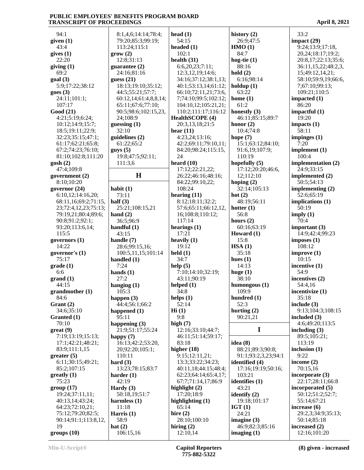| 94:1                 | 8:1,4,6;14:14;78:4;   | head $(1)$           | history $(2)$       | 33:2                |
|----------------------|-----------------------|----------------------|---------------------|---------------------|
| given $(1)$          | 79:20;85:3;99:19;     | 54:15                | 26:9;47:5           | impact $(29)$       |
| 43:4                 | 113:24;115:1          | headed $(1)$         | HMO(1)              | 9:24;13:9;17:18,    |
| gives $(1)$          | grow(2)               | 102:1                | 84:7                | 20,24;18:17;19:2;   |
| 22:20                | 12:8;31:13            | health $(31)$        | hog-tie $(1)$       | 20:8,17;22:13;35:6; |
| giving $(1)$         | guarantee $(2)$       | 6:6,20,23;7:11;      | 88:16               | 36:11,15,22;48:2,3, |
| 69:2                 | 24:16;81:16           | 12:3,12,19;14:6;     | hold(2)             | 15;49:12,14,21;     |
| goal(3)              | guess $(21)$          | 34:16;37:12;38:1,13; | 6:16;98:14          | 58:10;59:9,19;66:6, |
| 5:9;17:22;38:12      | 18:13;19:10;35:12;    | 40:1;53:13,14;61:12; | holdup $(1)$        | 7;67:10;99:13;      |
| goes(3)              | 44:5;55:21;57:7;      | 66:10;72:11,21;73:6, | 63:22               | 109:21;110:5        |
| 24:11;101:1;         | 60:12,14;61:4,8,8,14; | 7;74:10;99:5;102:12; | home $(1)$          | impacted $(1)$      |
| 107:17               | 65:11;67:6;77:10;     | 104:10,12;105:21,21; | 61:2                | 86:20               |
| Good (21)            | 90:5;98:6;102:15,23,  | 110:2;111:17;116:12  | honestly $(3)$      | impactful $(1)$     |
| 4:21;5:19;6:24;      | 24;108:9              | HealthSCOPE (4)      | 46:11;85:15;89:7    | 19:20               |
| 10:12;14:9;15:7;     | guessing $(1)$        | 20:3,13,18;21:5      | honor $(2)$         | impacts (1)         |
| 18:5;19:11;22:9;     | 32:10                 | hear $(11)$          | 10:4;74:8           | 58:11               |
| 32:23;35:15;47:1;    | guidelines (2)        | 4:23,24;13:16;       | hope $(7)$          | impinges $(1)$      |
| 61:17;62:21;65:8;    | 61:22;65:2            | 42:2;69:11;79:10,11; | 15:1;63:12;84:10;   | 7:20                |
| 67:2;74:23;76:10;    | guys(5)               | 84:20;98:24;115:15,  | 91:6,19;107:9;      | implement (1)       |
| 81:10;102:8;111:20   | 19:8;47:5;92:11;      | 24                   | 110:19              | 100:4               |
| gosh(2)              | 111:3,6               | heard $(10)$         | hopefully $(5)$     | implementation (2)  |
| 47:4;109:8           |                       | 17:12;22:21,22;      | 17:12;20:20;46:6,   | 24:9;33:15          |
| government (2)       | $\mathbf H$           | 26:22;46:16;48:16;   | 12;112:10           | implemented (2)     |
| 8:10;10:20           |                       | 84:22;99:10,22;      | hoping $(2)$        | 50:5;54:13          |
| governor $(24)$      | habit $(1)$           | 108:24               | 32:14;105:13        | implementing $(2)$  |
| 6:10,12;14:16,20;    | 73:11                 | hearing $(11)$       | hot $(2)$           | 52:6;65:19          |
| 68:11,16;69:2;71:15, | half $(3)$            | 8:12;18:11;32:2;     | 48:19;56:11         | implications (1)    |
|                      |                       |                      |                     | 50:19               |
| 23;72:4,12,23;75:13; | 25:21;108:15,21       | 57:6;65:11;66:12,12, | hotter $(1)$        |                     |
| 79:19,21;80:4;89:6;  | hand $(2)$            | 16;108:8;110:12;     | 56:8                | imply $(1)$         |
| 90:8;91:2;92:1;      | 36:5;96:9             | 117:14               | hours $(2)$         | 70:4                |
| 93:20;113:6,14;      | handful $(1)$         | hearings $(1)$       | 60:16;63:19         | important (3)       |
| 115:5                | 43:15                 | 17:21                | Howard (1)          | 14:9;42:4;99:23     |
| governors $(1)$      | handle $(7)$          | heavily $(1)$        | 15:8                | imposes(1)          |
| 14:22                | 28:6;99:15,16;        | 19:12                | HSA(1)              | 108:12              |
| governor's (1)       | 100:5,11,15;101:14    | $\text{held}(1)$     | 35:18               | improve(1)          |
| 75:17                | handled (1)           | 34:7                 | hues $(1)$          | 10:15               |
| grade(1)             | 7:24                  | help $(5)$           | 14:13               | incentive (1)       |
| 6:6                  | hands $(1)$           | 7:10;14:10;32:19;    | huge $(1)$          | 54:9                |
| grand(1)             | 27:2                  | 43:11;90:19          | 38:10               | incentives (2)      |
| 44:15                | hanging $(1)$         | helped $(1)$         | humongous $(1)$     | 54:4,16             |
| grandmother (1)      | 105:3                 | 34:8                 | 109:9               | incentivize (1)     |
| 84:6                 | happen $(3)$          | helps $(1)$          | hundred (1)         | 35:18               |
| Grant(2)             | 44:4:56:1:66:2        | 52:14                | 52:3                | include $(3)$       |
| 34:6;35:10           | happened $(1)$        | Hi(1)                | hurting $(2)$       | 9:13;104:3;108:15   |
| Granted (1)          | 95:11                 | 9:8                  | 90:21,21            | included $(3)$      |
| 70:10                | happening $(3)$       | high $(7)$           |                     | 4:6;49:20;113:5     |
| $gr(9)$              | 21:9;51:17;55:24      | 12:16;33:10;44:7;    | I                   | including $(3)$     |
| 7:19;13:19;15:13;    | happy $(7)$           | 46:11;51:14;59:17;   |                     | 89:5;105:21;        |
| 17:1;42:21;48:21;    | 16:13;42:2;53:20,     | 83:18                | idea $(8)$          | 113:19              |
| 83:9;111:1,15        | 20;92:20;105:1;       | higher $(18)$        | 88:21;89:3;90:8;    | inclusion $(1)$     |
| greater (5)          | 110:11                | 9:15;12:11,21;       | 91:1;93:2,3,23;94:1 | 9:22                |
| 6:11;30:15;49:21;    | hard $(3)$            | 13:3;33:22;34:23;    | identified (4)      | income $(2)$        |
| 85:2;107:15          | 13:23;78:15;83:7      | 40:11,18;44:15;48:4; | 17:16;19:19;50:16;  | 70:15,16            |
| $grealty$ (1)        | harder $(1)$          | 62:23;64:14;65:4,17; | 103:21              | incorporate (3)     |
| 75:23                | 42:19                 | 67:7;71:14,17;86:9   | identifies (1)      | 22:17;28:11;66:8    |
| group(17)            | Hardy $(3)$           | highlight $(2)$      | 43:21               | incorporated (5)    |
| 19:24;37:11,11;      | 50:18,19;51:7         | 17:20;18:9           | identify (2)        | 50:12;51:2;52:7;    |
| 40:13,14;43:24;      | harmless $(1)$        | highlighting $(1)$   | 19:18;101:17        | 55:14;67:21         |
| 64:23;72:10,21;      | 11:18                 | 65:14                | IGT(1)              | increase $(6)$      |
| 75:12;79:20;82:5;    | Harris $(1)$          | hire $(2)$           | 24:21               | 29:2,3;34:9;35:13;  |
| 90:14;91:1;113:8,12, | 58:9                  | 28:10;100:10         | imagine $(3)$       | 50:14;85:18         |
| 19                   | hat $(2)$             | hiring $(2)$         | 46:9;82:3;85:16     | increased (2)       |
| groups(10)           | 106:15,16             | 12:10,14             | imaging $(1)$       | 12:16;101:20        |
|                      |                       |                      |                     |                     |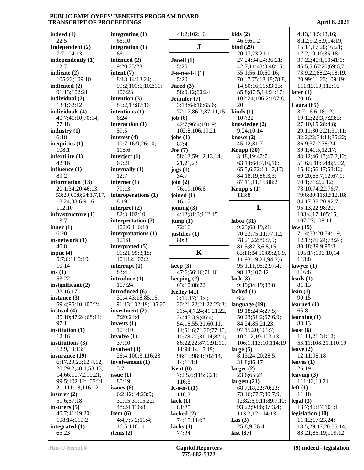| indeed (1)                | integrating $(1)$          | 41:2;102:16                    | kids(2)                                  | 4:13,18;5:13,16;                           |
|---------------------------|----------------------------|--------------------------------|------------------------------------------|--------------------------------------------|
| 22:5                      | 66:10                      |                                | 46:9;61:2                                | 8:12;9:2,5,9;14:19;                        |
| Independent (2)           | integration (1)            | ${\bf J}$                      | $\operatorname{kind}(29)$                | 15:14,17,20;16:21;                         |
| 7:7:104:13                | 66:1                       |                                | 20:17,23;21:1;                           | 17:2,10,10;35:18;                          |
| independently (1)         | intended (2)               | Janell $(1)$                   | 27:24;34:24;36:21;                       | 37:22;40:1,10;41:6;                        |
| 12:7                      | 9:20;23:23                 | 5:20                           | 42:7,11;43:3;48:15;                      | 45:5,5;67:20;69:6,7;                       |
| indicate (2)              | intent $(7)$               | $J-a-n-e-l-1(1)$               | 55:1;56:10;60:16;                        | 73:9,22;88:24;98:19,                       |
| 105:22;109:10             | 8:18;14:13,24;             | 5:20                           | 70:17;75:18,18;78:8,                     | 20;99:11,23;109:19;                        |
| indicated (2)             | 99:2;101:6;102:11;         | Jared $(3)$                    | 14;80:16,19;83:23;                       | 111:13,19;112:16                           |
| 91:13;102:21              | 106:23                     | 58:9,12:60:24                  | 85:8;87:5,14;94:17;                      | later $(1)$                                |
| individual (2)            | intention $(3)$            | Jennifer (7)                   | 102:24;106:2;107:8,                      | 20:16                                      |
| 13:1;62:12                | 85:2,13;87:16              | 3:18;64:16;65:6;               | 20                                       | Laura $(65)$                               |
| individuals (4)           | intentions (1)             | 72:17;86:3;87:11,15            | $\text{kinds}(1)$                        | 3:7;16:6;18:12;                            |
| 40:7;41:10;70:14;         | 6:24                       | job $(6)$                      | 107:22                                   | 19:12;22:3,7;23:5;                         |
| 77:18                     | interaction (1)            | 42:7;96:4;101:9;               | knowledge (2)                            | 27:10,15;28:4,8;                           |
| industry (1)              | 59:5                       | 102:8;106:19,21                | 9:24;10:14                               | 29:11;30:2,21;31:11;                       |
| 6:18                      | interest (4)               | jobs $(1)$                     | knows $(2)$                              | 32:2,22;34:11;35:22;                       |
| inequities (1)            | 10:7;16:9;26:10;           | 87:4                           | 45:12;81:7                               | 36:9;37:2;38:24;                           |
| 108:1                     | 115:6<br>interject $(1)$   | Joe $(7)$                      | Krupp $(20)$<br>3:18,19;47:7;            | 39:1;41:5,12,17;                           |
| infertility (1)<br>42:16  | 69:21                      | 58:13;59:12,13,14,<br>21,21,23 |                                          | 43:12;46:17;47:3,12;                       |
| influence (1)             | internally (1)             |                                | 63:14;64:7,16,16;<br>65:5,6;72:13,17,17; | 51:6,6,10;54:8;55:2,<br>15,16;56:17;58:12; |
| 89:2                      | 12:7                       | jogs(1)<br>34:7                | 84:18,19;86:3,3;                         | 60:20;65:7,12;67:1;                        |
| information (13)          | internet $(1)$             | join $(2)$                     | 87:11,11,15;88:2                         | 70:1:71:2.2.12:                            |
| 20:1;34:20;46:13;         | 79:13                      | 76:19:106:6                    | Krupp's $(1)$                            | 73:10;74:22;76:7;                          |
| 53:20;60:8;64:1,7,17,     | interoperations (1)        | joined $(1)$                   | 113:8                                    | 79:6;80:11;82:12,18;                       |
| 18,24;88:6;91:6;          | 8:19                       | 16:17                          |                                          | 84:17;88:20;92:7;                          |
| 112:10                    | interpret $(2)$            | joining $(3)$                  | L                                        | 95:13,22;98:20;                            |
| infrastructure (1)        | 82:3;102:10                | 4:12;81:3;112:15               |                                          | 103:4,17;105:15;                           |
| 13:7                      | interpretation (2)         | jump(1)                        | labor(31)                                | 107:23;108:11                              |
| inner $(1)$               | 102:6;116:10               | 72:16                          | 9:23;68:19,21;                           | law(15)                                    |
| 6:20                      | interpretations (1)        | justifies (1)                  | 70:23;75:11;77:12;                       | 71:4;73:20;74:1,9,                         |
| in-network (1)            | 101:8                      | 80:3                           | 78:21,22;80:7,9;                         | 12, 13; 76: 24; 78: 24;                    |
| 40:8                      | interpreted (5)            |                                | 81:5;82:3,6,8,15;                        | 80:18;89:9;95:8;                           |
| input $(4)$               | 91:21;99:3,18;             | $\mathbf K$                    | 83:11;84:10;89:2,6,9,                    | 105:17;106:10,14;                          |
| 5:7;6:11;9:19;            | 101:12;102:2               |                                | 11;93:19,21;94:3,6;                      | 113:8                                      |
| 10:14                     | interrupt $(1)$            | keep(3)                        | 95:1,11;96:2;97:4;                       | lawyer $(1)$                               |
| ins $(1)$                 | 83:4                       | 47:6;56:16;71:10               | 98:13;107:12                             | 116:8                                      |
| 53:22                     | introduce (1)              | keeping $(2)$                  | lack $(3)$                               |                                            |
| insignificant (2)         |                            |                                |                                          |                                            |
|                           | 107:24                     |                                |                                          | leads $(1)$<br>81:13                       |
| 38:16,17                  | introduced (6)             | 63:10;88:22                    | 9:19;34:19;88:8                          | lean $(1)$                                 |
| instance (3)              | 30:4;43:18;85:16;          | Kelley $(41)$<br>3:16,17;19:4; | lacked $(1)$<br>6:2                      | 90:15                                      |
| 59:4;95:10;105:24         | 91:13;102:19;105:20        | 20:21,22;21:22;23:3;           | language (19)                            | learned $(1)$                              |
| instead $(4)$             | investment (2)             | 31:4,4,7,24;41:21,22,          | 19:18;24:4;27:5;                         | 65:8                                       |
| 35:10;47:24;68:11;        | 7:20;24:4                  | 24;45:3,9;46:4;                | 50:23;51:2;67:6,9;                       | learning $(1)$                             |
| 97:1                      | invests $(1)$              | 54:18;55:21;60:11,             | 84:24;85:21,23;                          | 83:13                                      |
| institution $(1)$         | 105:19                     | 11;61:6;71:20;77:10,           | 97:15,20;101:7;                          | least $(6)$                                |
| 12:16                     | involve $(1)$              | 10;78:20;81:14;82:1;           | 102:12,19;103:13;                        | 11:11,21;31:12;                            |
| institutions (3)          | 37:10                      | 86:22,22;87:1;91:11,           | 106:1;113:10;114:19                      | 53:11;108:21;110:19                        |
| 12:9,13;13:1              | involved (3)               | 11;94:14,15,19;                | large $(5)$                              | leave $(2)$                                |
| insurance (19)            | 26:4;100:3;116:23          | 96:15;98:4;102:14,             | 8:13;24:20;28:5;                         | 12:11;98:18                                |
| 6:17,20,23;12:4,12,       | involvement (1)            | 14;113:1                       | 31:8;86:17                               | leaves $(1)$                               |
| 20;29:2;40:1;53:13,       | 5:7                        | Kent $(6)$                     | larger $(2)$                             | 26:19                                      |
| 14;66:10;72:10,21;        | issue $(1)$                | 7:2,5,6;115:9,21;              | 23:6;65:24                               | leaving $(3)$                              |
| 99:5;102:12;105:21,       | 80:19                      | 116:3                          | largest $(21)$                           | 111:12,18,21                               |
| 21;111:18;116:12          | issues $(8)$               | $K$ -e-n-t $(1)$               | 68:7,18,22;70:23;                        | $left(1\right)$                            |
| insurer $(2)$             | 6:2;12:14;23:9;            | 116:3                          | 73:16;77:7;80:7,9,                       | 11:18                                      |
| 51:6;57:18                | 30:15;31:15,22;            | kick(1)                        | 12;82:6,9,11;89:7,10;                    | legal(3)                                   |
| insurers $(5)$            | 48:24;116:8                | 81:20                          | 93:22;94:6;97:3,4;                       | 13:7;46:17;105:1                           |
| 40:7;41:19,20;            | Item $(6)$                 | kicked $(2)$                   | 113:3,12;114:13                          | legislation (10)                           |
| 108:14;110:2              | 4:4,7;5:2;11:4;            | 74:15;114:3                    | Las $(3)$                                | 11:12;17:23,24;                            |
| integrated $(1)$<br>65:23 | 16:5;116:11<br>items $(2)$ | kicks $(1)$<br>74:24           | 25:8,9;56:4<br>last $(37)$               | 18:5;29:17,20;55:14;<br>83:21;86:19;109:12 |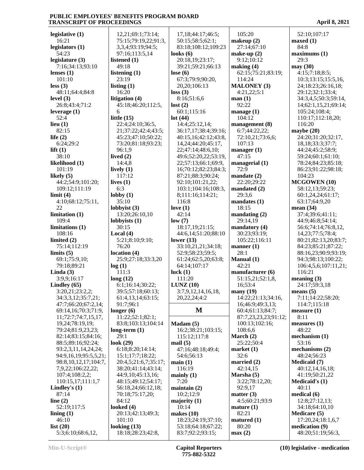**legislative (1)** 16:21 **legislators (1)** 54:23 **legislature (3)** 7:16;34:13;93:10 **lenses (1)** 101:10 **less (3)** 48:11;64:4;84:8 **level (3)** 26:8;43:4;71:2 **leverage (1)** 52:4 **lieu (1)** 82:15 **life (2)** 6:24;29:2 **lift (1)** 38:10 **likelihood (1)** 101:19 **likely (5)** 44:2;54:9;101:20; 109:12;111:19 **limit (4)** 4:10;68:12;75:11,  $22$ **limitation (1)** 109:4 **limitations (1)** 108:16 **limited (2)** 75:14;112:19 **limits (5)** 69:1;75:9,10; 79:18;89:21 **Linda (3)** 3:9,9;16:17 **Lindley (65)** 3:20,21;23:2,2; 34:3,3,12;35:7,21; 47:7;66:20;67:2,14; 69:14,16;70:3;71:9, 11;72:7;74:7,15,17, 19,24;78:19,19; 79:24;81:9,23,23; 82:14;83:15;84:16; 88:5;89:16;92:24; 93:2,3,11,14,24,24; 94:9,16,19;95:5,5,21; 98:8,10,12,17;104:7, 7,9,22;106:22,22; 107:4;108:2,2; 110:15,17;111:1,7 **Lindley's (1)** 87:14 **line (2)** 52:19;117:5 **lining (1)** 46:10 **list (20)** 5:3;6:10;68:6,12,

 12,21;69:1;73:14; 75:15;79:19,22;91:3, 3,3,4;93:19;94:5; 97:16;113:5,14 **listened (1)** 49:18 **listening (1)** 23:19 **listing (1)** 16:20 **litigation (4)** 45:18;46:20;112:5, 6 **little (15)** 22:4;24:10;36:5, 21;37:22;42:4;43:5; 45:23;47:10;50:22; 73:20;81:18;93:23; 96:1,9 **lived (2)** 14:4,8 **lively (1)** 117:12 **lives (1)** 6:3 **lobby (1)** 35:10 **lobbyist (3)** 13:20;26:10,10 **lobbyists (1)** 30:15 **Local (4)** 5:21;8:10;9:10; 76:20 **location (4)** 25:9;27:18;33:3,20 **log (1)** 111:3 **long (12)** 6:1;16:14;30:22; 39:5;57:18;60:13; 61:4,13,14;63:15; 91:7;96:1 **longer (6)** 11:22;52:1;82:1; 83:8;103:13;104:14 **long-term (1)** 29:1 **look (29)** 6:18;8:20;14:14; 15:1;17:7;18:22; 20:4,5;21:6,7;35:17; 38:20;41:14;43:14; 44:9,10;45:13,16; 48:15;49:12;54:17; 56:18,24;66:12,18; 70:18;75:17,20; 84:12 **looked (4)** 20:13;42:13;49:3; 101:10 **looking (13)** 18:18;28:23;42:8,

 17,18;44:17;46:5; 50:15;58:5;62:1; 83:18;108:12;109:23 **looks (6)** 20:18,19;23:17; 39:21;59:21;66:13 **lose (6)** 67:3;79:9;90:20, 20,20;106:13 **loss (3)** 8:16;51:6,6 **lost (2)** 60:1;115:16 **lot (44)** 14:4;25:12,14; 36:17,17;38:4;39:16; 40:15,16;42:12;43:8, 14,24;44:20;45:17, 22;47:14;48:6,10; 49:6;52:20,22;53:19, 22;57:13;66:1;69:9, 16;70:12;82:23;84:3; 87:21;88:3;90:24; 92:10;101:21,22; 103:1;104:16;108:3, 8;111:16;114:21; 116:8 **love (1)** 42:14 **low (7)** 18:17,19;21:15; 44:6,14;51:20;88:10 **lower (13)** 33:10,21,21;34:18; 52:9;58:23;59:5; 61:24;62:5,20;63:8; 64:14;107:17 **luck (1)** 111:20 **LUNZ (10)** 3:7,9,12,14,16,18, 20,22,24;4:2 **Madam (5)** 16:2;38:21;103:15; 115:12;117:8 **mail (5)** 47:16;48:18;49:4; 54:6;56:13 **main (1)** 116:19 **mainly (1)** 7:20 **maintain (2)** 10:2;12:9 **majority (1)** 10:14 **makes (10)** 18:23;24:19;37:10; 53:18;64:18;67:22; 83:7;92:2;93:15; **max (2)**

**M** 60:4;61:13;84:7; 105:20 **makeup (2)** 27:14;67:10 **make-up (2)** 9:12;10:12 **making (4)** 62:15;75:21;83:19; 114:24 **MALONEY (3)** 4:21,22;5:1 **man (1)** 92:22 **manage (1)** 104:12 **management (8)** 6:7;44:22,22; 72:10,21;73:6,6; 107:13 **manager (1)** 47:15 **managerial (1)** 72:9 **mandate (2)** 22:20;29:22 **mandated (2)** 29:3,6 **mandates (1)** 18:15 **mandating (2)** 29:14,19 **mandatory (4)** 30:23;93:19; 105:22;116:11 **manner (1)** 28:1 **Manual (1)** 42:21 **manufacturer (6)** 51:15,21;52:1,8, 16;53:4 **many (19)** 14:22;21:13;34:16, 16;46:9;49:3,13; 87:7,23,23,23;91:12; 100:13;102:16; 108:6,6 **March (2)** 25:22;50:4 **market (1)** 32:6 **married (2)** 42:14,15 **Marsha (5)** 3:22;78:12,20; 92:9,17 **matter (3)** 4:5;60:21;93:9 **mature (1)** 82:21 **matured (1)** 80:20

 52:10;107:17 **maxed (1)** 84:8 **maximums (1)** 29:3 **may (30)** 4:15;7:18;8:5; 10:3;13:15;15:5,16, 24;18:23;26:16,18; 29:12;32:1;33:4; 34:3,4,5;50:3;59:14, 14;62:1,15,21;69:14; 105:24;108:4; 110:17;112:18,20; 116:20 **maybe (20)** 24:20;31:20;32:17, 18,18;33:3;37:7; 44:24;45:2;58:9; 59:24;60:1;61:10; 78:24;84:23;85:18; 86:23;91:22;98:18; 104:23 **MCGOWEN (10)** 58:12,13;59:23; 60:1,24,24;61:17; 63:17;64:9,20 **mean (34)** 37:4;39:6;41:11; 44:9;46:8;54:14; 56:6;74:14;76:8,12, 14,23;77:5;78:4; 80:21;82:13,20;83:7; 84:23;85:21;87:22; 88:16,23;90:9;93:19; 94:3;98:13;100:22; 106:4,5,6;107:11,21; 116:21 **meaning (3)** 24:17;59:3,18 **means (5)** 7:11;14:22;58:20; 114:7;115:18 **measure (1)** 8:11 **measures (1)** 48:22 **mechanism (1)** 53:16 **mechanisms (2)** 48:24;56:23 **Medicaid (7)** 40:12,14,16,18; 41:19;50:21,22 **Medicaid's (1)** 40:11 **medical (6)** 12:8;27:12,13; 34:18;64:10,10 **Medicare (5)** 17:20,24;18:1,6,7 **medication (9)** 48:20;51:19;56:3,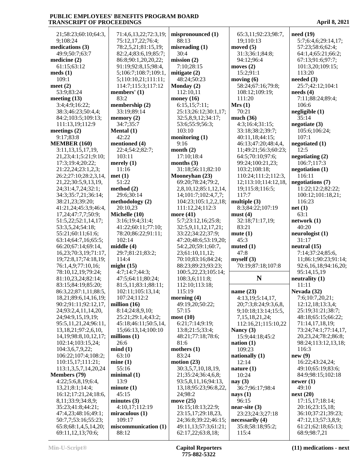21;58:23;60:10;64:3, 9;108:24 **medications (3)** 49:9;50:7;63:7 **medicine (2)** 61:15;63:12 **meds (1)** 109:1 **meet (2)** 53:9;83:24 **meeting (13)** 3:4;4:9;16:22; 38:3;46:23;50:4,4; 84:2;103:5;109:13; 111:13,19;112:9 **meetings (2)** 9:17;83:8 **MEMBER (160)** 3:11,13,15,17,19, 21,23;4:1;5:21;9:10; 17:3;19:4;20:22; 21:22,24;23:1,2,3; 26:2;27:10;28:2,3,14, 21,22;30:5,9,13,19, 24;31:4,7,24;32:1; 34:3;35:7,21;36:14; 38:21,23;39:20; 41:21,24;45:3,9;46:4, 17,24;47:7,7;50:9; 51:5,22;52:1,14,17; 53:3,5,24;54:18; 55:21;60:11;61:6; 63:14;64:7,16;65:5; 66:20;67:14;69:14, 16,23;70:3,19;71:17, 19;72:8,17;74:18,19; 76:1,4,9;77:10,16; 78:10,12,19;79:24; 81:10,23,24;82:14; 83:15;84:19;85:20; 86:3,22;87:1,11;88:5, 18,21;89:6,14,16,19; 90:2;91:11;92:12,17, 24;93:2,4,11,14,20, 24;94:9,15,19,19; 95:5,11,21,24;96:11, 13,18,21;97:2,6,10, 14,19;98:8,10,12,17; 102:14;103:15,24; 104:3,6,7,9,22; 106:22;107:4;108:2; 110:15,17;111:21; 113:1,3,5,7,14,20,24 **Members (79)** 4:22;5:6,8,19;6:4, 13,21;8:1;14:4; 16:12;17:21,24;18:6, 8,11;33:9;34:8,9; 35:23;41:8;44:21; 47:4,23;48:16;49:1; 50:7,7;53:16;55:23; 65:8;68:1,4,5,14,20;

 71:4,6,13,22;72:3,19; 75:12,17,22;76:4; 78:2,5,21;81:15,19; 82:2,4;83:6,19;85:7; 86:8;90:1,20,20,22; 91:19;92:8,15;98:4, 5;106:7;108:7;109:1, 5;110:10,21;111:11; 114:7;115:3;117:12 **members' (1)** 83:2 **membership (2)** 33:19;89:14 **memory (2)** 34:7;35:7 **Mental (1)** 42:22 **mentioned (4)** 22:4;54:2;82:7; 103:11 **merely (1)** 11:16 **met (1)** 51:22 **method (2)** 29:6;30:14 **methodology (2)** 20:10,23 **Michelle (10)** 3:16;19:4;31:4; 41:22;60:11;77:10; 78:20;86:22;91:11; 102:14 **middle (4)** 29:7;81:21;83:2; 114:4 **might (15)** 4:7;14:7;44:3; 47:5;64:11;80:24; 81:5,11;83:1;88:11; 102:11;105:13,14; 107:24;112:2 **million (16)** 8:14;24:8,9,10; 25:21;29:1,4;43:2; 45:18;46:11;50:5,14, 15;66:13,14;100:10 **millions (1)** 26:6 **mind (1)** 63:10 **mine (1)** 55:16 **minimal (1)** 13:9 **minute (1)** 45:15 **minutes (3)** 4:10,17;112:19 **miraculous (1)** 109:17 **miscommunication (1)** 88:12

**mispronounced (1)** 88:13 **misreading (1)** 30:4 **mission (2)** 7:10;28:15 **mitigate (2)** 48:24;50:23 **Monday (2)** 112:10,11 **money (16)** 6:15,15;7:11; 25:13;26:12;30:1,17; 32:5,8,9,12;34:17; 53:6;55:9;56:3; 103:10 **monitoring (1)** 9:16 **month (2)** 17:10;18:4 **months (3)** 31:18;56:11;82:10 **Mooneyhan (23)** 69:20;78:24;79:2, 2,8,10,12;85:1,12,14, 14;101:7;102:4,7,7; 104:23;105:1,2,2,18; 111:12,24;112:3 **more (41)** 5:7;23:12,16;25:8; 32:5,9,11,12,17,21; 33:22;34:22;37:9; 47:20;48:6;53:19,20; 54:2,20;59:1;60:7, 23;61:10,11,12; 70:10;83:16;84:24; 88:23;89:23;93:23; 100:5,22,23;105:14; 108:3,6;111:8; 112:10;113:18; 115:19 **morning (4)** 49:19,20;50:22; 57:15 **most (10)** 6:21;7:14;9:19; 13:8;21:5;33:4; 48:21;77:18;78:6; 81:6 **mothers (1)** 83:24 **motion (23)** 30:3,5,7,10,18,19, 21;35:24;36:4,6,8; 93:5,8,11,16;94:13, 13,18;95:23;96:8,22, 24;98:2 **move (25)** 16:15;18:13;22:9; 23:15,17;29:18,23, 24;36:8;39:22;46:15; 49:11,13;57:3;61:21; 62:17,22;63:8,18;

 65:3,11;92:23;98:7, 19;110:13 **moved (5)** 31:3;36:1;84:8; 94:12;96:4 **moves (2)** 15:2;91:1 **moving (6)** 58:24;67:16;79:8; 108:12;109:19; 111:20 **Mrs (1)** 70:21 **much (36)** 4:3;16:4;31:15; 33:18;38:2;39:7; 40:11,18;44:15; 46:13;47:20;48:4,4, 11;49:21;56:3;60:23; 64:5;70:10;97:6; 99:24;100:21,23; 103:2;108:18; 110:24;111:2;112:3, 12;113:10;114:12,18, 19;115:8;116:5; 117:7 **multiple (3)** 8:3;84:22;107:19 **must (4)** 32:18;71:17,19; 83:21 **mute (1)** 45:3 **muted (1)** 47:8 **myself (3)** 70:19;87:18;107:8 **name (23)** 4:13,19;5:14,17, 20;7:3;8:24;9:3,6,8, 9;10:18;13:14;15:5, 7,15,18,21,24; 112:16,21;115:10,22 **Nancy (3)** 15:9;44:18;45:2 **nation (1)** 109:23 **nationally (1)** 12:14 **nature (1)** 10:24 **nay (3)** 36:7;96:17;98:4 **nays (1)** 96:15 **near-site (3)** 23:23;24:3;27:18 **necessarily (4)** 35:8;58:18;95:2; 115:4

**N neutrality (1) need (19)** 5:7;6:4,6;29:14,17; 57:23;58:6;62:4; 64:1,4;65:21;66:2; 67:13;91:6;97:7; 101:3,20;109:15; 113:20 **needed (3)** 25:7;42:12;104:1 **needs (4)** 7:11;88:24;89:4; 106:6 **negligible (1)** 35:14 **negotiate (3)** 105:6;106:24; 107:1 **negotiated (1)** 12:5 **negotiating (2)** 106:7;117:3 **negotiation (1)** 116:11 **negotiations (7)** 11:22;12:2;82:22; 100:12;101:18,21; 116:23 **net (1)** 63:1 **network (1)** 40:20 **neurologist (1)** 31:17 **neutral (15)** 7:14;37:24;85:6, 11;86:1;90:23;91:14; 92:6,16,18;94:16,20; 95:14,15,19 11:11 **Nevada (32)** 7:6;10:7,20,21; 12:12,18;13:3,4; 25:19;31:21;38:7; 48:18;65:15;66:22; 71:14,17,18,19; 73:24;74:1;77:14,17, 20,23,24;78:2;86:8; 98:24;113:12,13,18; 116:3 **new (9)** 16:22;43:24,24; 49:10;65:19;83:6; 84:9;98:15;102:18 **newer (1)** 49:10 **next (20)** 17:15,17;18:14; 20:16;23:15,18; 36:10;37:21;39:23; 47:12,13;57:3,8,9; 61:21;62:18;65:13; 68:9;98:7,21

69:11,12,13;70:6;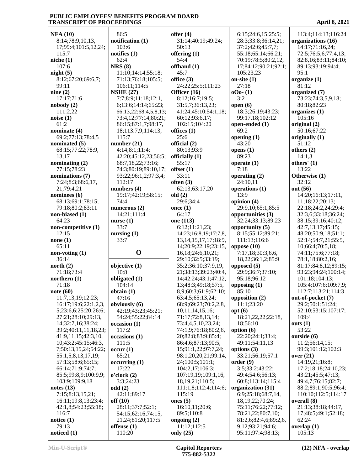| NFA(10)                | 86:5                    | offer $(4)$                | 6:15;24:6,15;25:5;                    | 113:4;114:13;116:24     |
|------------------------|-------------------------|----------------------------|---------------------------------------|-------------------------|
| 8:14;78:9,10,13,       | notification (1)        | 31:14;40:19;49:24;         | 28:3;33:8;36:14,21;                   | organizations (16)      |
| 17;99:4;101:5,12,24;   | 103:6                   | 50:13                      | 37:2;42:6;45:7,7;                     | 14:17;71:16,24;         |
| 115:7                  | notifies $(1)$          | offering $(1)$             | 55:18;65:14;66:21;                    | 72:5;76:5,6;77:4,13;    |
| niche(1)               | 62:4                    | 54:4                       | 70:19;78:5;80:2,12,                   | 82:8,16;83:11;84:10;    |
| 107:6                  | NRS(8)                  | offhand (1)                | 17;84:12;90:21;92:1;                  | 89:13;93:19;94:4;       |
| night(5)               | 11:10;14:14;55:18;      | 45:7                       | 105:23,23                             | 95:1                    |
| 8:12;67:20;69:6,7;     | 71:13;76:18;105:5;      | office $(3)$               | on-site $(1)$                         | organize (1)            |
| 99:11                  | 106:11;114:5            | 24:22;25:5;111:23          | 27:18                                 | 81:12                   |
| nine(2)                | <b>NSHE (27)</b>        | Officer (16)               | $000 - (1)$                           | organized (7)           |
| 17:17;71:6             | 7:7;8:9;11:18;12:1,     | 8:12;16:7;19:5;            | 3:2                                   | 73:23;74:3,5,9,18;      |
| nobody(2)              | 6;13:6;14:14;65:23;     | 31:5,7;36:13,23;           | open $(6)$                            | 80:18;82:23             |
| 111:2,22               | 66:13,22;68:4,5,8,13;   | 41:24;45:10;54:1,18;       | 18:3;26:19;43:23;                     | organizes $(1)$         |
|                        |                         |                            |                                       | 105:16                  |
| noise(1)<br>61:2       | 73:4,12;77:14;80:21;    | 60:12;93:6,17;             | 99:17,18;102:12                       | original (2)            |
|                        | 86:15;87:1,7;98:17,     | 102:15;104:20              | open-ended (1)                        |                         |
| nominate (4)           | 18;113:7,9;114:13;      | offices $(1)$              | 69:2                                  | 50:16;67:22             |
| 69:2;77:13;78:4,5      | 115:7                   | 25:6                       | opening $(1)$                         | originally (1)          |
| nominated (5)          | number $(21)$           | official (2)               | 43:20                                 | 51:12                   |
| 68:15;77:22;78:9,      | 4:14;8:1;11:4;          | 80:13;93:9                 | opens $(1)$                           | others $(2)$            |
| 13,17                  | 42:20;45:12,23;56:5;    | officially (1)             | 89:23                                 | 14:1,3                  |
| nominating $(2)$       | 68:7,18,22;73:16;       | 55:17                      | operate $(1)$                         | others' (1)             |
| 77:15:78:23            | 74:3;80:19;89:10,17;    | offset $(1)$               | 7:18                                  | 13:22                   |
| nominations (7)        | 93:22;96:1,2;97:3,4;    | 33:11                      | operating $(2)$                       | Otherwise (1)           |
| 7:24;8:3;68:6,17,      | 112:17                  | often $(3)$                | 24:10,11                              | 32:12                   |
| 21;79:4,21             | numbers (4)             | 62:13;63:17,20             | operations (1)                        | out (56)                |
| nominees (6)           | 19:17;42:19;58:15;      | old(2)                     | 13:9                                  | 14:20;16:13;17:11,      |
| 68:13;69:1;78:15;      | 74:4                    | 29:6;34:4                  | opinion $(4)$                         | 11;18:22;20:13;         |
| 79:18;80:2;83:11       | numerous $(2)$          | once $(1)$                 | 29:9,10;65:1;85:5                     | 22:18;24:2,24;29:4;     |
| non-biased (1)         | 14:21;111:4             | 64:17                      | opportunities (3)                     | 32:3,6;33:18;36:24;     |
| 64:23                  | nurse $(1)$             | one (113)                  | 32:24;33:13;89:23                     | 38:15;39:16;40:12;      |
| non-competitive (1)    | 33:7                    | 6:12;11:21,23;             | opportunity (5)                       | 42:7,13,17;45:15;       |
| 12:15                  | nursing $(1)$           | 14:23;16:8,19;17:7,8,      | 8:15;55:12;89:21;                     | 48:20;50:9,18;51:1;     |
|                        |                         |                            |                                       |                         |
|                        |                         |                            |                                       |                         |
| none $(1)$             | 33:7                    | 13, 14, 15, 17, 17; 18: 9, | 111:13;116:6                          | 52:14;54:7,21;55:5,     |
| 65:11                  |                         | 14;20:9;22:19;23:15,       | oppose $(10)$                         | 10;66:4;70:5,18;        |
| non-voting $(1)$       | $\mathbf 0$             | 16,18;24:6,10,21;          | 7:17,18;30:3,6,6,                     | 74:11;75:6;77:18;       |
| 36:14                  |                         | 29:10;32:5;33:19;          | 18,22;36:1,2;85:9                     | 78:1,18;80:2,16;        |
| north $(2)$            | objective (1)           | 35:2;36:10;37:9,19,        | opposed (5)                           | 81:17;84:8,12;89:15;    |
| 71:18;73:4             | 10:8                    | 21;38:13;39:23;40:4,       | 29:9;36:7;37:10;                      | 93:23;94:24;100:14;     |
| northern $(1)$         | obligated (1)           | 14;42:24;43:1;47:12,       | 95:18;96:12                           | 101:18;104:13;          |
| 71:18                  | 104:14                  | 13;48:3;49:18;57:5,        | opposing (1)                          | 105:4;107:6;109:7,9;    |
| note $(60)$            | obtain $(1)$            | 8,9;60:3;61:9;62:10;       | 85:10                                 | 112:7:113:21:114:3      |
| 11:7,13,19;12:23;      | 47:16                   | 63:4,5;65:13,24;           | opposition (2)                        | out-of-pocket (7)       |
| 16:17;19:6;22:1,2,3,   | obviously (6)           | 68:9;69:23;70:2,2,8,       | 11:1;23:20                            | 29:2;50:1;51:24;        |
| 5;23:6,6;25:20;26:6;   | 42:19;43:23;45:21;      | 10,11,14,15,16;            | opt(6)                                | 52:10;53:15;107:17;     |
| 27:21;28:10;29:13,     | 54:24;55:22;84:14       | 71:17;72:8,13,14;          | 18:21,22,22;22:18,                    | 109:4                   |
| 14;32:7,16;38:24;      | occasion(1)             | 73:4,4,5,10,23,24;         | 18;56:10                              | outs $(1)$              |
| 39:2;40:11,11,18,23;   | 117:2                   | 74:1,9;76:18;80:2,6,       | option $(6)$                          | 53:22                   |
| 41:9,11,15;42:3,10,    | occasions (1)           | 20;82:8;83:9;85:4;         | 22:20;24:1;33:4;                      | outside (6)             |
| 10;43:2;45:15;46:3,    | 111:5                   | 86:4,6;87:13;90:5,         | 49:11;54:11,13                        | 11:2;56:14,15;          |
| 7;50:13,15,24;54:22;   | occur(1)                | 15;91:1,22;97:7,24;        | options (3)                           | 99:3;101:12;102:3       |
| 55:1,5,8,13,17,19;     | 65:21                   | 98:1,20,20,21;99:14,       | 33:21;56:19;57:1                      | over $(21)$             |
| 57:13;58:6;65:15;      | occurring(1)            | 24;100:5;101:1;            | order(9)                              | 14:19,21;16:8;          |
| 66:14;71:9;74:7;       | 17:22                   | 104:2,17;106:3;            | 3:5;33:2;43:22;                       | 17:2;18:18;24:10,23;    |
| 85:5;99:8,9;100:9,9;   | o'clock(2)              | 107:19,19;109:1,16,        | 49:4;54:6;56:13;                      | 43:21;45:5;47:13;       |
| 103:9;109:9,18         | 3:3;24:23               | 18, 19, 21; 110: 5;        | 60:8;113:14;115:4                     | 49:4,7;76:15;82:7;      |
| notes $(13)$           | odd(2)                  | 111:1,8;112:4;114:6;       | organization (31)                     | 88:2;89:1;90:5;96:4;    |
| 7:15;8:13,15,21;       | 42:11;89:17             | 115:19                     | 6:9;25:18;68:7,14,                    | 110:10;112:5;114:17     |
| 16:11;19:8,13;23:4;    | off(10)                 | ones $(5)$                 | 18,19,22;70:24;                       | overall (8)             |
| 42:1,8;54:23;55:18;    |                         | 16:10,11;20:6;             | 75:11;76:22;77:12;                    | 21:13;38:18;44:17,      |
| 116:7                  | 28:11;37:7;52:1;        |                            |                                       |                         |
|                        | 54:15;62:16;74:15,      | 89:5;110:8                 | 78:21,22;80:7,10;                     | 17;48:5;49:1;52:18;     |
| notice $(1)$           | 21,24;81:20;117:5       | ongoing $(2)$              | 81:2,6;82:4,6;89:2,6,                 | 62:24                   |
| 79:13<br>noticed $(1)$ | offense $(1)$<br>110:20 | 11:12;112:5<br>only (25)   | 9,12;93:21;94:6;<br>95:11;97:4;98:13; | overlap $(1)$<br>105:13 |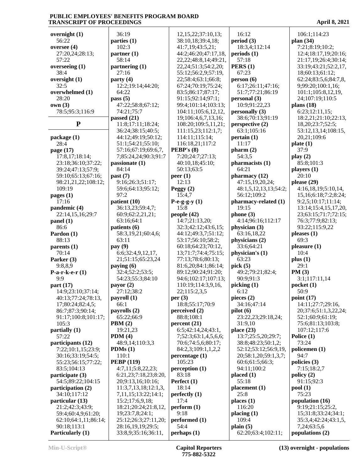| overnight $(1)$          | 36:19                 | 12, 15, 22; 37: 10, 13;    | 16:12                    | 10         |
|--------------------------|-----------------------|----------------------------|--------------------------|------------|
| 56:22                    | parties (1)           | 38:10,18;39:4,18;          | period(3)                | plan       |
| oversee (4)              | 102:3                 | 41:7,19;43:5,21;           | 18:3,4;112:14            | 7:         |
| 27:20,24;28:13;          | partner(1)            | 44:2;46:20;47:17,18,       | periods(1)               | 12         |
| 57:22                    | 58:14                 | 22, 22; 48: 8, 14; 49: 21, | 57:18                    | 21         |
| overseeing $(1)$         | partnering (1)        | 22, 24; 51: 3; 54: 2, 20;  | PERS(1)                  | 33         |
| 38:4                     | 27:16                 | 55:12;56:2,9;57:19,        | 67:23                    | 18         |
| oversight (1)            | party $(4)$           | 22;58:4;63:1;66:8;         | person(6)                | 62         |
| 32:5                     | 12:2;19:14;44:20;     | 67:24;70:19;75:24;         | 6:17;26:11;47:16;        | 9;         |
| overwhelmed (1)          | 64:22                 | 83:5;86:17;87:17;          | 51:7;77:21;86:19         | 10         |
| 28:20                    | pass $(5)$            | 91:15;92:14;97:1;          | personal (3)             | 24         |
| own(3)                   | 47:22;58:8;67:12;     | 99:4;101:14;103:13;        | 10:9;91:22,23            | plan       |
| 78:5;95:3;116:9          | 74:21;75:7            | 104:11;105:6,12,12,        | personally (3)           | 6:         |
|                          | passed $(21)$         | 19;106:4,6,7,13,16;        | 38:6;70:13;91:19         | 18         |
| ${\bf P}$                | 11:8;17:11;18:24;     | 108:20;109:5,11,21;        | perspective (2)          | 18         |
|                          | 36:24;38:15;40:5;     | 111:15,23;112:1,7;         | 63:1;105:16              | 53         |
| package (1)              | 44:12;49:19;50:12;    | 114:11;115:14;             | pertain $(1)$            | 20         |
| 28:4                     | 51:1;54:21;55:10;     | 116:18,21;117:2            | 11:17                    | plate      |
| page (17)                | 57:16;67:19;69:6,7,   | PEBP's (8)                 | phantom(2)               | 37         |
| 17:8,17;18:14;           | 7;85:24,24;90:3;91:7  | 7:20;24:7;27:13;           | 54:3,5                   | play       |
| 23:18;36:10;37:22;       | passionate (1)        | 40:10,18;45:10;            | pharmacists (1)          | 85         |
| 39:24;47:13;57:9;        | 84:14                 | 50:13;63:5                 | 64:21                    | play       |
| 59:10;65:13;67:16;       | past (7)              | peer $(1)$                 | pharmacy (12)            | 20         |
| 98:21,21,22;108:12;      | 9:16;26:3;51:17;      | 12:13                      | 47:15,19,20,24;          | plea       |
| 109:19                   | 59:6;64:13;95:12;     | Peggy $(2)$                | 48:1,5,12,13,13;54:2;    | 4:         |
| pages $(1)$              | 97:2                  | 15:4,7                     | 56:12;109:2              | 15         |
| 17:16                    | patient (10)          | $P-e-g-g-y(1)$             | pharmacy-related (1)     | 9:         |
| pandemic (4)             | 36:13,23;59:4,7;      | 15:8                       | 19:15                    | 13         |
| 22:14,15,16;29:7         | 60:9;62:2,21,21;      | people (42)                | phone(3)                 | 23         |
| panel (1)                | 63:16:64:1            | 14:7;21:13,20;             | 4:14;96:16;112:17        | 76         |
| 86:6                     | patients (6)          | 32:3;42:12;43:6,15;        | physician (3)            | 93         |
| Pardon (1)               | 58:3,19,21;60:4,6;    | 44:12;49:3,7;51:12;        | 63:16,18,22              | plea:      |
| 88:13                    | 63:11                 | 53:17;56:10;58:2;          | physicians (2)           | 69         |
| parents $(1)$            | pay(9)                | 60:18;64:23;70:12,         | 33:6;64:21               | plea:      |
| 70:14                    | 6:6;32:4,9,12,17,     | 13;71:7;74:4;75:15;        | physician's (1)          | 10         |
| Parker (3)               | 21;51:15;65:23,24     | 77:13;78:6;80:13;          | 63:23                    | plus       |
| 9:8,8,9                  | paying (6)            | 81:6,20;84:1;86:14;        | pick $(5)$               | 29         |
| <b>P-a-r-k-e-r</b> $(1)$ | 32:4;52:2;53:5;       | 89:12;90:24;91:20;         | 49:2;79:21;82:4;         | PM         |
| 9:9                      | 54:23;55:3;84:10      | 94:6;102:17;107:13;        | 90:9;91:3                | 3:         |
| part $(17)$              | payor $(2)$           | 110:19;114:3,9,16,         | picking (1)              | pock       |
| 14:9;23:10;37:14;        | 27:12;38:2            | 22;115:2,3,5               | 6:12                     | 50         |
| 40:13;77:24;78:13,       | payroll (1)           | per(3)                     | pieces $(2)$             | poin       |
| 17;80:24;82:4,5;         | 66:1                  | 18:8;55:17;70:9            | 34:16;47:14              | 14         |
| 86:7;87:3;90:14;         | payrolls (2)          | perceived $(2)$            | pilot(6)                 | 20         |
| 91:17;100:8;101:17;      | 65:22;66:9            | 88:8;108:1                 | 23:22,23;29:18,24;       | 52         |
| 105:3                    | PBM(2)                | percent(21)                | 31:9,10                  | 75         |
| partially $(1)$          | 19:21,23              | 6:5;42:14,24;43:1,         | place $(23)$             | 10         |
| 57:22                    | PDM(4)                | 7;52:3;63:1,4,5,6,6;       | 13:7;25:5,20;29:7;       | Polic      |
| participants (12)        | 48:9,14;110:3,3       | 70:6;74:5,6;80:17;         | 38:8;48:23;50:1,2;       | 73         |
| 7:22;10:1,15;23:9;       | PDMs(1)               | 84:2,3;109:1,1,2,2         | 52:12;53:12;56:9,19,     | polic      |
| 30:16;33:19;54:5;        | 110:1                 | percentage (1)             | 20;58:1,20;59:1,3,7;     | 94         |
| 55:23;56:15;77:22;       | <b>PEBP</b> (119)     | 105:23                     | 60:6;61:5;66:3;          | polic      |
| 83:5;104:13              | 4:7,11;5:8,22,23;     | perception (1)             | 94:11;100:2              | 7:         |
| participate (3)          | 6:21,23;7:18,23;8:20, | 83:18                      | placed (1)               | polic      |
| 54:5;89:22;104:15        | 20;9:13,16;10:16;     | Perfect (1)                | 55:18                    | 91         |
| participation (2)        | 11:3,7,13,18;12:1,3,  | 18:14                      | placement <sub>(1)</sub> |            |
| 34:10;117:12             | 7,11,15;13:22;14:1;   | perfectly(1)               | 25:8                     | pool<br>75 |
| particular (13)          | 15:2;17:6,9,18;       | 17:4                       | places(1)                |            |
|                          |                       |                            | 116:20                   | popt       |
| 21:2;42:3;43:9;          | 18:21;20:24;21:8,12,  | perform (1)                |                          | 9:         |
| 59:4;60:4,9;61:20;       | 19;23:7,8;24:1;       | 9:18                       | placing $(1)$            | 15         |
| 62:10;64:1,11;86:14;     | 25:12;26:3;27:11,20;  | performed (1)              | 109:4                    | 35         |
| 90:18;113:1              | 28:16,19,19;29:5;     | 54:4                       | plain $(5)$              | 7,         |
| Particularly (1)         | 33:8,9;35:16;36:11,   | perhaps(1)                 | 62:20;63:4;102:11;       | popt       |

 106:1;114:23 **plan (34)** 7:21;8:19;10:2; 12:4;18:17,19;20:16; 21:17,19;26:4;30:14; 33:19;43:21;52:2,17, 18;60:13;61:12; 62:24;83:5,6;84:7,8, 9;99:20;100:1,16; 101:1;105:8,12,19, 24;107:19;110:5 **plans (18)** 6:23;12:11,15; 18:2,21;21:10;22:13, 18,20;23:7;52:5; 53:12,13,14;108:15, 20,21;109:6 **plate (1)** 37:9 **play (2)** 85:8;101:3 **players (1)** 20:10 **please (29)** 4:16,18,19;5:10,14, 15,16;6:18;7:2;8:24; 9:2,5;10:17;11:14; 13:14;15:4,15,17,20, 23;63:15;71:7;72:15; 76:3;77:9;82:13; 93:22;115:9,22 **pleases (1)** 69:3 **pleasure (1)** 10:4 **plus (1)** 29:1 **PM (3)** 3:1;117:11,14 **pocket (1)** 50:9 **point (17)** 14:11;27:7;29:16, 20;37:6;51:1,3,22,24; 52:1;60:9;61:19; 75:6;81:13;103:8; 107:12;117:6 **Police (1)** 73:24 **policemen (1)** 94:7 **policies (3)** 7:15;18:2,7 **policy (2)** 91:15;92:3 **pool (1)** 75:23 **population (16)** 9:19;21:15;25:2, 15;31:8;33:24;34:1; 35:3,4;42:24;43:1,5, 7,24;63:5,6 **populations (2)**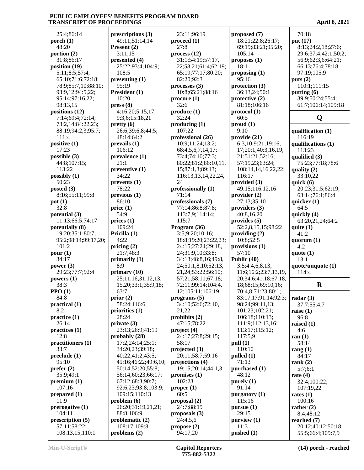25:4;86:14 **porch (1)** 48:20 **portion (2)** 31:8;86:17 **position (19)** 5:11;8:5;57:4; 65:10;71:6;72:18; 78:9;85:7,10;88:10; 93:9,12;94:5,22; 95:14;97:16,22; 98:13,15 **positions (12)** 7:14;69:4;72:14; 73:2,14;84:22,23; 88:19;94:2,3;95:7; 111:4 **positive (1)** 17:23 **possible (3)** 44:8;107:15; 113:22 **possibly (1)** 50:23 **posted (3)** 8:16;55:11;99:8 **pot (1)**  $32.8$ **potential (3)** 11:13;66:5;74:17 **potentially (8)** 19:20;35:1;80:7; 95:2;98:14;99:17,20; 101:2 **pour (1)** 34:17 **power (3)** 29:23;77:7;92:4 **powers (1)** 38:3 **PPO (1)** 84:8 **practical (1)** 8:2 **practice (1)** 26:14 **practices (1)** 12:8 **practitioners (1)** 33:7 **preclude (1)** 95:10 **prefer (2)** 35:9;49:1 **premium (1)** 107:16 **prepared (1)** 11:9 **prerogative (1)** 104:11 **prescription (5)** 57:11;58:22; 108:13,15;110:1

**prescriptions (3)** 49:11;51:14,14 **Present (2)** 3:11,15 **presented (4)** 25:22;93:4;104:9; 108:5 **presenting (1)** 95:19 **President (1)** 10:20 **press (8)** 4:16,20;5:15,17; 9:3,6;15:18,21 **pretty (6)** 26:6;39:6,8;44:5; 48:14;64:2 **prevails (1)** 106:12 **prevalence (1)** 21:1 **preventive (1)** 34:22 **prevents (1)** 78:22 **previous (1)** 86:10 **price (1)** 54:9 **prices (1)** 109:24 **Pricilla (1)** 4:22 **pricing (2)** 21:7;48:3 **primarily (1)** 8:9 **primary (10)** 25:11,16;31:12,13, 15,20;33:1;35:9,18; 63:7 **prior (2)** 58:24;116:6 **priorities (1)** 28:24 **private (3)** 23:13;26:9;41:19 **probably (28)** 17:2;24:14;25:1; 34:20,23;39:18; 40:22;41:2;43:5; 45:16;46:22;49:6,10; 50:14;52:20;55:8; 56:14;60:23;66:17; 67:12;68:3;90:7; 92:6,23;93:8;103:9; 109:15;110:13 **problem (6)** 26:20;31:19,21,21; 88:8;106:9 **problematic (2)** 108:17;109:8 **problems (2)**

 23:11;96:19 **proceed (1)** 27:8 **process (12)** 31:1;54:19;57:17, 22;58:21;61:4;62:19; 65:19;77:17;80:20; 82:20;92:3 **processes (3)** 10:8;65:21;88:16 **procure (1)** 32:6 **produce (1)** 32:24 **producing (1)** 107:22 **professional (26)** 10:9;11:24;13:2; 68:4,5,6,7,14,17; 73:4;74:10;77:3; 80:22;81:2;86:10,11, 15;87:1,3;89:13; 116:13,13,14,22,24,  $24$ **professionally (1)** 71:14 **professionals (7)** 77:14;86:8;87:8; 113:7,9;114:14; 115:7 **Program (36)** 3:5;9:20;10:16; 18:8;19:20;23:22,23; 24:15;27:24;29:18, 24;31:9,10;33:8; 34:13;48:8,16;49:8, 24;50:1,8,10;52:13, 21,24;53:22;56:10; 57:21;58:11;67:18; 72:11;99:14;104:4, 12;105:11;106:19 **programs (5)** 34:10;52:6;72:10, 21,22 **prohibits (2)** 47:15;78:22 **project (4)** 24:17;27:8;29:15; 58:17 **projected (3)** 20:11;58:7;59:16 **projections (4)** 19:15;20:14;44:1,3 **promises (1)** 102:23 **proper (1)** 60:5 **proposal (2)** 24:7;88:19 **proposals (3)** 24:4,5,6 **propose (2)** 94:17,20

**proposed (7)** 18:21;22:8;26:17; 69:19;83:21;95:20; 105:14 **proposes (1)** 18:1 **proposing (1)** 95:16 **protection (3)** 36:13,24;50:1 **protective (2)** 81:18;106:16 **protocol (1)**  $60.5$ **proud (1)** 9:10 **provide (21)** 6:3,10;9:21;19:16, 17;20:1;40:3,16,19, 21;51:21;52:16; 57:19,23;63:24; 108:14,14,16,22,22; 116:17 **provided (3)** 49:15;116:12,16 **provider (2)** 27:13;35:10 **providers (3)** 40:8,16,20 **provides (5)** 52:2,8,15,15;98:22 **providing (2)** 10:8;52:5 **provisions (1)** 57:10 **Public (40)** 3:5;4:4,6,8,13; 11:6;16:2;23:7,13,19, 20;34:6;41:18;67:18, 18;68:15;69:10,16; 70:4,8;71:23;80:1; 83:17,17;91:14;92:3; 98:24;99:11,13; 101:23;102:21; 106:18;110:13; 111:9;112:13,16; 113:17;115:12; 117:5,9 **pull (1)** 110:10 **pulled (1)** 71:13 **purchased (1)** 48:12 **purely (1)** 91:14 **purgatory (1)** 115:16 **pursue (1)** 29:15 **purview (1)** 11:3 **pushed (1)**

 70:18 **put (17)** 8:13;24:2,18;27:6; 29:6;37:4;42:1;50:2; 56:9;62:3,6;64:21; 66:13;76:4;78:18; 97:19;105:9 **puts (2)** 110:1;111:15 **putting (6)** 39:9;50:24;55:4; 61:7;106:14;109:18

## **Q**

**qualification (1)** 116:19 **qualifications (1)** 113:23 **qualified (3)** 75:23;77:18;78:6 **quality (2)** 33:10,22 **quick (6)** 20:23;31:5;62:19; 63:14;76:1;86:4 **quicker (1)** 64:5 **quickly (4)** 63:20,21,24;64:2 **quite (1)** 41:2 **quorum (1)**  $4.2$ **quote (1)** 13:1 **quote/unquote (1)** 114:4

# **R**

**radar (3)** 37:7;55:4,7 **raise (1)** 96:8 **raised (1)** 4:6 **ran (1)** 58:14 **rang (1)** 84:17 **rank (2)** 5:7;6:1 **rate (4)** 32:4;100:22; 107:19,22 **rates (1)** 100:16 **rather (2)** 8:4;48:12 **reached (7)** 20:12;40:12;50:18; 55:5;66:4;109:7,9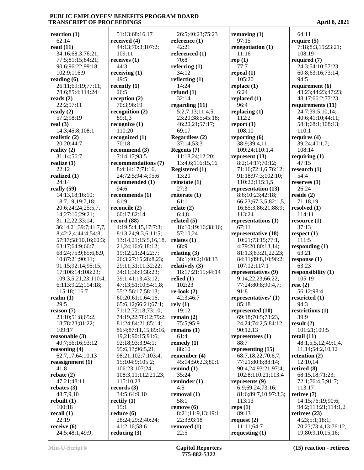**reaction (1)** 62:14 **read (11)** 34:16;68:3;76:21; 77:5;81:15;84:21; 90:6;96:22;99:18; 102:9;116:9 **reading (6)** 26:11;69:19;77:11; 78:6;85:4;114:24 **reads (2)** 22:2;97:11 **ready (2)** 57:2;98:19 **real (3)** 14:3;45:8;108:1 **realistic (2)** 20:20;44:7 **reality (2)** 31:14;56:7 **realize (1)** 22:12 **realized (1)** 24:14 **really (59)** 14:13,18;16:10; 18:7,19;19:7,18; 20:6;24:24;25:5,7, 14;27:16;29:21; 31:12,22;33:14; 36:14,21;39:7;41:7,7, 8;42:2,4;44:4;54:8; 57:17;58:10,16;60:3; 63:17;64:9;66:7; 68:24;75:9;85:6,8,9, 10;87:21;90:11; 91:15;92:14;95:15, 17;106:14;108:23; 109:3,5,21,23;110:4, 6;113:9,22;114:18; 115:18;116:7 **realm (1)** 29:5 **reason (7)** 23:10;51:8;65:2, 18;78:23;81:22; 109:17 **reasonable (3)** 40:7;56:16;93:12 **reasoning (4)** 62:7,17;64:10,13 **reassignment (1)** 41:8 **rebate (2)** 47:21;48:11 **rebates (3)** 48:7,9,10 **rebuilt (1)** 100:18 **recall (1)** 22:19 **receive (6)** 24:5;48:1;49:9;

 51:13;68:16,17 **received (4)** 44:13;70:3;107:2; 109:11 **receives (1)** 44:3 **receiving (1)** 49:5 **recently (1)** 26:5 **reception (2)** 70:3;96:19 **recognition (2)** 89:1,3 **recognize (1)** 110:20 **recognized (1)** 70:18 **recommend (3)** 7:14,17;93:5 **recommendations (7)** 8:4;14:17;71:16, 24;72:5;94:4;95:6 **recommended (1)** 94:6 **recommends (1)** 61:9 **reconcile (2)** 60:17;82:14 **record (88)** 4:19;5:4,15,17;7:3; 8:13,24;9:3,6;11:5; 13:14,21;15:5,16,18, 21,24;16:6;18:12; 19:12;21:24;22:7; 26:3;27:15;28:8,23; 29:11;31:11;32:22; 34:11;36:9;38:23; 39:1;41:13;43:12; 47:13;51:10;54:1,8; 55:2;56:17;58:13; 60:20;61:1;64:16; 65:6,12;66:21;67:1; 71:12;72:18;73:10; 74:19,22;78:12;79:2; 81:24;84:21;85:14; 86:4;87:11,15;89:16, 19,21;90:15;91:6; 92:18;93:3;94:1; 95:6,13;96:5,21; 98:21;102:7;103:4, 15;104:9;105:2; 106:23;107:24; 108:3,11;112:21,23; 115:10,23 **records (3)** 34:5;64:9,10 **rectify (1)** 15:1 **reduce (6)** 28:24;29:2;40:24; 41:2,16;58:6 **reducing (3)**

 26:5;40:23;75:23 **reference (1)** 42:21 **referenced (1)** 70:8 **referring (1)** 34:12 **reflecting (1)** 14:24 **refund (1)** 32:14 **regarding (11)** 5:2;7:13;11:4,5; 23:20;38:5;45:18; 46:20,21;57:17; 69:17 **Regardless (2)** 37:14;53:3 **Regents (7)** 11:18,24;12:20; 13:4,6;116:15,16 **Registered (1)** 13:20 **reinstate (1)** 27:3 **reiterate (1)** 61:1 **relate (2)** 6:4,8 **related (5)** 18:10;19:16;38:16; 57:10,24 **relates (1)** 68:9 **relating (3)** 38:1;40:2;108:13 **relatively (3)** 18:17;21:15;44:14 **relied (1)** 102:23 **re-look (2)** 42:3;46:7 **rely (1)** 19:12 **remain (2)** 75:5;95:9 **remains (1)** 61:4 **remedy (1)** 88:10 **remember (4)** 45:14;50:2,3;80:1 **remind (1)** 35:24 **reminder (1)** 4:5 **removal (1)** 58:1 **remove (6)** 8:21;11:9,13;19:1; 22:3;93:18 **removed (1)** 22:5

**removing (1)** 97:15 **renegotiation (1)** 11:16 **rep (1)** 77:7 **repeal (1)** 105:20 **replace (1)** 6:24 **replaced (1)** 96:4 **replacing (1)** 112:2 **report (1)** 108:10 **reporting (6)** 38:9;39:4,11; 109:24;110:1,4 **represent (13)** 8:2;14:17;70:12; 71:16;72:1,6;76:12; 91:18;97:3;102:10; 110:22;115:1,5 **representation (13)** 8:6;10:23;42:18; 66:23;67:3,5;82:1,5, 16;85:3;86:21;88:9; 113:24 **representations (1)** 67:11 **representative (18)** 10:21;73:15;77:1, 4;79:20;80:13,14; 81:1,3;83:21,22,23; 84:11;89:8,10;96:2; 107:12;117:1 **representatives (9)** 9:14,22,23;66:22; 77:24;80:8;90:4,7; 91:8 **representatives' (1)** 85:18 **represented (10)** 69:18;70:5;73:23, 24,24;74:2,5;84:12; 90:12,13 **representees (1)** 88:7 **representing (15)** 68:7,18,22;70:6,7; 77:21;80:8;88:14; 90:4,24;93:21;97:4; 102:8;110:21;113:4 **represents (9)** 6:9;69:24;73:16; 81:6;89:7,10;97:3,3; 113:13 **reps (1)** 89:13 **request (2)** 11:11;64:7 **requesting (1)**

 64:11 **require (5)** 7:18;8:3,19;23:21; 108:19 **required (7)** 24:3;54:10;57:23; 60:8;63:16;73:14; 94:5 **requirement (6)** 43:23;44:23;47:23; 48:17;66:2;77:23 **requirements (11)** 24:7;39:5,10,14; 40:6;41:10;44:11; 58:1;68:1;108:13; 110:1 **requires (4)** 39:24;40:1,7; 108:14 **requiring (1)** 47:15 **research (1)** 54:4 **reserves (1)** 26:24 **reside (2)** 71:18,19 **resolved (1)** 114:11 **resource (1)** 37:13 **respect (1)** 111:5 **responding (1)** 63:21 **response (1)** 63:23 **responsibility (1)** 105:19 **rest (2)** 56:12;98:4 **restricted (1)** 94:3 **restrictions (1)** 39:9 **result (2)** 101:21;109:5 **retail (11)** 48:1,5,5,12;49:1,4, 11,14;54:2,10,12 **retention (2)** 12:10,14 **retired (8)** 68:15,18;71:23; 72:1;76:4,5;91:7; 113:17 **retiree (7)** 14:15;76:19;90:6; 94:2;113:21;114:1,2 **retirees (23)** 4:23;5:1;18:1; 70:23;73:4,13;76:12, 19;80:9,10,15,16;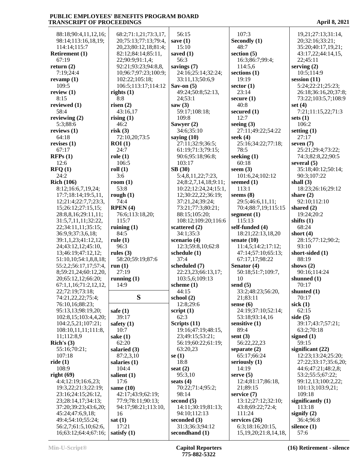| 88:18;90:4,11,12,16;  | 68:2;71:1,21;73:3,17, | 56:15                | 107:3                      | 19,21;27:13;31:14,   |
|-----------------------|-----------------------|----------------------|----------------------------|----------------------|
| 98:14;113:16,18,19;   | 20;75:13;77:13;79:4,  | save $(1)$           | Secondly (1)               | 20;32:16;33:21;      |
| 114:14;115:7          | 20,23;80:12,18;81:4;  | 15:10                | 48:7                       | 35:20;40:17,19,21;   |
| Retirement (1)        | 82:12;84:14;85:11,    | saved (1)            | section $(5)$              | 43:17,22;44:14,15,   |
| 67:19                 | 22;90:9;91:1,4;       | 56:3                 | 16:3;86:7;99:4;            | 22;45:11             |
| return $(2)$          | 92:21;93:23;94:8,8,   | savings (7)          | 114:5,6                    | serving $(2)$        |
| 7:19;24:4             | 10;96:7;97:23;100:9;  | 24:16;25:14;32:24;   | sections $(1)$             | 10:5;114:9           |
|                       |                       |                      |                            |                      |
| revamp $(1)$          | 102:22;105:18;        | 33:11,13;50:6,9      | 19:19                      | session $(11)$       |
| 109:5                 | 106:5;113:17;114:12   | Sav-on $(5)$         | sector $(1)$               | 5:24;22:21;25:23;    |
| review $(1)$          | rights $(1)$          | 49:24;50:8;52:13,    | 23:14                      | 26:18;36:16,20;37:8; |
| 8:15                  | 8:8                   | 24;53:1              | secure $(1)$               | 73:22;103:5,7;108:9  |
| reviewed (1)          | risen $(2)$           | saw $(3)$            | 40:8                       | set $(4)$            |
| 58:4                  | 43:16,17              | 59:17;108:18;        | secured $(1)$              | 7:21;11:15,22;71:3   |
| reviewing (2)         | rising $(1)$          | 109:8                | 12:7                       | sets $(1)$           |
| 5:3;88:6              | 46:2                  | Sawyer (2)           | seeing $(3)$               | 106:2                |
|                       |                       | 34:6;35:10           | 27:11;49:22;54:22          |                      |
| reviews $(1)$         | risk(3)               |                      |                            | setting $(1)$        |
| 64:18                 | 72:10,20;73:5         | saying $(10)$        | seek $(4)$                 | 27:17                |
| revises $(1)$         | ROI(1)                | 27:11;32:9;36:5;     | 25:16;34:22;77:18;         | seven $(7)$          |
| 67:17                 | 24:7                  | 61:19;71:3;79:15;    | 78:5                       | 25:21;29:4;73:22;    |
| RFPs(1)               | role(1)               | 90:6;95:18;96:8;     | seeking $(1)$              | 74:3;82:8,22;90:5    |
| 12:6                  | 106:5                 | 103:17               | 60:18                      | several $(5)$        |
| $\text{RFQ}(1)$       | roll(1)               | SB (30)              | seem $(3)$                 | 35:18;40:12;50:14;   |
| 24:2                  | 3:6                   | 5:4,8,11,22;7:23,    | 101:6,24;102:12            | 90:3;107:22          |
| <b>Rich (106)</b>     | room $(1)$            | 24;8:2,7,14,18;9:11; | seemed (1)                 | shall $(3)$          |
|                       | 53:8                  |                      | 113:1                      |                      |
| 8:12;16:6,7,19,24;    |                       | 10:22;12:24,24;15:1, |                            | 18:23;26:16;29:12    |
| 17:7;18:14;19:5,11,   | rough $(1)$           | 12;30:22,22;36:19;   | seems $(8)$                | share $(2)$          |
| 12;21:4;22:7,7;23:3,  | 74:4                  | 37:21,24;39:24;      | 29:5;46:6,11,11;           | 92:10;112:10         |
| 15;26:12;27:15,15;    | RPEN(4)               | 73:21;77:3;80:21;    | 70:4;88:7,19;115:15        | shared $(2)$         |
| 28:8,8,16;29:11,11;   | 76:6;113:18,20;       | 88:15;105:20;        | segment $(1)$              | 19:24;20:2           |
| 31:5,7,11,11;32:22,   | 115:7                 | 108:12;109:20;116:6  | 115:13                     | shifts $(1)$         |
| 22;34:11,11;35:15;    | ruining $(1)$         | scattered $(2)$      | self-funded (4)            | 68:24                |
| 36:9,9;37:3,6,18;     | 84:5                  | 34:1;35:3            | 18:21;22:13,18,20          | short $(4)$          |
| 39:1,1,23;41:12,12,   | rule $(1)$            | scenario (4)         | senate $(10)$              | 28:15;77:12;90:2;    |
|                       |                       |                      |                            |                      |
| 24;43:12,12;45:10,    | 96:3                  | 12:3;59:8,10;62:8    | 11:4,5;14:2;17:12;         | 93:10                |
| 13;46:19;47:12,12;    | rules $(3)$           | schedule (1)         | 47:14;57:10;65:13;         | short-sided (1)      |
| 51:10,10;54:1,8,8,18; | 58:20;59:19;87:6      | 37:4                 | 67:17,17;98:22             | 88:19                |
| 55:2,2;56:17,17;57:4, | run(1)                | scheduled (7)        | Senator (4)                | shows $(2)$          |
| 8;59:21,24;60:12,20,  | 27:19                 | 22:23,23;66:13,17;   | 50:18;51:7;109:7,          | 90:16;114:24         |
| 20;65:12,12;66:20;    | running $(1)$         | 103:5,6;109:13       | 10                         | shunned $(1)$        |
| 67:1,1,16;71:2,12,12, | 14:9                  | scheme $(1)$         | send $(5)$                 | 70:17                |
| 22;72:19;73:18;       |                       | 44:15                | 33:2;48:23;56:20,          | shunted $(1)$        |
| 74:21,22,22;75:4;     | S                     | school $(2)$         | 21;83:11                   | 70:17                |
|                       |                       |                      |                            |                      |
| 76:10,16;88:23;       |                       | 12:8;29:6            | sense $(6)$                | sick $(1)$           |
| 95:13,13;98:19,20;    | safe $(1)$            | script $(1)$         | 24:19;37:10;52:14;         | 62:15                |
| 102:8,15;103:4,4,20;  | 39:17                 | 62:3                 | 53:18;93:14,16             | side $(5)$           |
| 104:2,5,21;107:21;    | safety $(1)$          | Scripts $(11)$       | sensitive $(1)$            | 39:17;43:7;57:21;    |
| 108:10,11,11;111:8,   | 10:7                  | 19:16;47:19;48:15,   | 89:4                       | 63:2;70:18           |
| 11;112:8,9            | sake $(1)$            | 23;49:15;53:21;      | sent $(3)$                 | signed $(1)$         |
| Rich's $(3)$          | 62:20                 | 56:19;60:22;61:19;   | 56:22,22,23                | 59:15                |
| 55:16;70:21;          | salaried (3)          | 63:20,23             | separate $(2)$             | significant (22)     |
| 107:18                | 87:2,3,10             | se $(1)$             | 65:17;66:24                | 12:23;13:24;25:20;   |
| ride $(1)$            | salaries $(1)$        | 18:8                 | seriously $(1)$            | 27:22;33:17;35:6,20; |
|                       |                       |                      | 14:19                      | 44:6;47:21;48:2,8;   |
| 108:9                 | 104:4                 | seat $(2)$           |                            |                      |
| right $(69)$          | salient $(1)$         | 95:3,10              | serve $(5)$                | 53:2;55:5;67:22;     |
| 4:4;12:19;16:6,23;    | 17:6                  | seats $(4)$          | 12:4;81:17;86:18,          | 99:12,13;100:2,22;   |
| 19:3,22;21:3;22:19;   | same (10)             | 70:22;71:4;95:2;     | 21;89:15                   | 101:13;103:9,21;     |
| 23:16;24:15;26:12,    | 42:17;43:9;62:19;     | 98:14                | service $(7)$              | 109:18               |
| 23;28:14,17;34:13;    | 77:9;78:11;90:13;     | second $(5)$         | 13:12;27:12;32:10;         | significantly $(1)$  |
| 37:20;39:23;43:6,20;  | 94:17;98:21;113:10,   | 14:11;30:19;81:13;   | 43:8;69:22;72:4;           | 113:18               |
| 45:24;47:6,9,18;      | 16                    | 94:10;112:13         | 111:24                     | signify $(2)$        |
| 49:4;54:10;55:24;     | sat(1)                | seconded $(3)$       | services (26)              | 36:4;96:8            |
| 56:2,7;61:5,10;62:6,  | 17:21                 | 31:3;36:3;94:12      | 6:3;18:16;20:15,           | silence (1)          |
|                       |                       |                      |                            |                      |
| 16;63:12;64:4;67:16;  | satisfy $(1)$         | secondhand (1)       | 15, 19, 20; 21: 8, 14, 18, | 57:6                 |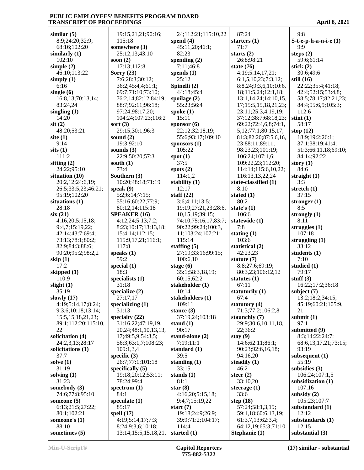| similar(5)            | 19:15,21,21;90:16;         | 24;112:21;115:10,22   | 87:24                      | 9:8                    |
|-----------------------|----------------------------|-----------------------|----------------------------|------------------------|
| 8:9;24:20;32:9;       | 115:18                     | spend $(4)$           | starters $(1)$             | $S-t-e-p-h-a-n-i-e(1)$ |
| 68:16;102:20          | somewhere (3)              | 45:11,20;46:1;        | 71:7                       | 9:9                    |
| similarly $(1)$       | 25:12,13;43:10             | 82:23                 | starts $(2)$               | steps $(2)$            |
| 102:10                | soon $(2)$                 | spending $(2)$        | 26:8;98:21                 | 59:6;61:14             |
| simple $(2)$          | 17:13;112:8                | 7:11;46:8             | state $(76)$               | stick $(2)$            |
| 46:10;113:22          |                            |                       | 4:19;5:14,17,21;           | 30:6;49:6              |
|                       | Sorry $(23)$               | spends $(1)$<br>25:12 |                            |                        |
| simply $(1)$          | 7:6;28:3;30:12;            |                       | 6:1,5,10,23;7:3,12;        | still $(16)$           |
| 6:16                  | 36:2;45:4,4;61:1;          | Spinelli (2)          | 8:8,24;9:3,6,10;10:6,      | 22:22;35:4;41:18;      |
| single $(6)$          | 69:7;71:10;73:10;          | 44:18:45:4            | 18;11:5,24;12:1,18;        | 42:4;52:15;53:4,8;     |
| 16:8,13;70:13,14;     | 76:2,14;82:12;84:19;       | spoilage $(2)$        | 13:1,14,24;14:10,15,       | 58:5;78:17;82:21,23;   |
| 83:24,24              | 88:7;92:11;96:18;          | 55:23;56:4            | 17; 15: 5, 15, 18, 21, 23; | 84:4;95:6,9;105:3;     |
| singling $(1)$        | 97:24;98:17,20;            | spoke $(1)$           | 23:11;25:3,4,19,19;        | 112:6                  |
| 14:20                 | 104:24;107:23;116:2        | 15:11                 | 37:12;38:7;68:18,23;       | stint $(1)$            |
| $s$ it $(2)$          | sort $(3)$                 | sponsor $(6)$         | 69:22;72:4,6,8;74:1,       | 58:17                  |
| 48:20;53:21           | 29:15;30:1;96:3            | 22:12;32:18,19;       | 5, 12; 77: 1; 80: 15, 17;  | stop $(12)$            |
| site $(1)$            | sound $(2)$                | 55:6;93:17;109:10     | 81:3;82:20;87:5,6,16,      | 18:9;19:2;26:1;        |
| 9:14                  | 19:3;92:10                 | sponsors $(1)$        | 23;88:11;89:11;            | 37:1;38:19;41:4;       |
| sits(1)               | sounds $(3)$               | 105:22                | 98:23,23;101:19;           | 51:3;66:11,18;69:10;   |
| 111:2                 | 22:9;50:20;57:3            | spot $(1)$            | 106:24;107:1,6;            | 84:14;92:22            |
| sitting $(2)$         | south $(1)$                | 37:5                  | 109:22,23;112:20;          | story $(1)$            |
|                       |                            |                       |                            |                        |
| 24:22;95:10           | 73:4                       | spots $(2)$           | 114:14;115:6,10,22;        | 84:6                   |
| situation (10)        | Southern (3)               | 114:1,2               | 116:13,13,22,24            | straight $(1)$         |
| 20:2,12;24:6,19;      | 10:20;48:18;71:19          | stability $(1)$       | state-classified (1)       | 3:3                    |
| 26:5;33:5,23;46:21;   | speak $(9)$                | 12:17                 | 8:10                       | stretch $(1)$          |
| 95:19;102:20          | 5:2;6:14;7:15;             | staff $(22)$          | stated $(1)$               | 37:15                  |
| situations $(1)$      | 55:16;60:22;77:9;          | 3:6;4:11;13:5;        | 80:2                       | stronger $(1)$         |
| 28:18                 | 80:12,14;115:18            | 19:19;27:21,23;28:6,  | state's $(1)$              | 8:5                    |
| six(21)               | <b>SPEAKER (16)</b>        | 10,15,19;39:15;       | 106:6                      | strongly $(1)$         |
| 4:16,20;5:15,18;      | 4:12,24;5:13;7:2;          | 74:10;75:16,17;83:7;  | statewide (1)              | 8:11                   |
| 9:4,7;15:19,22;       | 8:23;10:17;13:13,18;       | 90:22;99:24;100:3,    | 7:8                        | struggles $(1)$        |
| 42:14;43:7;69:4;      | 15:4,14;112:15;            | 11;103:24;107:21;     | stating $(1)$              | 107:18                 |
| 73:13;78:1;80:2;      | 115:9,17,21;116:1;         | 115:14                | 103:6                      | struggling $(1)$       |
| 82:9;84:3;88:6;       | 117:8                      | staffing $(5)$        | statistical (2)            | 33:12                  |
| 90:20;95:2;98:2,2     | speaks $(1)$               | 27:19;33:16;99:15;    | 42:23,23                   | students $(1)$         |
| skip $(1)$            | 59:2                       | 100:6,10              | statute $(7)$              | 7:10                   |
| 17:2                  | special $(1)$              |                       | 8:8;27:6;69:19;            | studied $(1)$          |
|                       |                            | stage $(6)$           |                            |                        |
| skipped (1)           | 18:3                       | 35:1;58:3,18,19;      | 80:3,23;106:12,12          | 79:17                  |
| 110:9                 | specialists $(1)$          | 60:15;62:2            | statutes $(1)$             | stuff $(3)$            |
| slight $(1)$          | 31:18                      | stakeholder (1)       | 67:11                      | 16:22;17:2;36:18       |
| 35:19                 | specialize (2)             | 10:14                 | statutorily (1)            | subject $(7)$          |
| slowly $(17)$         | 27:17,17                   | stakeholders (1)      | 67:4                       | 13:2;18:2;34:15;       |
| 4:19;5:14,17;8:24;    | specializing $(1)$         | 109:11                | statutory $(4)$            | 45:19;60:21;105:9,     |
| 9:3,6;10:18;13:14;    | 31:13                      | stance $(3)$          | 71:3;77:2;106:2,8          | 21                     |
| 15:5, 15, 18, 21, 23; | specialty (22)             | 37:19,24;103:18       | staunchly (7)              | submit $(1)$           |
| 89:1;112:20;115:10,   | 31:16,22;47:19,19,         | stand $(1)$           | 29:9;30:6,10,11,18,        | 97:1                   |
| 22                    | 20, 24; 48: 1, 10, 13, 13, | 90:17                 | 22;36:2                    | submitted (9)          |
| solicitation (4)      | 17;49:5,9;54:3,5;          | stand-alone (2)       | stay $(9)$                 | 8:3;14:22;24:7;        |
| 24:2,3,13;28:17       | 56:3;63:1,7;108:23;        | 7:19;11:1             | 14:6;62:11;86:1;           | 68:6,13,17,21;73:15;   |
| solicitations (1)     | 109:1,3,4                  | standard $(1)$        | 90:23;92:6,16,18;          | 93:19                  |
| 37:7                  | specific $(3)$             | 39:5                  | 94:16,20                   | subsequent (1)         |
| solve $(1)$           |                            |                       |                            | 55:19                  |
|                       | 26:7;77:1;101:18           | standing $(1)$        | steadily $(1)$             |                        |
| 31:19                 | specifically (5)           | 33:15                 | 46:2                       | subsidies $(3)$        |
| solving $(1)$         | 19:18;20:12;53:11;         | stands $(1)$          | steer $(2)$                | 106:24;107:1,5         |
| 31:23                 | 78:24;99:4                 | 81:1                  | 33:10,20                   | subsidization (1)      |
| somebody $(3)$        | spectrum (1)               | star $(8)$            | steerage (1)               | 107:16                 |
| 74:6;77:8;95:10       | 84:1                       | 4:16,20;5:15,18;      | 33:6                       | subsidy $(2)$          |
| someone $(5)$         | speculate $(1)$            | 9:4,7;15:19,22        | step $(18)$                | 105:23;107:7           |
| 6:13;21:5;27:22;      | 85:17                      | start $(7)$           | 57:24;58:1,3,19;           | substandard (1)        |
| 80:1;102:21           | spell $(17)$               | 19:18;24:9;26:9;      | 59:1,18;60:6,13,19;        | 12:12                  |
| someone's (1)         | 4:19;5:14,17;7:3;          | 39:9;71:2;104:17;     | 61:3,7,13;62:3,4;          | substandards (1)       |
| 88:10                 | 8:24;9:3,6;10:18;          | 114:4                 | 64:12,19;65:3;71:10        | 12:15                  |
| sometimes (5)         | 13:14;15:5,15,18,21,       | started $(1)$         | Stephanie (1)              | substantial (3)        |
|                       |                            |                       |                            |                        |

**Min-U-Script® Capitol Reporters 775-882-5322**

**(17) similar - substantial**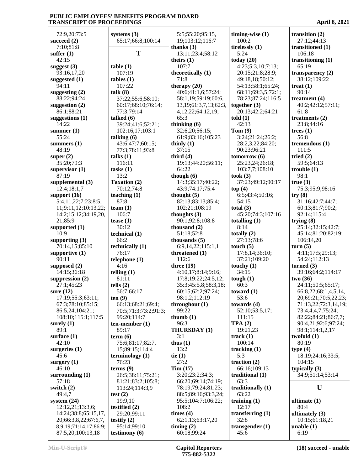72:9,20;73:5 **succeed (2)** 7:10;81:8 **suffer (1)** 42:15 **suggest (3)** 93:16,17,20 **suggested (1)** 94:11 **suggesting (2)** 88:22;94:24 **suggestion (2)** 86:1;88:21 **suggestions (1)** 14:22 **summer (1)** 55:24 **summers (1)** 48:19 **super (2)** 35:20;79:3 **supervisor (1)** 87:19 **supplemental (3)** 12:4;18:1,7 **support (16)** 5:4,11,22;7:23;8:5, 11;9:11,12;10:13,22; 14:2;15:12;34:19,20, 21;85:9 **supported (1)** 10:9 **supporting (3)** 70:14,15;85:10 **tec supportive (1)** 90:11 **supposed (2)** 14:15;36:18 **suppression (2)** 27:1;45:23 **sure (12)** 17:19;55:3;63:11; 67:3;78:10;85:15; 86:5,24;104:21; 108:10;115:1;117:5 **surely (1)** 89:1 **surface (1)** 42:10 **surgeries (1)** 45:6 **surgery (1)** 46:10 **surrounding (1)** 57:18 **switch (2)** 49:4,7 **system (24)** 12:12,21;13:3,6; 14:24;38:8;65:15,17, 20;66:3,8,22;67:6,7, 8,9,19;71:14,17;86:9; 87:5,20;100:13,18 **tes** 

| systems $(3)$                          | 5:5;55:20;95:15,                          |
|----------------------------------------|-------------------------------------------|
| 65:17;66:8;100:14                      | 19;103:12;116:7                           |
| Т                                      | thanks $(3)$<br>13:11;23:4;58:12          |
|                                        | theirs $(1)$                              |
| table(1)                               | 107:7                                     |
| 107:19                                 | theoretically (1)                         |
| $tables (1)$                           | 71:8                                      |
| 107:22<br>talk (8)                     | therapy $(20)$<br>40:6;41:1,6;57:24;      |
| 37:22;55:6;58:10;                      | 58:1,19;59:19;60:6,                       |
| 60:17;68:10;76:14;                     | 13, 19; 61: 3, 7, 13; 62: 3,              |
| 77:3;79:14                             | 4, 12, 22; 64: 12, 19;                    |
| talked (6)                             | 65:3                                      |
| 39:24;41:6;52:21;<br>102:16,17;103:1   | thinking $(6)$<br>32:6,20;56:15;          |
| talking (6)                            | 61:9;83:16;105:23                         |
| 43:6;47:7;60:15;                       | thinly $(1)$                              |
| 77:3;78:11;93:8                        | 37:15                                     |
| talks(1)                               | third $(4)$                               |
| 116:11                                 | 19:13;44:20;56:11;<br>64:22               |
| tasks (1)<br>13:2                      | though $(6)$                              |
| <b>Taxation (2)</b>                    | 14:3;35:17;40:22;                         |
| 70:12;74:8                             | 43:9;74:17;75:4                           |
| teaching (1)                           | thought $(5)$                             |
| 87:8                                   | 82:13;83:13;85:4;                         |
| team $(1)$<br>106:7                    | 102:21;108:19<br>thoughts $(3)$           |
| tease $(1)$                            | 90:1;92:8;108:8                           |
| 30:12                                  | thousand $(2)$                            |
| technical (1)                          | 51:18;52:8                                |
| 66:2                                   | thousands (5)                             |
| technically (1)                        | 6:9,14,22;115:1,1                         |
| 76:17<br>telephone (1)                 | threatened (1)<br>112:6                   |
| 4:16                                   | three $(19)$                              |
| telling $(1)$                          | 4:10,17;8:14;9:16;                        |
| 81:11                                  | 17:8;19:22;24:5,12;                       |
| tells(2)                               | 35:3;45:5,8;58:3,18;<br>60:15;62:2;97:24; |
| 56:7;66:17<br>ten(9)                   | 98:1,2;112:19                             |
| 66:13;68:21;69:4;                      | throughout (1)                            |
| 70:5;71:3;73:2;91:3;                   | 99:22                                     |
| 99:20;114:7                            | thumb $(1)$                               |
| $ten$ -member $(1)$                    | 96:3                                      |
| 89:17<br>term(6)                       | THURSDAY (1)<br>3:1                       |
| 75:6;81:17;82:7,                       | thus $(1)$                                |
| 15;89:15;114:4                         | 13:2                                      |
| terminology <sub>(1)</sub>             | tie $(1)$                                 |
| 76:23                                  | 27:2                                      |
| terms(9)                               | Tim(17)                                   |
| 26:5;38:11;75:21;<br>81:21;83:2;105:8; | 3:20;23:2;34:3;<br>66:20;69:14;74:19;     |
| 113:24;114:3,9                         | 78:19;79:24;81:23;                        |
| test $(2)$                             | 88:5;89:16;93:3,24;                       |
| 19:9,10                                | 95:5;104:7;106:22;                        |
| testified (2)                          | 108:2                                     |
| 29:20;99:11                            |                                           |
|                                        | times $(4)$                               |
| testify $(2)$<br>95:14;99:10           | 62:1,13;63:17,20<br>$t$ iming $(2)$       |

**timing-wise (1)** 100:2 **tirelessly (1)** 5:24 **today (20)** 4:23;5:3,10;7:13; 20:15;21:8;28:9; 49:18,18;50:12; 54:13;58:1;65:24; 68:11;69:3,5;72:1; 78:23;87:24;116:5 **together (3)** 20:13;42:2;64:21 **told (1)** 42:13 **Tom (9)** 3:24;21:24;26:2; 28:2,3,22;84:20; 90:23;96:21 **tomorrow (6)** 25:23,24;26:18; 103:7,7;108:10 **took (3)** 37:23;49:12;90:17 **top (4)** 6:5;43:4;50:16; 54:15 **total (3)** 45:20;74:3;107:16 **totalling (1)** 8:14 **totally (2)** 27:13;78:6 **touch (5)** 17:8,14;36:10; 37:21;109:20 **touchy (1)** 34:15 **tough (1)** 60:3 **toward (1)** 53:6 **towards (4)** 52:10;53:5,17; 111:15 **TPA (2)** 19:21,23 **track (1)** 100:14 **tracking (1)** 5:3 **traction (2)** 66:16;109:13 **traditional (1)** 63:3 **traditionally (1)** 63:22 **training (1)** 12:17 **transferring (1)** 32:8 **transgender (1)** 45:6

**transition (2)** 27:12;44:13 **transitioned (1)** 106:18 **transitioning (1)** 65:19 **transparency (2)** 38:12;109:22 **treat (1)** 90:14 **treatment (4)** 40:2;42:12;57:11; 61:8 **treatments (2)** 23:8;44:16 **trees (1)** 56:8 **tremendous (1)** 111:5 **tried (2)** 59:5;64:13 **trouble (1)** 98:1 **true (3)** 75:3;95:9;98:16 **try (8)** 31:16;42:7;44:7; 60:13;81:7;90:2; 92:14;115:4 **trying (8)** 25:14;32:15;42:7; 45:14;81:20;82:19; 106:14,20 **turn (5)** 4:11;17:5;29:13; 54:24;112:13 **turned (3)** 39:16;64:2;114:17 **two (36)** 24:11;50:5;65:17; 66:8,22;68:1,4,5,14, 20;69:21;70:5,22,23; 71:13,22;72:3,14,19; 73:4,4,4,7;75:24; 82:22;84:21;86:7,7; 90:4,21;92:6;97:24; 98:1;114:1,2,17 **twofold (1)** 80:19 **type (4)** 18:19;24:16;33:5; 104:15 **typically (3)** 34:9;51:14;53:14 **U ultimate (1)** 80:4 **ultimately (3)** 10:15;61:18,21 **unable (1)** 6:19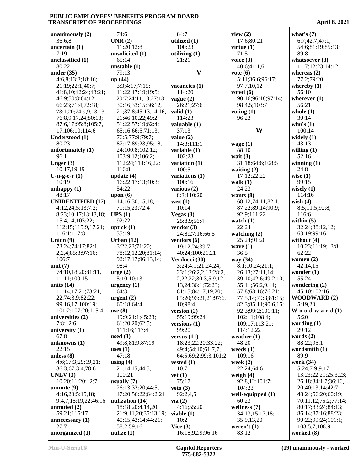|  | April 8, 2021 |
|--|---------------|
|  |               |

| unanimously $(2)$        | 74:6                 | 84:7                 | view $(2)$                             | what's $(7)$             |
|--------------------------|----------------------|----------------------|----------------------------------------|--------------------------|
| 36:6,8                   | UNR $(2)$            | utilized $(1)$       | 17:6;80:21                             | 6:7;42:7;47:1;           |
| uncertain $(1)$          | 11:20;12:8           | 100:23               | virtue $(1)$                           | 54:6;81:19;85:13;        |
| 7:19                     | unsolicited (1)      | utilizing $(1)$      | 71:5                                   | 89:8                     |
| unclassified (1)         | 65:14                | 21:21                | voice $(3)$                            | whatsoever $(3)$         |
| 80:22                    | unstable $(1)$       |                      | 40:6:41:1,6                            | 11:7;12:23;14:12         |
| under $(35)$             | 79:13                | $\mathbf{V}$         | $\mathbf{vote}\left(\mathbf{6}\right)$ | whereas $(2)$            |
| 4:6,8;13:3;18:16;        | up (44)              |                      | 5:11;36:6;96:17;                       | 77:2;79:20               |
| 21:19;22:1;40:7;         | 3:3;4:17;7:15;       | vacancies $(1)$      | 97:7,10,12                             | whereby $(1)$            |
| 41:8,10;42:24;43:21;     | 11:22;17:19;19:5;    | 114:20               | voted $(6)$                            | 56:10                    |
| 46:9;50:8;64:12;         | 20:7;24:11,13;27:18; | vague $(2)$          | 90:16;96:18;97:14;                     | wherever $(1)$           |
| 66:23;71:4;72:18;        | 30:16;33:15;36:12,   | 26:21;27:6           | 98:4,5;103:7                           | 56:21                    |
| 73:1,20;74:9,9,13,13;    | 21;37:8;45:13,14,16, | valid $(1)$          | voting $(1)$                           | whole $(1)$              |
| 76:8,9,17,24;80:18;      | 21;46:10,22;49:2;    | 114:23               | 96:23                                  | 30:14                    |
| 87:6,17;95:8;105:7,      | 51:22;57:19;62:4;    | valuable (1)         |                                        | who's $(1)$              |
| 17;106:10;114:6          | 65:16;66:5;71:13;    | 37:13                | W                                      | 100:14                   |
| Understood (1)           | 76:5;77:9;79:7;      | value $(2)$          |                                        | widely $(1)$             |
| 80:23                    | 87:17;89:23;95:18,   | 14:3;111:1           | wage $(1)$                             | 43:13                    |
| unfortunately $(1)$      | 24;100:8;102:12;     | variable $(1)$       | 88:10                                  | willing $(1)$            |
| 96:1                     | 103:9,12;106:2;      | 102:23               | wait $(3)$                             | 52:16                    |
| Unger $(3)$              | 112:24;114:16,22;    | variation (1)        | 31:18;64:6;108:5                       | winning $(1)$            |
| 10:17,19,19              | 116:8                | 100:5                | waiting $(2)$                          | 24:8                     |
| $U-n-g-e-r(1)$           | update $(4)$         | variations (1)       | 17:12;22:22                            | wise $(1)$               |
| 10:19                    | 16:22;17:13;40:3;    | 100:16               | walk $(1)$                             | 99:15                    |
| unhappy $(1)$            | 54:22                | various $(2)$        | 24:23                                  | wisely $(1)$             |
| 48:17                    | upon $(6)$           | 8:3;110:20           | wants $(8)$                            | 114:16                   |
| <b>UNIDENTIFIED (17)</b> | 14:16;30:15,18;      | vast $(1)$           | 68:12;74:11;82:1;                      | wish $(4)$               |
| 4:12,24;5:13;7:2;        | 71:15,23;72:4        | 10:14                | 87:22;89:14;90:9;                      | 8:5;11:5;92:8;           |
|                          | UPS(1)               |                      |                                        | 116:6                    |
| 8:23;10:17;13:13,18;     | 92:22                | Vegas $(3)$          | 92:9;111:22                            |                          |
| 15:4,14;103:22;          |                      | 25:8,9;56:4          | watch $(1)$                            | within $(5)$             |
| 112:15;115:9,17,21;      | uptick $(1)$         | vendor $(3)$         | 22:24                                  | 32:24;38:12,12;          |
| 116:1;117:8              | 35:19                | 24:8;27:16;66:5      | watching $(2)$                         | 63:19;99:16              |
| Union $(9)$              | Urban $(12)$         | vendors (6)          | 25:24;91:20                            | without $(4)$            |
| 73:24;74:17;82:1,        | 3:22,23;71:20;       | 19:12,24;39:7;       | wave $(1)$                             | 10:23;11:19;13:8;        |
| 2,2,4;85:3;97:16;        | 78:12,12,20;81:14;   | 40:24;100:21,21      | 36:5                                   | 62:22                    |
| 106:7                    | 92:17,17;96:13,14;   | Verducci (30)        | way (34)                               | women $(2)$              |
| unit $(7)$               | 98:4                 | 3:24;4:1;21:24,24;   | 8:1;10:24;21:1;                        | 42:14,15                 |
| 74:10,18,20;81:11,       | $\text{urge} (2)$    | 23:1;26:2,2,13;28:2, | 26:13;27:11,14;                        | wonder $(1)$             |
| 11,11;100:15             | 5:10;10:13           | 2,22,22;30:3,5,9,12, | 39:10;42:6;49:2,10;                    | 55:24                    |
| units $(14)$             | urgency(1)           | 13,24;36:1;72:23;    | 55:11;56:2,9,14;                       | wondering $(2)$          |
| 11:14,17,21;73:21        | 64:3                 | 81:15;84:17,19,20;   | 57:8;68:16;76:21;                      | 45:10;102:16             |
| 22;74:3,9;82:22;         | urgent $(2)$         | 85:20;96:21,21;97:6, | 77:5,14;79:3;81:15;                    | <b>WOODWARD (2)</b>      |
| 99:16,17;100:19;         | 60:18;64:4           | 10;98:4              | 82:3;85:11;90:6,15;                    | 5:19,20                  |
| 101:2;107:20;115:4       | use $(8)$            | version $(2)$        | 92:3;99:2;101:11;                      | $W$ -0-0-d-w-a-r-d $(1)$ |
| universities (2)         | 19:9;21:1;45:23;     | 55:19;99:24          | 102:11;108:4;                          | 5:20                     |
| 7:8;12:6                 | 61:20,20;62:5;       | versions $(1)$       | 109:17;113:21;                         | wording $(1)$            |
| university $(1)$         | 111:16:117:4         | 99:20                | 114:12,22                              | 29:12                    |
| 67:8                     | used $(3)$           | versus $(11)$        | weather $(1)$                          | words $(2)$              |
| unknowns $(1)$           | 49:8;81:9;87:19      | 18:23;22:20;33:22;   | 48:20                                  | 88:22;95:1               |
| 22:15                    | uses $(1)$           | 49:4;54:10;61:7,7;   | weeds $(1)$                            | wordsmith $(1)$          |
| unless $(8)$             | 47:18                | 64:5;69:2;99:3;101:2 | 109:16                                 | 89:9                     |
| 4:6;17:3;29:19,21;       | using $(4)$          | vested $(1)$         | week $(2)$                             | work (34)                |
| 36:3;67:3,4;78:6         | 21:14,15;44:5;       | 10:7                 | 22:24;64:6                             | 5:24;7:9;9:17;           |
| UNLV $(3)$               | 100:21               | vet(1)               | weigh $(4)$                            | 13:23;22:21;25:3,23;     |
| 10:20;11:20;12:7         | usually $(7)$        | 75:17                | 92:8,12;101:7;                         | 26:18;34:1,7;36:16,      |
| unmute $(9)$             | 26:13;32:20;44:5;    | veto $(3)$           | 104:23                                 | 20;40:13,14;42:7;        |
| 4:16,20;5:15,18;         | 47:20;56:22;64:2,21  | 92:2,4,5             | well-equipped $(1)$                    | 48:24;56:20;60:19;       |
| 9:4,7;15:19,22;46:16     | utilization (14)     | via(2)               | 60:23                                  | 70:11,12;75:2;77:14;     |
| unmuted $(2)$            | 18:18;20:4,14,20;    | 4:16;55:20           | wellness $(7)$                         | 80:17;83:24;84:13;       |
| 59:21;115:17             | 21:9,11,20;35:13,19; | viable $(1)$         | 34:13,15,17,18;                        | 86:14;87:16;88:23;       |
| unnecessary $(1)$        | 40:15;43:14;44:21;   | 10:2                 | 35:9,13,20                             | 90:22;99:24;101:1;       |
| 27:7                     | 58:2;59:16           | Vice $(3)$           | weren't $(1)$                          | 103:5,7;108:9            |
| unorganized (1)          | utilize $(1)$        | 16:18;92:9;96:16     | 83:12                                  | worked (8)               |
|                          |                      |                      |                                        |                          |